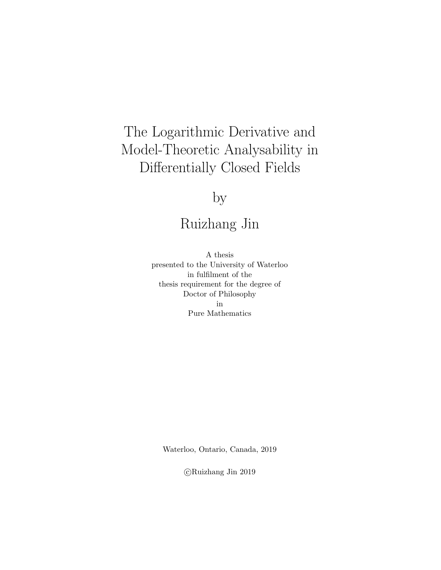## The Logarithmic Derivative and Model-Theoretic Analysability in Differentially Closed Fields

# by

## Ruizhang Jin

A thesis presented to the University of Waterloo in fulfilment of the thesis requirement for the degree of Doctor of Philosophy in Pure Mathematics

Waterloo, Ontario, Canada, 2019

c Ruizhang Jin 2019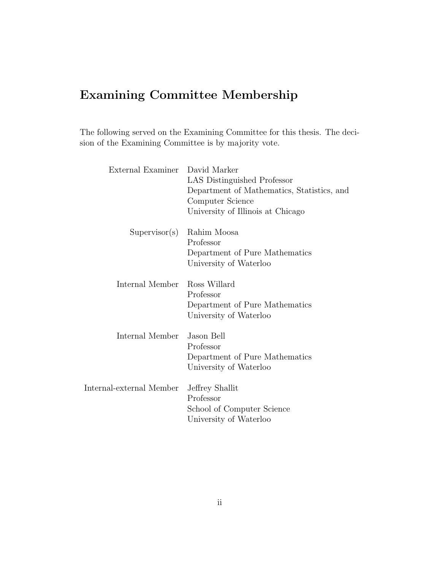## Examining Committee Membership

The following served on the Examining Committee for this thesis. The decision of the Examining Committee is by majority vote.

| External Examiner        | David Marker<br>LAS Distinguished Professor<br>Department of Mathematics, Statistics, and<br>Computer Science<br>University of Illinois at Chicago |
|--------------------------|----------------------------------------------------------------------------------------------------------------------------------------------------|
| Supervisor(s)            | Rahim Moosa<br>Professor<br>Department of Pure Mathematics<br>University of Waterloo                                                               |
| Internal Member          | Ross Willard<br>Professor<br>Department of Pure Mathematics<br>University of Waterloo                                                              |
| Internal Member          | Jason Bell<br>Professor<br>Department of Pure Mathematics<br>University of Waterloo                                                                |
| Internal-external Member | Jeffrey Shallit<br>Professor<br>School of Computer Science<br>University of Waterloo                                                               |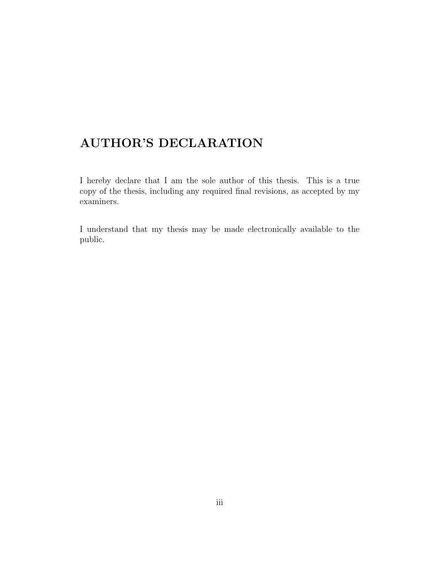### AUTHOR'S DECLARATION

I hereby declare that I am the sole author of this thesis. This is a true copy of the thesis, including any required final revisions, as accepted by my examiners.

I understand that my thesis may be made electronically available to the public.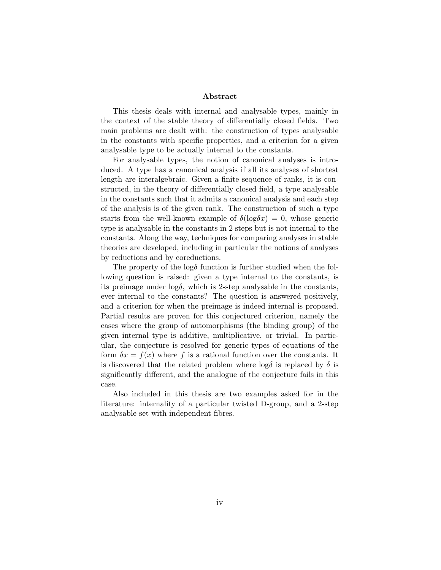#### Abstract

This thesis deals with internal and analysable types, mainly in the context of the stable theory of differentially closed fields. Two main problems are dealt with: the construction of types analysable in the constants with specific properties, and a criterion for a given analysable type to be actually internal to the constants.

For analysable types, the notion of canonical analyses is introduced. A type has a canonical analysis if all its analyses of shortest length are interalgebraic. Given a finite sequence of ranks, it is constructed, in the theory of differentially closed field, a type analysable in the constants such that it admits a canonical analysis and each step of the analysis is of the given rank. The construction of such a type starts from the well-known example of  $\delta(\log \delta x) = 0$ , whose generic type is analysable in the constants in 2 steps but is not internal to the constants. Along the way, techniques for comparing analyses in stable theories are developed, including in particular the notions of analyses by reductions and by coreductions.

The property of the  $\log \delta$  function is further studied when the following question is raised: given a type internal to the constants, is its preimage under  $log\delta$ , which is 2-step analysable in the constants, ever internal to the constants? The question is answered positively, and a criterion for when the preimage is indeed internal is proposed. Partial results are proven for this conjectured criterion, namely the cases where the group of automorphisms (the binding group) of the given internal type is additive, multiplicative, or trivial. In particular, the conjecture is resolved for generic types of equations of the form  $\delta x = f(x)$  where f is a rational function over the constants. It is discovered that the related problem where  $\log \delta$  is replaced by  $\delta$  is significantly different, and the analogue of the conjecture fails in this case.

Also included in this thesis are two examples asked for in the literature: internality of a particular twisted D-group, and a 2-step analysable set with independent fibres.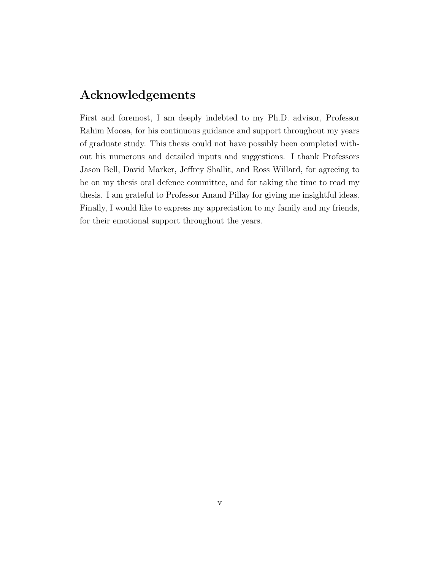### Acknowledgements

First and foremost, I am deeply indebted to my Ph.D. advisor, Professor Rahim Moosa, for his continuous guidance and support throughout my years of graduate study. This thesis could not have possibly been completed without his numerous and detailed inputs and suggestions. I thank Professors Jason Bell, David Marker, Jeffrey Shallit, and Ross Willard, for agreeing to be on my thesis oral defence committee, and for taking the time to read my thesis. I am grateful to Professor Anand Pillay for giving me insightful ideas. Finally, I would like to express my appreciation to my family and my friends, for their emotional support throughout the years.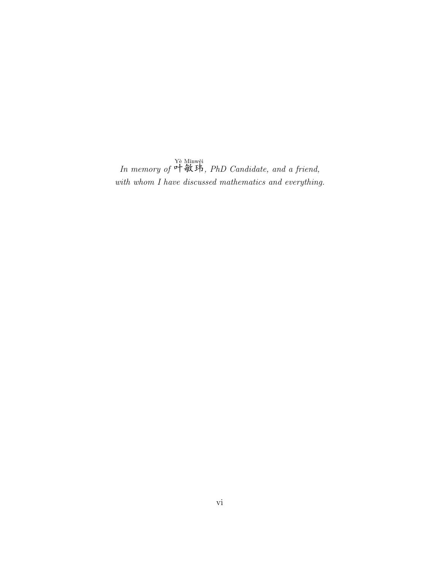In memory of Yè Minwěi<br>叶敏玮, PhD Candidate, and a friend, with whom I have discussed mathematics and everything.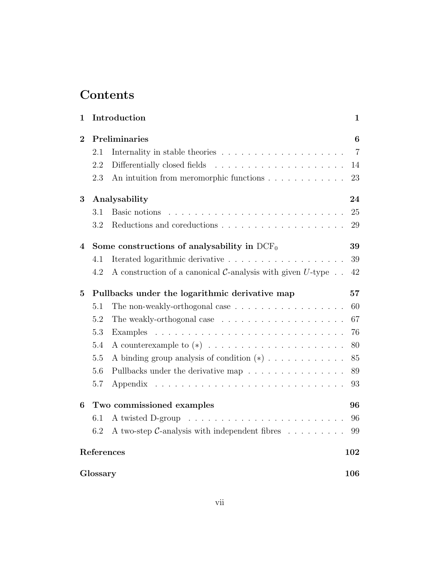## Contents

| $\mathbf{1}$   |                                                | Introduction                                                                      | $\mathbf{1}$   |
|----------------|------------------------------------------------|-----------------------------------------------------------------------------------|----------------|
| $\overline{2}$ |                                                | Preliminaries                                                                     | 6              |
|                | 2.1                                            |                                                                                   | $\overline{7}$ |
|                | 2.2                                            | Differentially closed fields                                                      | 14             |
|                | 2.3                                            | An intuition from meromorphic functions                                           | 23             |
| 3              |                                                | Analysability                                                                     | 24             |
|                | 3.1                                            | Basic notions                                                                     | 25             |
|                | 3.2                                            |                                                                                   | 29             |
| 4              |                                                | Some constructions of analysability in $DCF_0$                                    | 39             |
|                | 4.1                                            |                                                                                   | 39             |
|                | 4.2                                            | A construction of a canonical $C$ -analysis with given $U$ -type $\ldots$         | 42             |
| $\overline{5}$ | Pullbacks under the logarithmic derivative map |                                                                                   | 57             |
|                | 5.1                                            | The non-weakly-orthogonal case $\dots \dots \dots \dots \dots \dots$              | 60             |
|                | 5.2                                            | The weakly-orthogonal case $\dots \dots \dots \dots \dots \dots \dots$            | 67             |
|                | 5.3                                            |                                                                                   | 76             |
|                | 5.4                                            |                                                                                   | 80             |
|                | 5.5                                            | A binding group analysis of condition $(*) \dots \dots \dots \dots$               | 85             |
|                | 5.6                                            | Pullbacks under the derivative map                                                | 89             |
|                | 5.7                                            | Appendix                                                                          | 93             |
| 6              | Two commissioned examples                      |                                                                                   | 96             |
|                | 6.1                                            | A twisted D-group                                                                 | 96             |
|                | 6.2                                            | A two-step $\mathcal{C}$ -analysis with independent fibres $\ldots \ldots \ldots$ | 99             |
|                |                                                | References                                                                        | 102            |
|                | Glossary                                       |                                                                                   | 106            |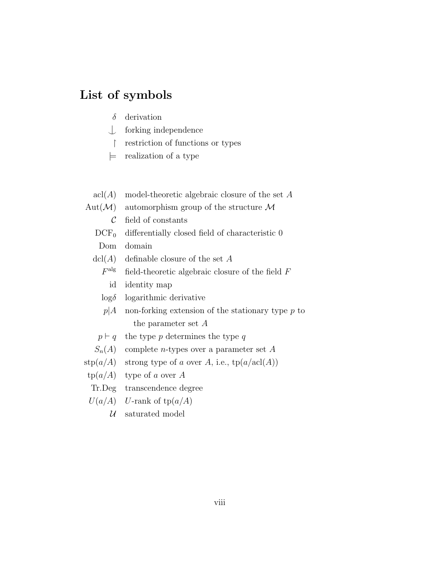### List of symbols

- $\delta$  derivation
- $\bigcup$  forking independence
- $\uparrow$  restriction of functions or types
- $\equiv$  realization of a type
- $\operatorname{acl}(A)$  model-theoretic algebraic closure of the set A
- Aut $(\mathcal{M})$  automorphism group of the structure M
	- $\mathcal C$  field of constants
	- $DCF<sub>0</sub>$  differentially closed field of characteristic 0
	- Dom domain
	- $dcl(A)$  definable closure of the set A
		- $F^{\mathrm{alg}}$ field-theoretic algebraic closure of the field  $F$ 
			- id identity map
		- $log<sub>δ</sub>$  logarithmic derivative
		- $p|A$  non-forking extension of the stationary type p to the parameter set A
	- $p \vdash q$  the type p determines the type q
	- $S_n(A)$  complete *n*-types over a parameter set A
- stp $(a/A)$  strong type of a over A, i.e.,  $tp(a/acl(A))$
- $tp(a/A)$  type of a over A
- Tr.Deg transcendence degree
- $U(a/A)$  U-rank of tp $(a/A)$ 
	- $\ensuremath{\mathcal{U}}$  –saturated model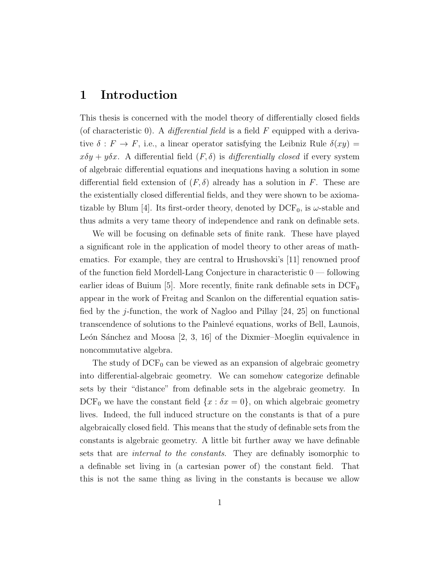### <span id="page-8-0"></span>1 Introduction

This thesis is concerned with the model theory of differentially closed fields (of characteristic 0). A differential field is a field  $F$  equipped with a derivative  $\delta : F \to F$ , i.e., a linear operator satisfying the Leibniz Rule  $\delta(xy)$  =  $x\delta y + y\delta x$ . A differential field  $(F, \delta)$  is *differentially closed* if every system of algebraic differential equations and inequations having a solution in some differential field extension of  $(F, \delta)$  already has a solution in F. These are the existentially closed differential fields, and they were shown to be axioma-tizable by Blum [\[4\]](#page-109-1). Its first-order theory, denoted by  $DCF_0$ , is  $\omega$ -stable and thus admits a very tame theory of independence and rank on definable sets.

We will be focusing on definable sets of finite rank. These have played a significant role in the application of model theory to other areas of mathematics. For example, they are central to Hrushovski's [\[11\]](#page-110-0) renowned proof of the function field Mordell-Lang Conjecture in characteristic 0 — following earlier ideas of Buium [\[5\]](#page-109-2). More recently, finite rank definable sets in  $DCF_0$ appear in the work of Freitag and Scanlon on the differential equation satisfied by the *j*-function, the work of Nagloo and Pillay  $[24, 25]$  $[24, 25]$  $[24, 25]$  on functional transcendence of solutions to the Painlevé equations, works of Bell, Launois, León Sánchez and Moosa  $[2, 3, 16]$  $[2, 3, 16]$  $[2, 3, 16]$  $[2, 3, 16]$  $[2, 3, 16]$  of the Dixmier–Moeglin equivalence in noncommutative algebra.

The study of  $DCF_0$  can be viewed as an expansion of algebraic geometry into differential-algebraic geometry. We can somehow categorize definable sets by their "distance" from definable sets in the algebraic geometry. In  $DCF_0$  we have the constant field  $\{x : \delta x = 0\}$ , on which algebraic geometry lives. Indeed, the full induced structure on the constants is that of a pure algebraically closed field. This means that the study of definable sets from the constants is algebraic geometry. A little bit further away we have definable sets that are *internal to the constants*. They are definably isomorphic to a definable set living in (a cartesian power of) the constant field. That this is not the same thing as living in the constants is because we allow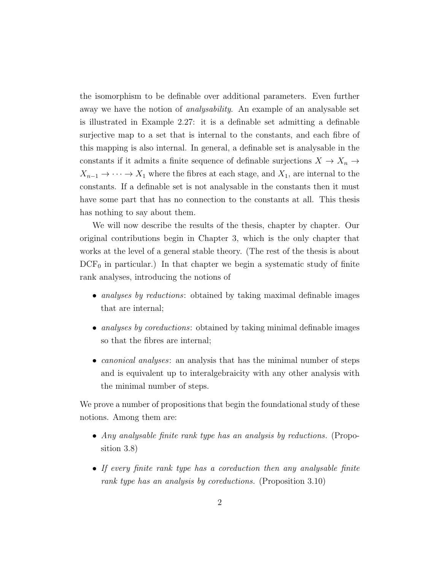the isomorphism to be definable over additional parameters. Even further away we have the notion of *analysability*. An example of an analysable set is illustrated in Example [2.27:](#page-28-0) it is a definable set admitting a definable surjective map to a set that is internal to the constants, and each fibre of this mapping is also internal. In general, a definable set is analysable in the constants if it admits a finite sequence of definable surjections  $X \to X_n \to$  $X_{n-1} \to \cdots \to X_1$  where the fibres at each stage, and  $X_1$ , are internal to the constants. If a definable set is not analysable in the constants then it must have some part that has no connection to the constants at all. This thesis has nothing to say about them.

We will now describe the results of the thesis, chapter by chapter. Our original contributions begin in Chapter [3,](#page-31-0) which is the only chapter that works at the level of a general stable theory. (The rest of the thesis is about  $DCF_0$  in particular.) In that chapter we begin a systematic study of finite rank analyses, introducing the notions of

- analyses by reductions: obtained by taking maximal definable images that are internal;
- analyses by coreductions: obtained by taking minimal definable images so that the fibres are internal;
- *canonical analyses*: an analysis that has the minimal number of steps and is equivalent up to interalgebraicity with any other analysis with the minimal number of steps.

We prove a number of propositions that begin the foundational study of these notions. Among them are:

- Any analysable finite rank type has an analysis by reductions. (Proposition [3.8\)](#page-36-1)
- If every finite rank type has a coreduction then any analysable finite rank type has an analysis by coreductions. (Proposition [3.10\)](#page-37-0)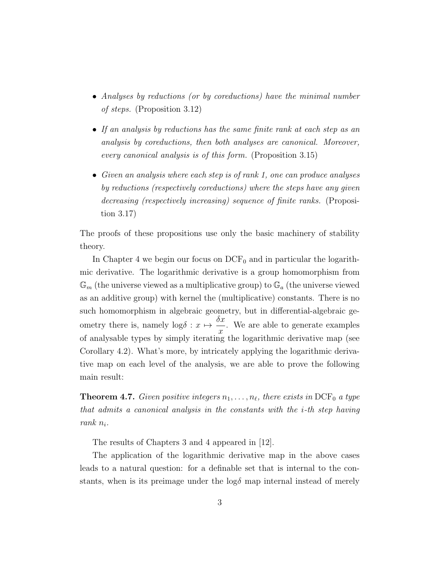- Analyses by reductions (or by coreductions) have the minimal number of steps. (Proposition [3.12\)](#page-39-0)
- If an analysis by reductions has the same finite rank at each step as an analysis by coreductions, then both analyses are canonical. Moreover, every canonical analysis is of this form. (Proposition [3.15\)](#page-40-0)
- Given an analysis where each step is of rank 1, one can produce analyses by reductions (respectively coreductions) where the steps have any given decreasing (respectively increasing) sequence of finite ranks. (Proposition [3.17\)](#page-43-0)

The proofs of these propositions use only the basic machinery of stability theory.

In Chapter [4](#page-46-0) we begin our focus on  $DCF_0$  and in particular the logarithmic derivative. The logarithmic derivative is a group homomorphism from  $\mathbb{G}_m$  (the universe viewed as a multiplicative group) to  $\mathbb{G}_a$  (the universe viewed as an additive group) with kernel the (multiplicative) constants. There is no such homomorphism in algebraic geometry, but in differential-algebraic geometry there is, namely  $\log \delta : x \mapsto \frac{\delta x}{\delta}$  $\overline{x}$ . We are able to generate examples of analysable types by simply iterating the logarithmic derivative map (see Corollary [4.2\)](#page-48-0). What's more, by intricately applying the logarithmic derivative map on each level of the analysis, we are able to prove the following main result:

**Theorem [4.7.](#page-62-0)** Given positive integers  $n_1, \ldots, n_\ell$ , there exists in DCF<sub>0</sub> a type that admits a canonical analysis in the constants with the i-th step having rank  $n_i$ .

The results of Chapters [3](#page-31-0) and [4](#page-46-0) appeared in [\[12\]](#page-110-2).

The application of the logarithmic derivative map in the above cases leads to a natural question: for a definable set that is internal to the constants, when is its preimage under the  $\log \delta$  map internal instead of merely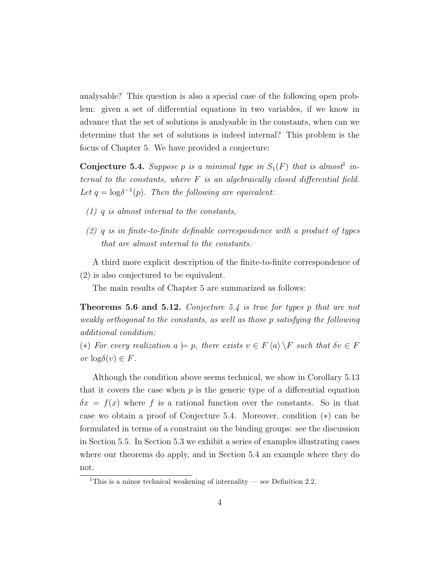analysable? This question is also a special case of the following open problem: given a set of differential equations in two variables, if we know in advance that the set of solutions is analysable in the constants, when can we determine that the set of solutions is indeed internal? This problem is the focus of Chapter [5.](#page-64-0) We have provided a conjecture:

**Conjecture [5.4.](#page-66-0)** Suppose p is a minimal type in  $S_1(F)$  $S_1(F)$  $S_1(F)$  that is almost<sup>1</sup> internal to the constants, where  $F$  is an algebraically closed differential field. Let  $q = \log \delta^{-1}(p)$ . Then the following are equivalent:

- $(1)$  q is almost internal to the constants,
- $(2)$  q is in finite-to-finite definable correspondence with a product of types that are almost internal to the constants.

A third more explicit description of the finite-to-finite correspondence of (2) is also conjectured to be equivalent.

The main results of Chapter [5](#page-64-0) are summarized as follows:

Theorems [5.6](#page-67-1) and [5.12.](#page-74-1) Conjecture [5.4](#page-66-0) is true for types p that are not weakly orthogonal to the constants, as well as those p satisfying the following additional condition:

(\*) For every realization  $a \models p$ , there exists  $v \in F \langle a \rangle \backslash F$  such that  $\delta v \in F$ or  $\log \delta(v) \in F$ .

Although the condition above seems technical, we show in Corollary [5.13](#page-74-2) that it covers the case when  $p$  is the generic type of a differential equation  $\delta x = f(x)$  where f is a rational function over the constants. So in that case wo obtain a proof of Conjecture [5.4.](#page-66-0) Moreover, condition (∗) can be formulated in terms of a constraint on the binding groups: see the discussion in Section [5.5.](#page-92-0) In Section [5.3](#page-83-0) we exhibit a series of examples illustrating cases where our theorems do apply, and in Section [5.4](#page-87-0) an example where they do not.

<span id="page-11-0"></span><sup>&</sup>lt;sup>1</sup>This is a minor technical weakening of internality — see Definition [2.2.](#page-15-0)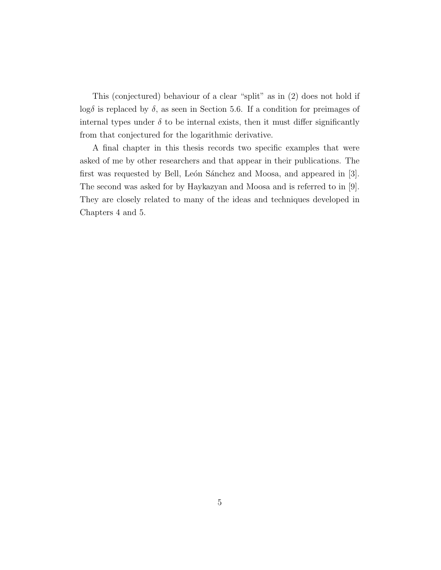This (conjectured) behaviour of a clear "split" as in (2) does not hold if log<sub>δ</sub> is replaced by  $\delta$ , as seen in Section [5.6.](#page-96-0) If a condition for preimages of internal types under  $\delta$  to be internal exists, then it must differ significantly from that conjectured for the logarithmic derivative.

A final chapter in this thesis records two specific examples that were asked of me by other researchers and that appear in their publications. The first was requested by Bell, León Sánchez and Moosa, and appeared in [\[3\]](#page-109-4). The second was asked for by Haykazyan and Moosa and is referred to in [\[9\]](#page-109-5). They are closely related to many of the ideas and techniques developed in Chapters [4](#page-46-0) and [5.](#page-64-0)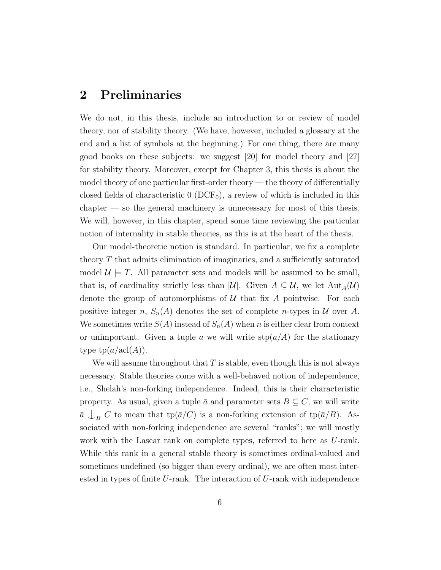### <span id="page-13-0"></span>2 Preliminaries

We do not, in this thesis, include an introduction to or review of model theory, nor of stability theory. (We have, however, included a glossary at the end and a list of symbols at the beginning.) For one thing, there are many good books on these subjects: we suggest [\[20\]](#page-110-3) for model theory and [\[27\]](#page-111-2) for stability theory. Moreover, except for Chapter [3,](#page-31-0) this thesis is about the model theory of one particular first-order theory — the theory of differentially closed fields of characteristic  $0$  (DCF<sub>0</sub>), a review of which is included in this chapter — so the general machinery is unnecessary for most of this thesis. We will, however, in this chapter, spend some time reviewing the particular notion of internality in stable theories, as this is at the heart of the thesis.

Our model-theoretic notion is standard. In particular, we fix a complete theory  $T$  that admits elimination of imaginaries, and a sufficiently saturated model  $\mathcal{U} \models T$ . All parameter sets and models will be assumed to be small, that is, of cardinality strictly less than |U|. Given  $A \subseteq U$ , we let  ${\rm Aut}_A(U)$ denote the group of automorphisms of  $U$  that fix A pointwise. For each positive integer n,  $S_n(A)$  denotes the set of complete n-types in U over A. We sometimes write  $S(A)$  instead of  $S_n(A)$  when n is either clear from context or unimportant. Given a tuple a we will write  $\text{stp}(a/A)$  for the stationary type  $tp(a/\text{acl}(A)).$ 

We will assume throughout that  $T$  is stable, even though this is not always necessary. Stable theories come with a well-behaved notion of independence, i.e., Shelah's non-forking independence. Indeed, this is their characteristic property. As usual, given a tuple  $\bar{a}$  and parameter sets  $B \subseteq C$ , we will write  $\bar{a} \bigcup_B C$  to mean that tp( $\bar{a}/C$ ) is a non-forking extension of tp( $\bar{a}/B$ ). Associated with non-forking independence are several "ranks"; we will mostly work with the Lascar rank on complete types, referred to here as U-rank. While this rank in a general stable theory is sometimes ordinal-valued and sometimes undefined (so bigger than every ordinal), we are often most interested in types of finite  $U$ -rank. The interaction of  $U$ -rank with independence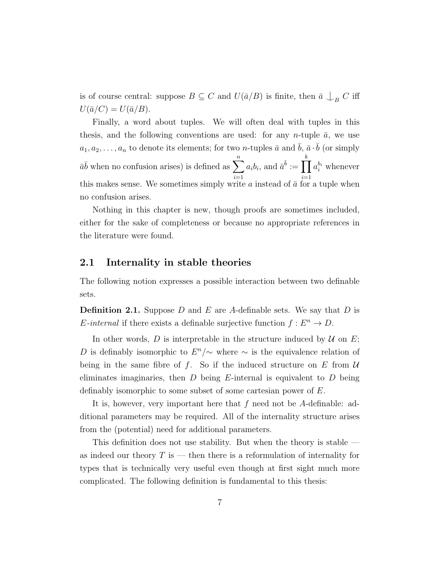is of course central: suppose  $B \subseteq C$  and  $U(\bar{a}/B)$  is finite, then  $\bar{a} \bigcup_B C$  iff  $U(\bar{a}/C) = U(\bar{a}/B).$ 

Finally, a word about tuples. We will often deal with tuples in this thesis, and the following conventions are used: for any n-tuple  $\bar{a}$ , we use  $a_1, a_2, \ldots, a_n$  to denote its elements; for two *n*-tuples  $\bar{a}$  and  $\bar{b}$ ,  $\bar{a} \cdot \bar{b}$  (or simply  $\bar{a}\bar{b}$  when no confusion arises) is defined as  $\sum_{n=1}^n$  $i=1$  $a_i b_i$ , and  $\bar{a}^{\bar{b}} := \prod$ k  $i=1$  $a_i^{b_i}$  whenever this makes sense. We sometimes simply write  $a$  instead of  $\bar{a}$  for a tuple when no confusion arises.

Nothing in this chapter is new, though proofs are sometimes included, either for the sake of completeness or because no appropriate references in the literature were found.

#### <span id="page-14-0"></span>2.1 Internality in stable theories

The following notion expresses a possible interaction between two definable sets.

<span id="page-14-1"></span>**Definition 2.1.** Suppose D and E are A-definable sets. We say that D is *E*-internal if there exists a definable surjective function  $f : E^n \to D$ .

In other words, D is interpretable in the structure induced by  $U$  on  $E$ ; D is definably isomorphic to  $E^{n}/\sim$  where  $\sim$  is the equivalence relation of being in the same fibre of f. So if the induced structure on  $E$  from  $U$ eliminates imaginaries, then  $D$  being E-internal is equivalent to  $D$  being definably isomorphic to some subset of some cartesian power of E.

It is, however, very important here that  $f$  need not be  $A$ -definable: additional parameters may be required. All of the internality structure arises from the (potential) need for additional parameters.

This definition does not use stability. But when the theory is stable as indeed our theory  $T$  is  $-$  then there is a reformulation of internality for types that is technically very useful even though at first sight much more complicated. The following definition is fundamental to this thesis: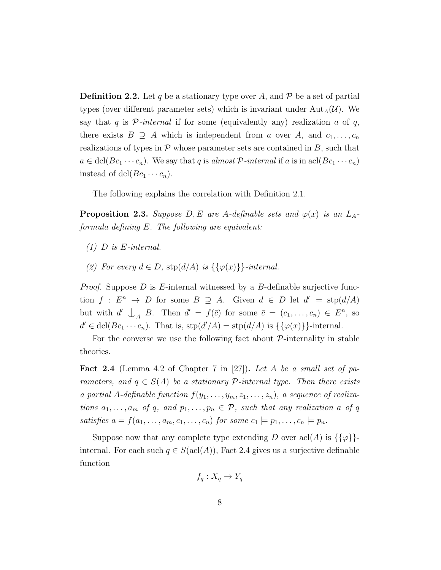<span id="page-15-0"></span>**Definition 2.2.** Let q be a stationary type over A, and  $\mathcal{P}$  be a set of partial types (over different parameter sets) which is invariant under  $\text{Aut}_{A}(\mathcal{U})$ . We say that q is  $\mathcal{P}$ -internal if for some (equivalently any) realization a of q, there exists  $B \supseteq A$  which is independent from a over A, and  $c_1, \ldots, c_n$ realizations of types in  $P$  whose parameter sets are contained in  $B$ , such that  $a \in \text{dcl}(Bc_1 \cdots c_n)$ . We say that q is almost P-internal if a is in acl $(Bc_1 \cdots c_n)$ instead of dcl( $Bc_1 \cdots c_n$ ).

The following explains the correlation with Definition [2.1.](#page-14-1)

**Proposition 2.3.** Suppose  $D, E$  are A-definable sets and  $\varphi(x)$  is an  $L_A$ formula defining E. The following are equivalent:

- (1) D is E-internal.
- (2) For every  $d \in D$ ,  $\text{stp}(d/A)$  is  $\{\{\varphi(x)\}\}\text{-internal.}$

*Proof.* Suppose  $D$  is E-internal witnessed by a  $B$ -definable surjective function  $f: E^n \to D$  for some  $B \supseteq A$ . Given  $d \in D$  let  $d' \models \text{stp}(d/A)$ but with  $d' \bigcup_A B$ . Then  $d' = f(\bar{c})$  for some  $\bar{c} = (c_1, \ldots, c_n) \in E^n$ , so  $d' \in \text{dcl}(Bc_1 \cdots c_n)$ . That is,  $\text{stp}(d'/A) = \text{stp}(d/A)$  is  $\{\{\varphi(x)\}\}\text{-internal}$ .

For the converse we use the following fact about  $P$ -internality in stable theories.

<span id="page-15-1"></span>**Fact 2.4** (Lemma 4.2 of Chapter 7 in [\[27\]](#page-111-2)). Let A be a small set of parameters, and  $q \in S(A)$  be a stationary  $P$ -internal type. Then there exists a partial A-definable function  $f(y_1, \ldots, y_m, z_1, \ldots, z_n)$ , a sequence of realizations  $a_1, \ldots, a_m$  of q, and  $p_1, \ldots, p_n \in \mathcal{P}$ , such that any realization a of q satisfies  $a = f(a_1, \ldots, a_m, c_1, \ldots, c_n)$  for some  $c_1 \models p_1, \ldots, c_n \models p_n$ .

Suppose now that any complete type extending D over  $\operatorname{acl}(A)$  is  $\{\{\varphi\}\}$ internal. For each such  $q \in S(\text{acl}(A))$ , Fact [2.4](#page-15-1) gives us a surjective definable function

$$
f_q: X_q \to Y_q
$$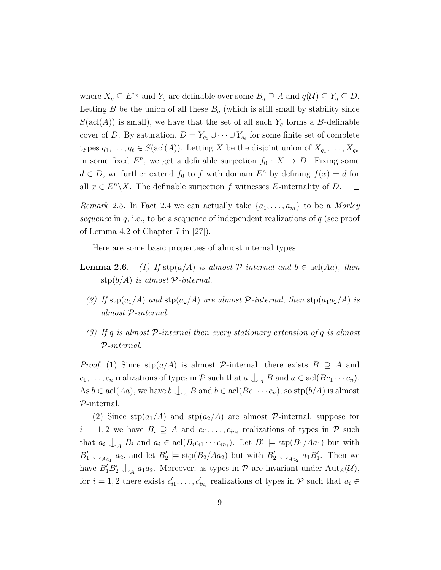where  $X_q \subseteq E^{n_q}$  and  $Y_q$  are definable over some  $B_q \supseteq A$  and  $q(\mathcal{U}) \subseteq Y_q \subseteq D$ . Letting B be the union of all these  $B_q$  (which is still small by stability since  $S(\text{acl}(A))$  is small), we have that the set of all such  $Y_q$  forms a B-definable cover of D. By saturation,  $D = Y_{q_1} \cup \cdots \cup Y_{q_\ell}$  for some finite set of complete types  $q_1, \ldots, q_\ell \in S(\text{acl}(A))$ . Letting X be the disjoint union of  $X_{q_1}, \ldots, X_{q_n}$ in some fixed  $E^n$ , we get a definable surjection  $f_0: X \to D$ . Fixing some  $d \in D$ , we further extend  $f_0$  to f with domain  $E^n$  by defining  $f(x) = d$  for all  $x \in E<sup>n</sup> \backslash X$ . The definable surjection f witnesses E-internality of D.  $\Box$ 

<span id="page-16-0"></span>Remark 2.5. In Fact [2.4](#page-15-1) we can actually take  $\{a_1, \ldots, a_m\}$  to be a Morley sequence in  $q$ , i.e., to be a sequence of independent realizations of  $q$  (see proof of Lemma 4.2 of Chapter 7 in [\[27\]](#page-111-2)).

Here are some basic properties of almost internal types.

- <span id="page-16-1"></span>**Lemma 2.6.** (1) If  $\text{stp}(a/A)$  is almost P-internal and  $b \in \text{acl}(Aa)$ , then  $\text{stp}(b/A)$  is almost P-internal.
	- (2) If  $\text{stp}(a_1/A)$  and  $\text{stp}(a_2/A)$  are almost P-internal, then  $\text{stp}(a_1a_2/A)$  is almost P-internal.
	- (3) If q is almost  $P$ -internal then every stationary extension of q is almost P-internal.

*Proof.* (1) Since  $\text{stp}(a/A)$  is almost P-internal, there exists  $B \supseteq A$  and  $c_1, \ldots, c_n$  realizations of types in  $\mathcal P$  such that  $a \bigcup_A B$  and  $a \in \text{acl}(Bc_1 \cdots c_n)$ . As  $b \in \text{acl}(Aa)$ , we have  $b \bigcup_{A} B$  and  $b \in \text{acl}(Bc_1 \cdots c_n)$ , so  $\text{stp}(b/A)$  is almost P-internal.

(2) Since  $\text{stp}(a_1/A)$  and  $\text{stp}(a_2/A)$  are almost P-internal, suppose for  $i = 1, 2$  we have  $B_i \supseteq A$  and  $c_{i1}, \ldots, c_{in_i}$  realizations of types in  $P$  such that  $a_i \nightharpoonup_A B_i$  and  $a_i \in \text{acl}(B_i c_{i1} \cdots c_{in_i})$ . Let  $B'_1 \models \text{stp}(B_1/Aa_1)$  but with  $B'_1 \perp_{Aa_1} a_2$ , and let  $B'_2 \models \text{stp}(B_2/Aa_2)$  but with  $B'_2 \perp_{Aa_2} a_1B'_1$ . Then we have  $B'_1 B'_2 \perp_A a_1 a_2$ . Moreover, as types in  $P$  are invariant under  $\text{Aut}_A(\mathcal{U}),$ for  $i = 1, 2$  there exists  $c'_{i1}, \ldots, c'_{in_i}$  realizations of types in  $P$  such that  $a_i \in$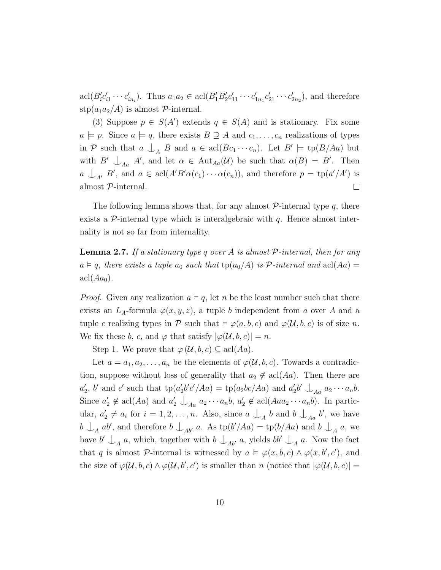$\text{acl}(B'_{i}c'_{i1}\cdots c'_{in_{i}}).$  Thus  $a_{1}a_{2} \in \text{acl}(B'_{1}B'_{2}c'_{11}\cdots c'_{1n_{1}}c'_{21}\cdots c'_{2n_{2}}),$  and therefore stp $(a_1a_2/A)$  is almost  $\mathcal{P}$ -internal.

(3) Suppose  $p \in S(A')$  extends  $q \in S(A)$  and is stationary. Fix some  $a \models p$ . Since  $a \models q$ , there exists  $B \supseteq A$  and  $c_1, \ldots, c_n$  realizations of types in P such that  $a \bigcup_{A} B$  and  $a \in \text{acl}(Bc_1 \cdots c_n)$ . Let  $B' \models \text{tp}(B/Aa)$  but with  $B' \cup_{A} A'$ , and let  $\alpha \in \text{Aut}_{A}(\mathcal{U})$  be such that  $\alpha(B) = B'$ . Then  $a \perp_{A'} B'$ , and  $a \in \text{acl}(A'B'\alpha(c_1)\cdots \alpha(c_n))$ , and therefore  $p = \text{tp}(a'/A')$  is almost  $\mathcal{P}\textrm{-}$  internal.  $\Box$ 

The following lemma shows that, for any almost  $P$ -internal type q, there exists a  $\mathcal{P}$ -internal type which is interalgebraic with  $q$ . Hence almost internality is not so far from internality.

<span id="page-17-0"></span>**Lemma 2.7.** If a stationary type q over A is almost  $P$ -internal, then for any  $a \vDash q$ , there exists a tuple  $a_0$  such that  $tp(a_0/A)$  is P-internal and  $acl(Aa)$  =  $\operatorname{acl}(Aa_0)$ .

*Proof.* Given any realization  $a \vDash q$ , let n be the least number such that there exists an  $L_A$ -formula  $\varphi(x, y, z)$ , a tuple b independent from a over A and a tuple c realizing types in P such that  $\models \varphi(a, b, c)$  and  $\varphi(\mathcal{U}, b, c)$  is of size n. We fix these b, c, and  $\varphi$  that satisfy  $|\varphi(\mathcal{U},b,c)|=n$ .

Step 1. We prove that  $\varphi(\mathcal{U},b,c) \subseteq \operatorname{acl}(Aa)$ .

Let  $a = a_1, a_2, \ldots, a_n$  be the elements of  $\varphi(\mathcal{U}, b, c)$ . Towards a contradiction, suppose without loss of generality that  $a_2 \notin \text{acl}(Aa)$ . Then there are  $a'_2$ , b' and c' such that  $\text{tp}(a'_2b'c'/Aa) = \text{tp}(a_2bc/Aa)$  and  $a'_2b' \bigcup_{Aa} a_2 \cdots a_nb$ . Since  $a'_2 \notin \text{acl}(Aa)$  and  $a'_2 \bigcup_{Aa} a_2 \cdots a_n b, a'_2 \notin \text{acl}(Aaa_2 \cdots a_n b)$ . In particular,  $a'_2 \neq a_i$  for  $i = 1, 2, ..., n$ . Also, since  $a \bigcup_A b$  and  $b \bigcup_{A_a} b'$ , we have  $b \perp_A ab'$ , and therefore  $b \perp_{Ab'} a$ . As  $tp(b'/Aa) = tp(b/Aa)$  and  $b \perp_A a$ , we have  $b' \perp_A a$ , which, together with  $b \perp_{Ab'} a$ , yields  $bb' \perp_A a$ . Now the fact that q is almost P-internal is witnessed by  $a \models \varphi(x, b, c) \land \varphi(x, b', c')$ , and the size of  $\varphi(\mathcal{U},b,c) \wedge \varphi(\mathcal{U},b',c')$  is smaller than n (notice that  $|\varphi(\mathcal{U},b,c)| =$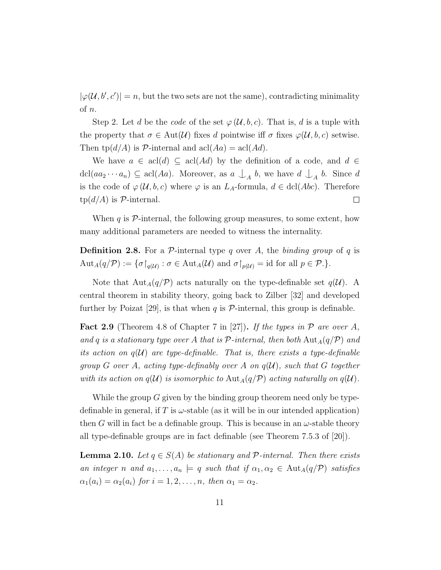$|\varphi(\mathcal{U}, b', c')| = n$ , but the two sets are not the same), contradicting minimality of n.

Step 2. Let d be the code of the set  $\varphi(\mathcal{U},b,c)$ . That is, d is a tuple with the property that  $\sigma \in \text{Aut}(\mathcal{U})$  fixes d pointwise iff  $\sigma$  fixes  $\varphi(\mathcal{U},b,c)$  setwise. Then  $\text{tp}(d/A)$  is P-internal and  $\text{acl}(Aa) = \text{acl}(Ad)$ .

We have  $a \in \text{acl}(d) \subseteq \text{acl}(Ad)$  by the definition of a code, and  $d \in$ dcl( $aa_2 \cdots a_n$ )  $\subseteq$  acl( $Aa$ ). Moreover, as  $a \perp_A b$ , we have  $d \perp_A b$ . Since  $d$ is the code of  $\varphi(\mathcal{U},b,c)$  where  $\varphi$  is an  $L_A$ -formula,  $d \in \text{dcl}(Abc)$ . Therefore  $tp(d/A)$  is P-internal.  $\Box$ 

When  $q$  is  $\mathcal{P}\text{-internal}$ , the following group measures, to some extent, how many additional parameters are needed to witness the internality.

**Definition 2.8.** For a P-internal type q over A, the binding group of q is  $\mathrm{Aut}_A(q/\mathcal{P}) := \{ \sigma \}_{q(\mathcal{U})} : \sigma \in \mathrm{Aut}_A(\mathcal{U}) \text{ and } \sigma \}_{p(\mathcal{U})} = \mathrm{id} \text{ for all } p \in \mathcal{P}.$ 

Note that  $\text{Aut}_A(q/\mathcal{P})$  acts naturally on the type-definable set  $q(\mathcal{U})$ . A central theorem in stability theory, going back to Zilber [\[32\]](#page-112-0) and developed further by Poizat [\[29\]](#page-111-3), is that when  $q$  is  $P$ -internal, this group is definable.

**Fact 2.9** (Theorem 4.8 of Chapter 7 in [\[27\]](#page-111-2)). If the types in  $P$  are over A, and q is a stationary type over A that is  $\mathcal{P}$ -internal, then both  $\text{Aut}_A(q/\mathcal{P})$  and its action on  $q(U)$  are type-definable. That is, there exists a type-definable group G over A, acting type-definably over A on  $q(\mathcal{U})$ , such that G together with its action on  $q(\mathcal{U})$  is isomorphic to  $\text{Aut}_A(q/\mathcal{P})$  acting naturally on  $q(\mathcal{U})$ .

While the group G given by the binding group theorem need only be typedefinable in general, if T is  $\omega$ -stable (as it will be in our intended application) then G will in fact be a definable group. This is because in an  $\omega$ -stable theory all type-definable groups are in fact definable (see Theorem 7.5.3 of [\[20\]](#page-110-3)).

**Lemma 2.10.** Let  $q \in S(A)$  be stationary and  $P$ -internal. Then there exists an integer n and  $a_1, \ldots, a_n \models q$  such that if  $\alpha_1, \alpha_2 \in \text{Aut}_A(q/\mathcal{P})$  satisfies  $\alpha_1(a_i) = \alpha_2(a_i)$  for  $i = 1, 2, \ldots, n$ , then  $\alpha_1 = \alpha_2$ .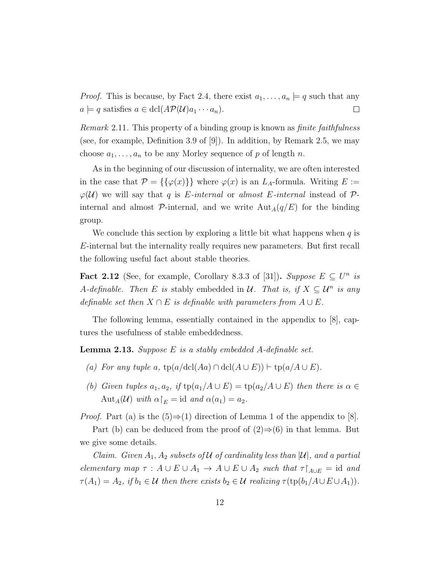*Proof.* This is because, by Fact [2.4,](#page-15-1) there exist  $a_1, \ldots, a_n \models q$  such that any  $a \models q$  satisfies  $a \in \text{dcl}(A\mathcal{P}(\mathcal{U})a_1 \cdots a_n).$  $\Box$ 

Remark 2.11. This property of a binding group is known as finite faithfulness (see, for example, Definition 3.9 of [\[9\]](#page-109-5)). In addition, by Remark [2.5,](#page-16-0) we may choose  $a_1, \ldots, a_n$  to be any Morley sequence of p of length n.

As in the beginning of our discussion of internality, we are often interested in the case that  $\mathcal{P} = {\{\varphi(x)\}}$  where  $\varphi(x)$  is an  $L_A$ -formula. Writing  $E :=$  $\varphi(\mathcal{U})$  we will say that q is E-internal or almost E-internal instead of  $\mathcal{P}$ internal and almost  $\mathcal{P}$ -internal, and we write  $\text{Aut}_A(q/E)$  for the binding group.

We conclude this section by exploring a little bit what happens when  $q$  is E-internal but the internality really requires new parameters. But first recall the following useful fact about stable theories.

Fact 2.12 (See, for example, Corollary 8.3.3 of [\[31\]](#page-111-4)). Suppose  $E \subseteq U^n$  is A-definable. Then E is stably embedded in U. That is, if  $X \subseteq \mathcal{U}^n$  is any definable set then  $X \cap E$  is definable with parameters from  $A \cup E$ .

The following lemma, essentially contained in the appendix to [\[8\]](#page-109-6), captures the usefulness of stable embeddedness.

<span id="page-19-0"></span>**Lemma 2.13.** Suppose  $E$  is a stably embedded  $A$ -definable set.

- (a) For any tuple a,  $tp(a/\text{dcl}(Aa) \cap \text{dcl}(A \cup E))$  +  $tp(a/A \cup E)$ .
- (b) Given tuples  $a_1, a_2$ , if  $tp(a_1/A \cup E) = tp(a_2/A \cup E)$  then there is  $\alpha \in$ Aut<sub>A</sub>(U) with  $\alpha|_E = \text{id}$  and  $\alpha(a_1) = a_2$ .

*Proof.* Part (a) is the  $(5) \Rightarrow (1)$  direction of Lemma 1 of the appendix to [\[8\]](#page-109-6).

Part (b) can be deduced from the proof of  $(2) \Rightarrow (6)$  in that lemma. But we give some details.

Claim. Given  $A_1, A_2$  subsets of U of cardinality less than  $|\mathcal{U}|$ , and a partial elementary map  $\tau : A \cup E \cup A_1 \rightarrow A \cup E \cup A_2$  such that  $\tau \upharpoonright_{A \cup E} = id$  and  $\tau(A_1) = A_2$ , if  $b_1 \in \mathcal{U}$  then there exists  $b_2 \in \mathcal{U}$  realizing  $\tau(\text{tp}(b_1/A \cup E \cup A_1)).$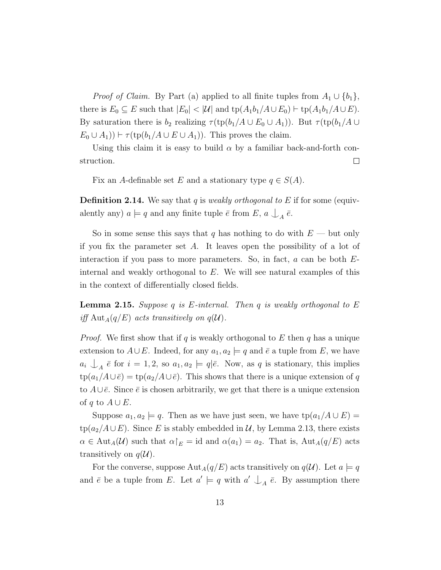*Proof of Claim.* By Part (a) applied to all finite tuples from  $A_1 \cup \{b_1\}$ , there is  $E_0 \subseteq E$  such that  $|E_0| < |\mathcal{U}|$  and  $\text{tp}(A_1b_1/A \cup E_0) \vdash \text{tp}(A_1b_1/A \cup E)$ . By saturation there is  $b_2$  realizing  $\tau$ (tp( $b_1/A \cup E_0 \cup A_1$ )). But  $\tau$ (tp( $b_1/A \cup$  $E_0 \cup A_1$ )  $\vdash \tau(\text{tp}(b_1/A \cup E \cup A_1))$ . This proves the claim.

Using this claim it is easy to build  $\alpha$  by a familiar back-and-forth construction.  $\Box$ 

Fix an A-definable set E and a stationary type  $q \in S(A)$ .

**Definition 2.14.** We say that q is weakly orthogonal to E if for some (equivalently any)  $a \models q$  and any finite tuple  $\bar{e}$  from  $E$ ,  $a \bigcup_A \bar{e}$ .

So in some sense this says that q has nothing to do with  $E$  — but only if you fix the parameter set  $A$ . It leaves open the possibility of a lot of interaction if you pass to more parameters. So, in fact,  $a$  can be both  $E$ internal and weakly orthogonal to E. We will see natural examples of this in the context of differentially closed fields.

<span id="page-20-0"></span>**Lemma 2.15.** Suppose q is E-internal. Then q is weakly orthogonal to E iff  $\text{Aut}_A(q/E)$  acts transitively on  $q(\mathcal{U})$ .

*Proof.* We first show that if q is weakly orthogonal to E then q has a unique extension to  $A\cup E$ . Indeed, for any  $a_1, a_2 \models q$  and  $\overline{e}$  a tuple from E, we have  $a_i \nightharpoonup_A \bar{e}$  for  $i = 1, 2$ , so  $a_1, a_2 \models q|\bar{e}$ . Now, as q is stationary, this implies  $tp(a_1/A\cup \bar{e}) = tp(a_2/A\cup \bar{e})$ . This shows that there is a unique extension of q to  $A\cup \overline{e}$ . Since  $\overline{e}$  is chosen arbitrarily, we get that there is a unique extension of q to  $A \cup E$ .

Suppose  $a_1, a_2 \models q$ . Then as we have just seen, we have  $tp(a_1/A \cup E)$  $tp(a_2/A\cup E)$ . Since E is stably embedded in U, by Lemma [2.13,](#page-19-0) there exists  $\alpha \in \text{Aut}_A(\mathcal{U})$  such that  $\alpha|_E = \text{id}$  and  $\alpha(a_1) = a_2$ . That is,  $\text{Aut}_A(q/E)$  acts transitively on  $q(\mathcal{U})$ .

For the converse, suppose  $\text{Aut}_A(q/E)$  acts transitively on  $q(\mathcal{U})$ . Let  $a \models q$ and  $\bar{e}$  be a tuple from E. Let  $a' \models q$  with  $a' \bigcup_A \bar{e}$ . By assumption there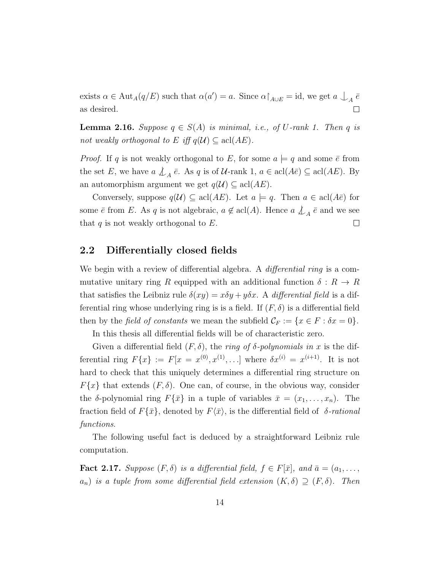exists  $\alpha \in \text{Aut}_A(q/E)$  such that  $\alpha(a') = a$ . Since  $\alpha \upharpoonright_{A \cup E} = \text{id}$ , we get  $a \bigcup_A \bar{e}$ as desired.  $\Box$ 

<span id="page-21-2"></span>**Lemma 2.16.** Suppose  $q \in S(A)$  is minimal, i.e., of U-rank 1. Then q is not weakly orthogonal to E iff  $q(\mathcal{U}) \subseteq \text{acl}(AE)$ .

*Proof.* If q is not weakly orthogonal to E, for some  $a \models q$  and some  $\bar{e}$  from the set E, we have  $a \nleq_A \bar{e}$ . As q is of U-rank 1,  $a \in \text{acl}(A\bar{e}) \subseteq \text{acl}(AE)$ . By an automorphism argument we get  $q(\mathcal{U}) \subseteq \text{acl}(AE)$ .

Conversely, suppose  $q(\mathcal{U}) \subseteq \text{acl}(AE)$ . Let  $a \models q$ . Then  $a \in \text{acl}(A\overline{e})$  for some  $\bar{e}$  from E. As q is not algebraic,  $a \notin \text{acl}(A)$ . Hence  $a \nleq_A \bar{e}$  and we see that  $q$  is not weakly orthogonal to  $E$ .  $\Box$ 

#### <span id="page-21-0"></span>2.2 Differentially closed fields

We begin with a review of differential algebra. A *differential ring* is a commutative unitary ring R equipped with an additional function  $\delta: R \to R$ that satisfies the Leibniz rule  $\delta(xy) = x\delta y + y\delta x$ . A differential field is a differential ring whose underlying ring is is a field. If  $(F, \delta)$  is a differential field then by the *field of constants* we mean the subfield  $\mathcal{C}_F := \{x \in F : \delta x = 0\}.$ 

In this thesis all differential fields will be of characteristic zero.

Given a differential field  $(F, \delta)$ , the ring of  $\delta$ -polynomials in x is the differential ring  $F\{x\} := F[x = x^{(0)}, x^{(1)}, \ldots]$  where  $\delta x^{(i)} = x^{(i+1)}$ . It is not hard to check that this uniquely determines a differential ring structure on  $F\{x\}$  that extends  $(F, \delta)$ . One can, of course, in the obvious way, consider the  $\delta$ -polynomial ring  $F\{\bar{x}\}\$ in a tuple of variables  $\bar{x} = (x_1, \ldots, x_n)$ . The fraction field of  $F\{\bar{x}\}\text{, denoted by }F\langle\bar{x}\rangle\text{, is the differential field of }\delta\text{-rational}$ functions.

The following useful fact is deduced by a straightforward Leibniz rule computation.

<span id="page-21-1"></span>**Fact 2.17.** Suppose  $(F, \delta)$  is a differential field,  $f \in F[\bar{x}]$ , and  $\bar{a} = (a_1, \ldots, a_n)$  $a_n$ ) is a tuple from some differential field extension  $(K, \delta) \supseteq (F, \delta)$ . Then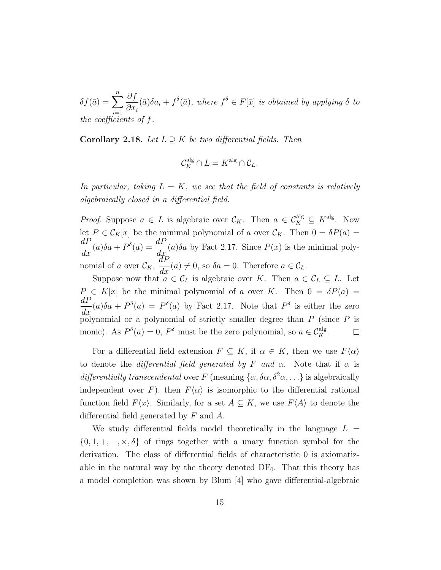$\delta f(\bar{a}) = \sum_{n=1}^{n}$  $i=1$ ∂f  $\partial x_i$  $(\bar{a})\delta a_i + f^{\delta}(\bar{a})$ , where  $f^{\delta} \in F[\bar{x}]$  is obtained by applying  $\delta$  to the coefficients of f.

Corollary 2.18. Let  $L \supseteq K$  be two differential fields. Then

$$
\mathcal{C}_K^{\mathrm{alg}} \cap L = K^{\mathrm{alg}} \cap \mathcal{C}_L.
$$

In particular, taking  $L = K$ , we see that the field of constants is relatively algebraically closed in a differential field.

*Proof.* Suppose  $a \in L$  is algebraic over  $\mathcal{C}_K$ . Then  $a \in \mathcal{C}_K^{\text{alg}} \subseteq K^{\text{alg}}$ . Now let  $P \in \mathcal{C}_K[x]$  be the minimal polynomial of a over  $\mathcal{C}_K$ . Then  $0 = \delta P(a)$  $dP$  $\frac{dP}{dx}(a)\delta a + P^{\delta}(a) = \frac{dP}{dx}$  $\frac{d}{dx}(a)\delta a$  by Fact [2.17.](#page-21-1) Since  $P(x)$  is the minimal polynomial of a over  $\mathcal{C}_K$ ,  $\frac{dP}{dx}(a) \neq 0$ , so  $\delta a = 0$ . Therefore  $a \in \mathcal{C}_L$ .

Suppose now that  $a \in C_L$  is algebraic over K. Then  $a \in C_L \subseteq L$ . Let  $P \in K[x]$  be the minimal polynomial of a over K. Then  $0 = \delta P(a)$  $dP$  $\frac{dI}{dx}(a)\delta a + P^{\delta}(a) = P^{\delta}(a)$  by Fact [2.17.](#page-21-1) Note that  $P^{\delta}$  is either the zero  $\frac{dx}{y}$  polynomial or a polynomial of strictly smaller degree than P (since P is monic). As  $P^{\delta}(a) = 0$ ,  $P^{\delta}$  must be the zero polynomial, so  $a \in \mathcal{C}_K^{\text{alg}}$ .  $\Box$ 

For a differential field extension  $F \subseteq K$ , if  $\alpha \in K$ , then we use  $F\langle \alpha \rangle$ to denote the differential field generated by F and  $\alpha$ . Note that if  $\alpha$  is differentially transcendental over F (meaning  $\{\alpha, \delta\alpha, \delta^2\alpha, ...\}$ ) is algebraically independent over F), then  $F\langle\alpha\rangle$  is isomorphic to the differential rational function field  $F(x)$ . Similarly, for a set  $A \subseteq K$ , we use  $F\langle A \rangle$  to denote the differential field generated by F and A.

We study differential fields model theoretically in the language  $L =$  $\{0, 1, +, -, \times, \delta\}$  of rings together with a unary function symbol for the derivation. The class of differential fields of characteristic 0 is axiomatizable in the natural way by the theory denoted  $DF_0$ . That this theory has a model completion was shown by Blum [\[4\]](#page-109-1) who gave differential-algebraic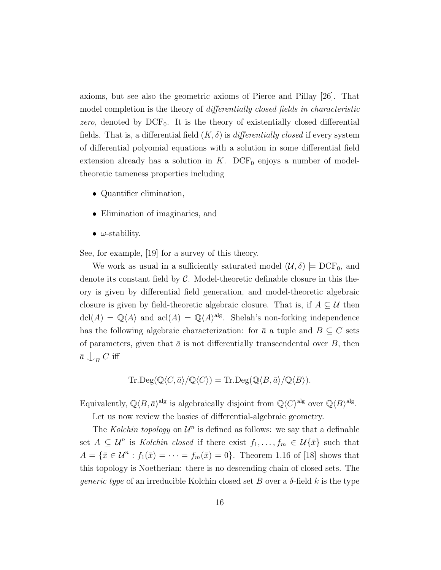axioms, but see also the geometric axioms of Pierce and Pillay [\[26\]](#page-111-5). That model completion is the theory of differentially closed fields in characteristic zero, denoted by  $DCF_0$ . It is the theory of existentially closed differential fields. That is, a differential field  $(K, \delta)$  is *differentially closed* if every system of differential polyomial equations with a solution in some differential field extension already has a solution in  $K$ . DCF<sub>0</sub> enjoys a number of modeltheoretic tameness properties including

- Quantifier elimination,
- Elimination of imaginaries, and
- $\omega$ -stability.

See, for example, [\[19\]](#page-110-4) for a survey of this theory.

We work as usual in a sufficiently saturated model  $(\mathcal{U}, \delta) \models \text{DCF}_0$ , and denote its constant field by  $\mathcal C$ . Model-theoretic definable closure in this theory is given by differential field generation, and model-theoretic algebraic closure is given by field-theoretic algebraic closure. That is, if  $A \subseteq U$  then  $dcl(A) = \mathbb{Q}\langle A \rangle$  and  $acl(A) = \mathbb{Q}\langle A \rangle^{alg}$ . Shelah's non-forking independence has the following algebraic characterization: for  $\bar{a}$  a tuple and  $B \subseteq C$  sets of parameters, given that  $\bar{a}$  is not differentially transcendental over  $B$ , then  $\bar{a}\, \mathop{\downarrow}\nolimits_{B} C$  iff

Tr
$$
\text{Deg}(\mathbb{Q}\langle C,\bar{a}\rangle/\mathbb{Q}\langle C\rangle) = \text{Tr} \cdot \text{Deg}(\mathbb{Q}\langle B,\bar{a}\rangle/\mathbb{Q}\langle B\rangle).
$$

Equivalently,  $\mathbb{Q}\langle B,\bar{a}\rangle^{\text{alg}}$  is algebraically disjoint from  $\mathbb{Q}\langle C\rangle^{\text{alg}}$  over  $\mathbb{Q}\langle B\rangle^{\text{alg}}$ .

Let us now review the basics of differential-algebraic geometry.

The Kolchin topology on  $\mathcal{U}^n$  is defined as follows: we say that a definable set  $A \subseteq \mathcal{U}^n$  is Kolchin closed if there exist  $f_1, \ldots, f_m \in \mathcal{U}\{\bar{x}\}\$  such that  $A = \{\bar{x} \in \mathcal{U}^n : f_1(\bar{x}) = \cdots = f_m(\bar{x}) = 0\}.$  Theorem 1.16 of [\[18\]](#page-110-5) shows that this topology is Noetherian: there is no descending chain of closed sets. The *generic type* of an irreducible Kolchin closed set B over a  $\delta$ -field k is the type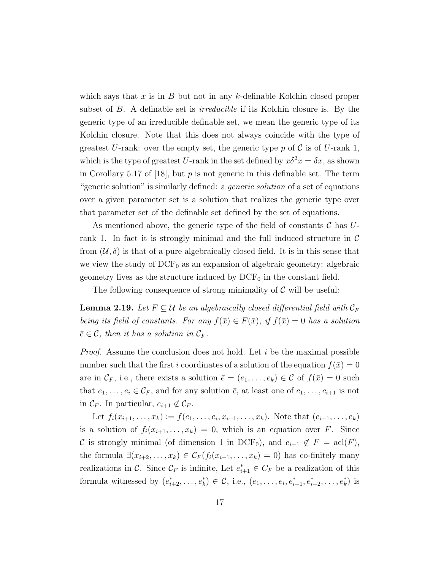which says that x is in B but not in any k-definable Kolchin closed proper subset of B. A definable set is *irreducible* if its Kolchin closure is. By the generic type of an irreducible definable set, we mean the generic type of its Kolchin closure. Note that this does not always coincide with the type of greatest U-rank: over the empty set, the generic type p of  $\mathcal C$  is of U-rank 1, which is the type of greatest U-rank in the set defined by  $x\delta^2 x = \delta x$ , as shown in Corollary 5.17 of [\[18\]](#page-110-5), but  $p$  is not generic in this definable set. The term "generic solution" is similarly defined: a generic solution of a set of equations over a given parameter set is a solution that realizes the generic type over that parameter set of the definable set defined by the set of equations.

As mentioned above, the generic type of the field of constants  $\mathcal C$  has  $U$ rank 1. In fact it is strongly minimal and the full induced structure in  $\mathcal C$ from  $(\mathcal{U}, \delta)$  is that of a pure algebraically closed field. It is in this sense that we view the study of  $DCF_0$  as an expansion of algebraic geometry: algebraic geometry lives as the structure induced by  $DCF_0$  in the constant field.

The following consequence of strong minimality of  $\mathcal C$  will be useful:

**Lemma 2.19.** Let  $F \subseteq \mathcal{U}$  be an algebraically closed differential field with  $\mathcal{C}_F$ being its field of constants. For any  $f(\bar{x}) \in F(\bar{x})$ , if  $f(\bar{x}) = 0$  has a solution  $\bar{c} \in \mathcal{C}$ , then it has a solution in  $\mathcal{C}_F$ .

*Proof.* Assume the conclusion does not hold. Let  $i$  be the maximal possible number such that the first i coordinates of a solution of the equation  $f(\bar{x}) = 0$ are in  $\mathcal{C}_F$ , i.e., there exists a solution  $\bar{e} = (e_1, \ldots, e_k) \in \mathcal{C}$  of  $f(\bar{x}) = 0$  such that  $e_1, \ldots, e_i \in \mathcal{C}_F$ , and for any solution  $\bar{c}$ , at least one of  $c_1, \ldots, c_{i+1}$  is not in  $\mathcal{C}_F$ . In particular,  $e_{i+1} \notin \mathcal{C}_F$ .

Let  $f_i(x_{i+1},...,x_k) := f(e_1,...,e_i,x_{i+1},...,x_k)$ . Note that  $(e_{i+1},...,e_k)$ is a solution of  $f_i(x_{i+1},...,x_k) = 0$ , which is an equation over F. Since C is strongly minimal (of dimension 1 in DCF<sub>0</sub>), and  $e_{i+1} \notin F = \text{acl}(F)$ , the formula  $\exists (x_{i+2}, \ldots, x_k) \in C_F(f_i(x_{i+1}, \ldots, x_k) = 0)$  has co-finitely many realizations in C. Since  $\mathcal{C}_F$  is infinite, Let  $e_{i+1}^* \in C_F$  be a realization of this formula witnessed by  $(e_{i+2}^*,...,e_k^*) \in \mathcal{C}$ , i.e.,  $(e_1,...,e_i,e_{i+1}^*,e_{i+2}^*,...,e_k^*)$  is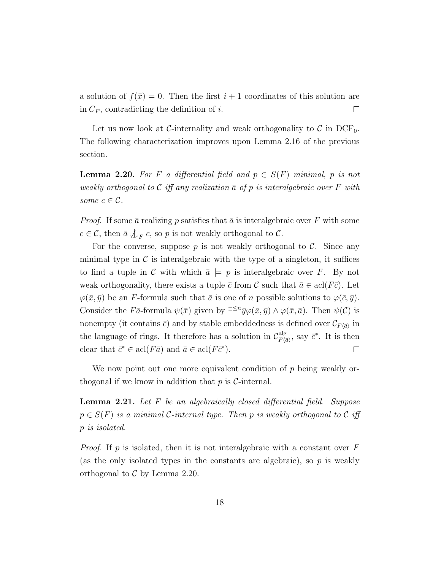a solution of  $f(\bar{x}) = 0$ . Then the first  $i + 1$  coordinates of this solution are in  $C_F$ , contradicting the definition of i.  $\Box$ 

Let us now look at C-internality and weak orthogonality to  $\mathcal C$  in DCF<sub>0</sub>. The following characterization improves upon Lemma [2.16](#page-21-2) of the previous section.

<span id="page-25-0"></span>**Lemma 2.20.** For F a differential field and  $p \in S(F)$  minimal, p is not weakly orthogonal to  $\mathcal C$  iff any realization  $\bar a$  of p is interalgebraic over F with some  $c \in \mathcal{C}$ .

*Proof.* If some  $\bar{a}$  realizing p satisfies that  $\bar{a}$  is interalgebraic over F with some  $c \in \mathcal{C}$ , then  $\bar{a} \nless_{F} c$ , so p is not weakly orthogonal to  $\mathcal{C}$ .

For the converse, suppose  $p$  is not weakly orthogonal to  $\mathcal{C}$ . Since any minimal type in  $\mathcal C$  is interalgebraic with the type of a singleton, it suffices to find a tuple in C with which  $\bar{a} \models p$  is interalgebraic over F. By not weak orthogonality, there exists a tuple  $\bar{c}$  from C such that  $\bar{a} \in \text{acl}(F\bar{c})$ . Let  $\varphi(\bar{x}, \bar{y})$  be an F-formula such that  $\bar{a}$  is one of n possible solutions to  $\varphi(\bar{c}, \bar{y})$ . Consider the Fā-formula  $\psi(\bar{x})$  given by  $\exists^{\leq n}\bar{y}\varphi(\bar{x},\bar{y}) \wedge \varphi(\bar{x},\bar{a})$ . Then  $\psi(\mathcal{C})$  is nonempty (it contains  $\bar{c}$ ) and by stable embeddedness is defined over  $\mathcal{C}_{F\langle \bar{a}\rangle}$  in the language of rings. It therefore has a solution in  $\mathcal{C}_{F/a}^{\text{alg}}$  $\frac{alg}{F\langle \bar{a} \rangle}$ , say  $\bar{c}^*$ . It is then clear that  $\bar{c}^* \in \text{acl}(F\bar{a})$  and  $\bar{a} \in \text{acl}(F\bar{c}^*)$ .  $\Box$ 

We now point out one more equivalent condition of  $p$  being weakly orthogonal if we know in addition that  $p$  is  $\mathcal{C}\text{-internal}$ .

<span id="page-25-1"></span>**Lemma 2.21.** Let  $F$  be an algebraically closed differential field. Suppose  $p \in S(F)$  is a minimal C-internal type. Then p is weakly orthogonal to C iff p is isolated.

*Proof.* If p is isolated, then it is not interalgebraic with a constant over  $F$ (as the only isolated types in the constants are algebraic), so  $p$  is weakly orthogonal to  $\mathcal C$  by Lemma [2.20.](#page-25-0)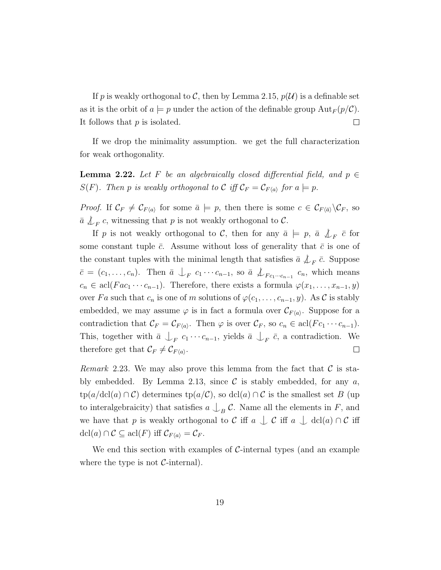If p is weakly orthogonal to C, then by Lemma [2.15,](#page-20-0)  $p(\mathcal{U})$  is a definable set as it is the orbit of  $a \models p$  under the action of the definable group  ${\rm Aut}_F(p/\mathcal{C})$ . It follows that  $p$  is isolated.  $\Box$ 

If we drop the minimality assumption. we get the full characterization for weak orthogonality.

**Lemma 2.22.** Let F be an algebraically closed differential field, and  $p \in$  $S(F)$ . Then p is weakly orthogonal to C iff  $\mathcal{C}_F = \mathcal{C}_{F\langle a \rangle}$  for  $a \models p$ .

*Proof.* If  $\mathcal{C}_F \neq \mathcal{C}_{F\langle a \rangle}$  for some  $\bar{a} \models p$ , then there is some  $c \in \mathcal{C}_{F\langle \bar{a} \rangle} \backslash \mathcal{C}_F$ , so  $\bar{a}$   $\downarrow_{F}$  c, witnessing that p is not weakly orthogonal to  $\mathcal{C}$ .

If p is not weakly orthogonal to C, then for any  $\bar{a} \models p, \bar{a} \not\downarrow_F \bar{c}$  for some constant tuple  $\bar{c}$ . Assume without loss of generality that  $\bar{c}$  is one of the constant tuples with the minimal length that satisfies  $\bar{a} \nleq_F \bar{c}$ . Suppose  $\bar{c} = (c_1, \ldots, c_n)$ . Then  $\bar{a} \bigcup_F c_1 \cdots c_{n-1}$ , so  $\bar{a} \bigcup_{Fc_1\cdots c_{n-1}} c_n$ , which means  $c_n \in \text{acl}(Fac_1 \cdots c_{n-1})$ . Therefore, there exists a formula  $\varphi(x_1, \ldots, x_{n-1}, y)$ over Fa such that  $c_n$  is one of m solutions of  $\varphi(c_1, \ldots, c_{n-1}, y)$ . As C is stably embedded, we may assume  $\varphi$  is in fact a formula over  $\mathcal{C}_{F\langle a \rangle}$ . Suppose for a contradiction that  $\mathcal{C}_F = \mathcal{C}_{F(a)}$ . Then  $\varphi$  is over  $\mathcal{C}_F$ , so  $c_n \in \text{acl}(Fc_1 \cdots c_{n-1})$ . This, together with  $\bar{a} \bigcup_{F} c_1 \cdots c_{n-1}$ , yields  $\bar{a} \bigcup_{F} \bar{c}$ , a contradiction. We therefore get that  $\mathcal{C}_F \neq \mathcal{C}_{F\langle a \rangle}$ .  $\Box$ 

Remark 2.23. We may also prove this lemma from the fact that  $\mathcal C$  is sta-bly embedded. By Lemma [2.13,](#page-19-0) since  $\mathcal C$  is stably embedded, for any  $a$ ,  $tp(a/\text{dcl}(a) \cap C)$  determines  $tp(a/C)$ , so  $\text{dcl}(a) \cap C$  is the smallest set B (up to interalgebraicity) that satisfies  $a \bigcup_B C$ . Name all the elements in F, and we have that p is weakly orthogonal to C iff  $a \perp c$  iff  $a \perp dcl(a) \cap C$  iff  $\operatorname{dcl}(a) \cap C \subseteq \operatorname{acl}(F)$  iff  $\mathcal{C}_{F\langle a \rangle} = \mathcal{C}_F$ .

We end this section with examples of  $\mathcal{C}\text{-internal types}$  (and an example where the type is not  $C$ -internal).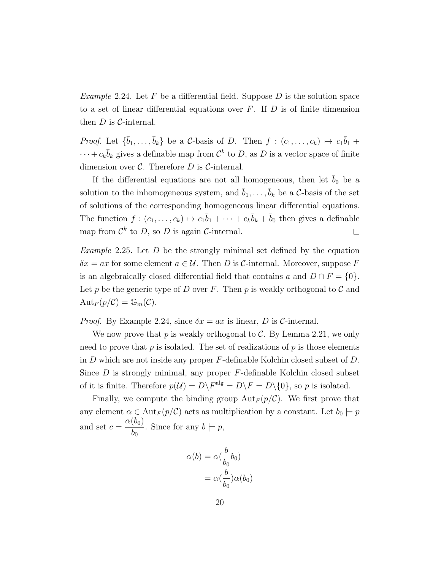<span id="page-27-0"></span>*Example* 2.24. Let F be a differential field. Suppose D is the solution space to a set of linear differential equations over  $F$ . If  $D$  is of finite dimension then  $D$  is  $C$ -internal.

*Proof.* Let  $\{\bar{b}_1,\ldots,\bar{b}_k\}$  be a C-basis of D. Then  $f : (c_1,\ldots,c_k) \mapsto c_1\bar{b}_1 + c_2\bar{b}_2$  $\cdots + c_k \bar{b}_k$  gives a definable map from  $\mathcal{C}^k$  to D, as D is a vector space of finite dimension over  $C$ . Therefore  $D$  is  $C$ -internal.

If the differential equations are not all homogeneous, then let  $b_0$  be a solution to the inhomogeneous system, and  $\bar{b}_1, \ldots, \bar{b}_k$  be a C-basis of the set of solutions of the corresponding homogeneous linear differential equations. The function  $f:(c_1,\ldots,c_k)\mapsto c_1\overline{b}_1+\cdots+c_k\overline{b}_k+\overline{b}_0$  then gives a definable map from  $\mathcal{C}^k$  to D, so D is again  $\mathcal{C}\text{-internal}$ .  $\Box$ 

*Example* 2.25. Let  $D$  be the strongly minimal set defined by the equation  $\delta x = ax$  for some element  $a \in \mathcal{U}$ . Then D is C-internal. Moreover, suppose F is an algebraically closed differential field that contains a and  $D \cap F = \{0\}.$ Let p be the generic type of D over F. Then p is weakly orthogonal to  $\mathcal C$  and  $Aut_F(p/\mathcal{C}) = \mathbb{G}_m(\mathcal{C}).$ 

*Proof.* By Example [2.24,](#page-27-0) since  $\delta x = ax$  is linear, D is C-internal.

We now prove that p is weakly orthogonal to  $\mathcal{C}$ . By Lemma [2.21,](#page-25-1) we only need to prove that  $p$  is isolated. The set of realizations of  $p$  is those elements in  $D$  which are not inside any proper  $F$ -definable Kolchin closed subset of  $D$ . Since  $D$  is strongly minimal, any proper  $F$ -definable Kolchin closed subset of it is finite. Therefore  $p(\mathcal{U}) = D\backslash F^{\text{alg}} = D\backslash F = D\backslash\{0\}$ , so p is isolated.

Finally, we compute the binding group  ${\rm Aut}_F (p/\mathcal{C})$ . We first prove that any element  $\alpha \in \text{Aut}_F(p/\mathcal{C})$  acts as multiplication by a constant. Let  $b_0 \models p$ and set  $c = \frac{\alpha(b_0)}{1}$  $b_{0}$ . Since for any  $b \models p$ ,

$$
\alpha(b) = \alpha(\frac{b}{b_0}b_0)
$$

$$
= \alpha(\frac{b}{b_0})\alpha(b_0)
$$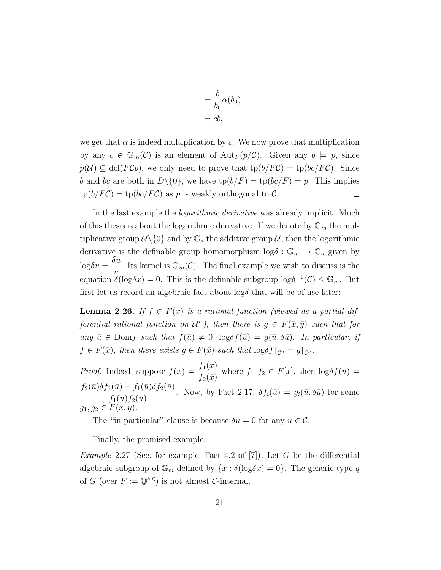$$
= \frac{b}{b_0} \alpha(b_0)
$$
  
= cb,

we get that  $\alpha$  is indeed multiplication by c. We now prove that multiplication by any  $c \in \mathbb{G}_m(\mathcal{C})$  is an element of  ${\rm Aut}_F(p/\mathcal{C})$ . Given any  $b \models p$ , since  $p(\mathcal{U}) \subseteq \text{dcl}(F\mathcal{C}b)$ , we only need to prove that  $\text{tp}(b/F\mathcal{C}) = \text{tp}(bc/F\mathcal{C})$ . Since b and bc are both in  $D\setminus\{0\}$ , we have  $tp(b/F) = tp(bc/F) = p$ . This implies  $tp(b/FC) = tp(bc/FC)$  as p is weakly orthogonal to C.  $\Box$ 

In the last example the *logarithmic derivative* was already implicit. Much of this thesis is about the logarithmic derivative. If we denote by  $\mathbb{G}_m$  the multiplicative group  $\mathcal{U}\setminus\{0\}$  and by  $\mathbb{G}_a$  the additive group  $\mathcal{U}$ , then the logarithmic derivative is the definable group homomorphism  $\log \delta : \mathbb{G}_m \to \mathbb{G}_a$  given by  $\log \delta u =$  $\delta u$  $\frac{du}{du}$ . Its kernel is  $\mathbb{G}_m(\mathcal{C})$ . The final example we wish to discuss is the equation  $\tilde{\delta}(\log \delta x) = 0$ . This is the definable subgroup  $\log \delta^{-1}(\mathcal{C}) \leq \mathbb{G}_m$ . But first let us record an algebraic fact about  $\log \delta$  that will be of use later:

**Lemma 2.26.** If  $f \in F(\bar{x})$  is a rational function (viewed as a partial differential rational function on  $\mathcal{U}^n$ ), then there is  $g \in F(\bar{x}, \bar{y})$  such that for any  $\bar{u} \in \text{Dom}f$  such that  $f(\bar{u}) \neq 0$ ,  $\log \delta f(\bar{u}) = g(\bar{u}, \delta \bar{u})$ . In particular, if  $f \in F(\bar{x})$ , then there exists  $g \in F(\bar{x})$  such that  $\log \delta f|_{C^n} = g|_{C^n}$ .

*Proof.* Indeed, suppose  $f(\bar{x}) = \frac{f_1(\bar{x})}{f_1(\bar{x})}$  $f_2(\bar x)$ where  $f_1, f_2 \in F[\bar{x}],$  then  $\log \delta f(\bar{u}) =$  $f_2(\bar{u})\delta f_1(\bar{u}) - f_1(\bar{u})\delta f_2(\bar{u})$  $f_1(\bar{u})f_2(\bar{u})$ . Now, by Fact [2.17,](#page-21-1)  $\delta f_i(\bar{u}) = g_i(\bar{u}, \delta \bar{u})$  for some  $g_1, g_2 \in \widehat{F}(\overline{x}, \overline{y}).$ 

The "in particular" clause is because  $\delta u = 0$  for any  $u \in \mathcal{C}$ .  $\Box$ 

Finally, the promised example.

<span id="page-28-0"></span>*Example* 2.27 (See, for example, Fact 4.2 of  $[7]$ ). Let G be the differential algebraic subgroup of  $\mathbb{G}_m$  defined by  $\{x : \delta(\log \delta x) = 0\}$ . The generic type q of G (over  $F := \mathbb{Q}^{\text{alg}}$ ) is not almost C-internal.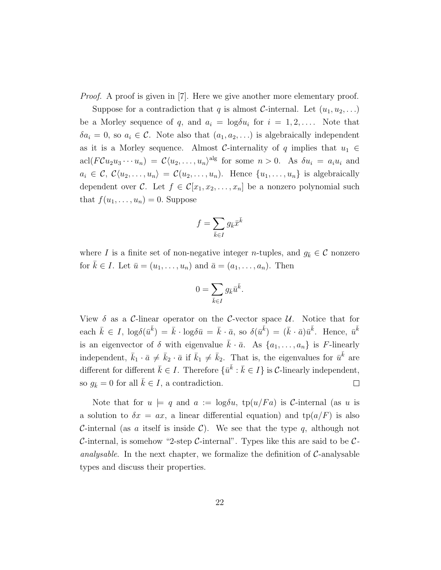*Proof.* A proof is given in [\[7\]](#page-109-7). Here we give another more elementary proof.

Suppose for a contradiction that q is almost C-internal. Let  $(u_1, u_2, \ldots)$ be a Morley sequence of q, and  $a_i = \log \delta u_i$  for  $i = 1, 2, \ldots$ . Note that  $\delta a_i = 0$ , so  $a_i \in \mathcal{C}$ . Note also that  $(a_1, a_2, \ldots)$  is algebraically independent as it is a Morley sequence. Almost C-internality of q implies that  $u_1 \in$  $\text{acl}(F\mathcal{C}u_2u_3\cdots u_n) = \mathcal{C}\langle u_2,\ldots,u_n\rangle^{\text{alg}}$  for some  $n>0$ . As  $\delta u_i = a_i u_i$  and  $a_i \in \mathcal{C}, \mathcal{C}\langle u_2, \ldots, u_n \rangle = \mathcal{C}(u_2, \ldots, u_n).$  Hence  $\{u_1, \ldots, u_n\}$  is algebraically dependent over C. Let  $f \in \mathcal{C}[x_1, x_2, \ldots, x_n]$  be a nonzero polynomial such that  $f(u_1, \ldots, u_n) = 0$ . Suppose

$$
f=\sum_{\bar{k}\in I}g_{\bar{k}}\bar{x}^{\bar{k}}
$$

where I is a finite set of non-negative integer n-tuples, and  $g_{\bar{k}} \in \mathcal{C}$  nonzero for  $\bar{k} \in I$ . Let  $\bar{u} = (u_1, \ldots, u_n)$  and  $\bar{a} = (a_1, \ldots, a_n)$ . Then

$$
0=\sum_{\bar{k}\in I}g_{\bar{k}}\bar{u}^{\bar{k}}.
$$

View  $\delta$  as a C-linear operator on the C-vector space U. Notice that for each  $\bar{k} \in I$ ,  $\log \delta(\bar{u}^{\bar{k}}) = \bar{k} \cdot \log \delta \bar{u} = \bar{k} \cdot \bar{a}$ , so  $\delta(\bar{u}^{\bar{k}}) = (\bar{k} \cdot \bar{a}) \bar{u}^{\bar{k}}$ . Hence,  $\bar{u}^{\bar{k}}$ is an eigenvector of  $\delta$  with eigenvalue  $\bar{k} \cdot \bar{a}$ . As  $\{a_1, \ldots, a_n\}$  is F-linearly independent,  $\bar{k}_1 \cdot \bar{a} \neq \bar{k}_2 \cdot \bar{a}$  if  $\bar{k}_1 \neq \bar{k}_2$ . That is, the eigenvalues for  $\bar{u}^{\bar{k}}$  are different for different  $\bar{k} \in I$ . Therefore  $\{\bar{u}^{\bar{k}} : \bar{k} \in I\}$  is C-linearly independent, so  $g_{\bar{k}} = 0$  for all  $\bar{k} \in I$ , a contradiction.  $\Box$ 

Note that for  $u \models q$  and  $a := \log \delta u$ ,  $\text{tp}(u/Fa)$  is C-internal (as u is a solution to  $\delta x = ax$ , a linear differential equation) and  $tp(a/F)$  is also C-internal (as a itself is inside C). We see that the type q, although not C-internal, is somehow "2-step C-internal". Types like this are said to be  $\mathcal{C}$ *analysable*. In the next chapter, we formalize the definition of  $C$ -analysable types and discuss their properties.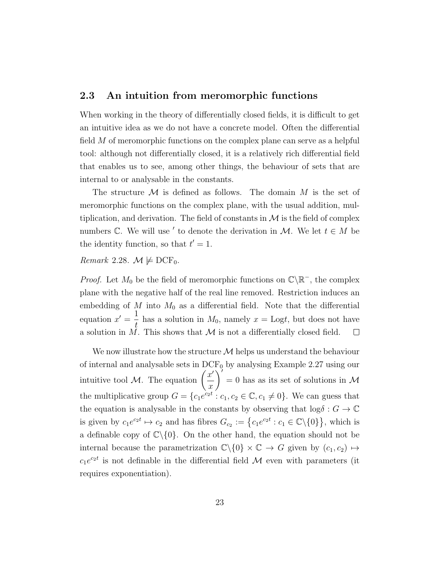#### <span id="page-30-0"></span>2.3 An intuition from meromorphic functions

When working in the theory of differentially closed fields, it is difficult to get an intuitive idea as we do not have a concrete model. Often the differential field M of meromorphic functions on the complex plane can serve as a helpful tool: although not differentially closed, it is a relatively rich differential field that enables us to see, among other things, the behaviour of sets that are internal to or analysable in the constants.

The structure  $\mathcal M$  is defined as follows. The domain  $M$  is the set of meromorphic functions on the complex plane, with the usual addition, multiplication, and derivation. The field of constants in  $\mathcal M$  is the field of complex numbers  $\mathbb{C}$ . We will use ' to denote the derivation in M. We let  $t \in M$  be the identity function, so that  $t' = 1$ .

Remark 2.28.  $\mathcal{M} \not\models DCF_0$ .

*Proof.* Let  $M_0$  be the field of meromorphic functions on  $\mathbb{C}\backslash\mathbb{R}^-$ , the complex plane with the negative half of the real line removed. Restriction induces an embedding of  $M$  into  $M_0$  as a differential field. Note that the differential equation  $x' = \frac{1}{4}$  $\frac{1}{t}$  has a solution in  $M_0$ , namely  $x = \text{Log}t$ , but does not have a solution in  $\overrightarrow{M}$ . This shows that  $\overrightarrow{M}$  is not a differentially closed field.  $\Box$ 

We now illustrate how the structure  $\mathcal M$  helps us understand the behaviour of internal and analysable sets in  $\text{DCF}_0$  by analysing Example [2.27](#page-28-0) using our intuitive tool M. The equation  $\left(\frac{x'}{x}\right)$  $\overline{x}$  $\sum$  $= 0$  has as its set of solutions in  $\mathcal{M}$ the multiplicative group  $G = \{c_1e^{c_2t} : c_1, c_2 \in \mathbb{C}, c_1 \neq 0\}$ . We can guess that the equation is analysable in the constants by observing that  $\log \delta : G \to \mathbb{C}$ is given by  $c_1e^{c_2t} \mapsto c_2$  and has fibres  $G_{c_2} := \{c_1e^{c_2t} : c_1 \in \mathbb{C} \setminus \{0\}\}\,$ , which is a definable copy of  $\mathbb{C}\setminus\{0\}$ . On the other hand, the equation should not be internal because the parametrization  $\mathbb{C}\backslash\{0\}\times\mathbb{C}\to G$  given by  $(c_1, c_2) \mapsto$  $c_1e^{c_2t}$  is not definable in the differential field M even with parameters (it requires exponentiation).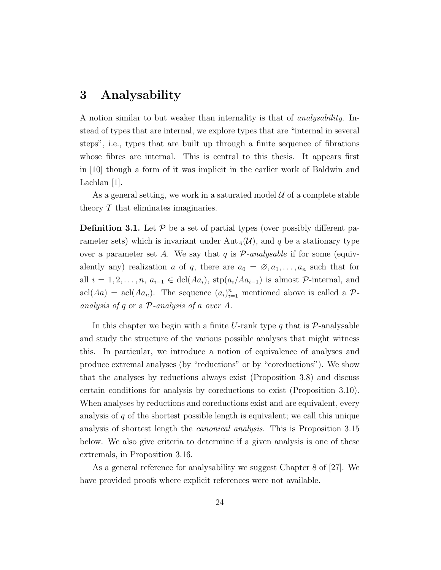### <span id="page-31-0"></span>3 Analysability

A notion similar to but weaker than internality is that of analysability. Instead of types that are internal, we explore types that are "internal in several steps", i.e., types that are built up through a finite sequence of fibrations whose fibres are internal. This is central to this thesis. It appears first in [\[10\]](#page-109-8) though a form of it was implicit in the earlier work of Baldwin and Lachlan [\[1\]](#page-109-9).

As a general setting, we work in a saturated model  $\mathcal U$  of a complete stable theory T that eliminates imaginaries.

<span id="page-31-1"></span>**Definition 3.1.** Let  $\mathcal{P}$  be a set of partial types (over possibly different parameter sets) which is invariant under  $Aut_A(\mathcal{U})$ , and q be a stationary type over a parameter set A. We say that q is  $P$ -analysable if for some (equivalently any) realization a of q, there are  $a_0 = \emptyset, a_1, \ldots, a_n$  such that for all  $i = 1, 2, \ldots, n$ ,  $a_{i-1} \in \text{dcl}(Aa_i)$ ,  $\text{stp}(a_i/Aa_{i-1})$  is almost P-internal, and  $\operatorname{acl}(Aa) = \operatorname{acl}(Aa_n)$ . The sequence  $(a_i)_{i=1}^n$  mentioned above is called a  $\mathcal{P}$ analysis of q or a  $P$ -analysis of a over A.

In this chapter we begin with a finite U-rank type q that is  $\mathcal{P}$ -analysable and study the structure of the various possible analyses that might witness this. In particular, we introduce a notion of equivalence of analyses and produce extremal analyses (by "reductions" or by "coreductions"). We show that the analyses by reductions always exist (Proposition [3.8\)](#page-36-1) and discuss certain conditions for analysis by coreductions to exist (Proposition [3.10\)](#page-37-0). When analyses by reductions and coreductions exist and are equivalent, every analysis of  $q$  of the shortest possible length is equivalent; we call this unique analysis of shortest length the canonical analysis. This is Proposition [3.15](#page-40-0) below. We also give criteria to determine if a given analysis is one of these extremals, in Proposition [3.16.](#page-41-0)

As a general reference for analysability we suggest Chapter 8 of [\[27\]](#page-111-2). We have provided proofs where explicit references were not available.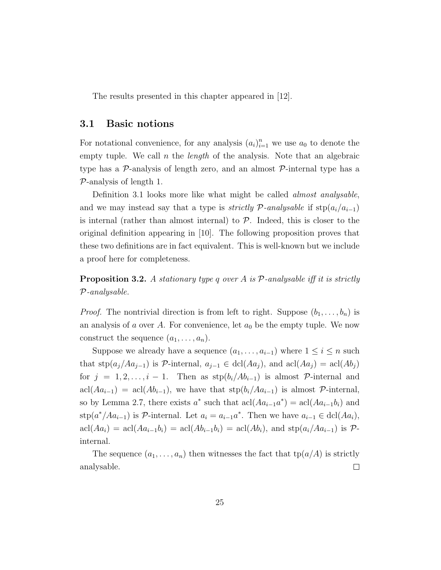The results presented in this chapter appeared in [\[12\]](#page-110-2).

#### <span id="page-32-0"></span>3.1 Basic notions

For notational convenience, for any analysis  $(a_i)_{i=1}^n$  we use  $a_0$  to denote the empty tuple. We call  $n$  the *length* of the analysis. Note that an algebraic type has a  $\mathcal{P}$ -analysis of length zero, and an almost  $\mathcal{P}$ -internal type has a  $P$ -analysis of length 1.

Definition [3.1](#page-31-1) looks more like what might be called *almost analysable*, and we may instead say that a type is *strictly P-analysable* if  $\text{stp}(a_i/a_{i-1})$ is internal (rather than almost internal) to  $P$ . Indeed, this is closer to the original definition appearing in [\[10\]](#page-109-8). The following proposition proves that these two definitions are in fact equivalent. This is well-known but we include a proof here for completeness.

**Proposition 3.2.** A stationary type q over A is  $P$ -analysable iff it is strictly P-analysable.

*Proof.* The nontrivial direction is from left to right. Suppose  $(b_1, \ldots, b_n)$  is an analysis of a over A. For convenience, let  $a_0$  be the empty tuple. We now construct the sequence  $(a_1, \ldots, a_n)$ .

Suppose we already have a sequence  $(a_1, \ldots, a_{i-1})$  where  $1 \leq i \leq n$  such that  $\text{stp}(a_j/Aa_{j-1})$  is P-internal,  $a_{j-1} \in \text{dcl}(Aa_j)$ , and  $\text{acl}(Aa_j) = \text{acl}(Ab_j)$ for  $j = 1, 2, \ldots, i - 1$ . Then as  $\text{stp}(b_i/Ab_{i-1})$  is almost P-internal and  $\text{acl}(Aa_{i-1}) = \text{acl}(Ab_{i-1}),$  we have that  $\text{stp}(b_i/Aa_{i-1})$  is almost  $\mathcal{P}\text{-internal},$ so by Lemma [2.7,](#page-17-0) there exists  $a^*$  such that  $\text{acl}(Aa_{i-1}a^*) = \text{acl}(Aa_{i-1}b_i)$  and stp $(a^*/Aa_{i-1})$  is  $\mathcal P$ -internal. Let  $a_i = a_{i-1}a^*$ . Then we have  $a_{i-1} \in \text{dcl}(Aa_i)$ ,  $\operatorname{acl}(Aa_i) = \operatorname{acl}(Aa_{i-1}b_i) = \operatorname{acl}(Ab_{i-1}b_i) = \operatorname{acl}(Ab_i)$ , and  $\operatorname{stp}(a_i/Aa_{i-1})$  is  $\mathcal{P}$ internal.

The sequence  $(a_1, \ldots, a_n)$  then witnesses the fact that  $tp(a/A)$  is strictly analysable.  $\Box$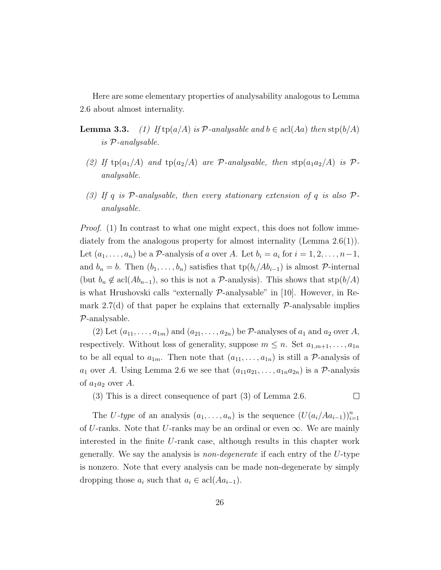Here are some elementary properties of analysability analogous to Lemma [2.6](#page-16-1) about almost internality.

- **Lemma 3.3.** (1) If  $tp(a/A)$  is P-analysable and  $b \in \text{acl}(Aa)$  then  $\text{stp}(b/A)$ is P-analysable.
	- (2) If  $tp(a_1/A)$  and  $tp(a_2/A)$  are P-analysable, then  $stp(a_1a_2/A)$  is Panalysable.
	- (3) If q is  $P$ -analysable, then every stationary extension of q is also  $P$ analysable.

*Proof.* (1) In contrast to what one might expect, this does not follow immediately from the analogous property for almost internality (Lemma [2.6\(](#page-16-1)1)). Let  $(a_1, \ldots, a_n)$  be a  $\mathcal{P}$ -analysis of a over A. Let  $b_i = a_i$  for  $i = 1, 2, \ldots, n-1$ , and  $b_n = b$ . Then  $(b_1, \ldots, b_n)$  satisfies that  $tp(b_i/Ab_{i-1})$  is almost P-internal (but  $b_n \notin \text{acl}(Ab_{n-1})$ , so this is not a P-analysis). This shows that  $\text{stp}(b/A)$ is what Hrushovski calls "externally  $\mathcal{P}$ -analysable" in [\[10\]](#page-109-8). However, in Remark 2.7(d) of that paper he explains that externally  $\mathcal{P}$ -analysable implies P-analysable.

(2) Let  $(a_{11}, \ldots, a_{1m})$  and  $(a_{21}, \ldots, a_{2n})$  be  $P$ -analyses of  $a_1$  and  $a_2$  over A, respectively. Without loss of generality, suppose  $m \leq n$ . Set  $a_{1,m+1}, \ldots, a_{1n}$ to be all equal to  $a_{1m}$ . Then note that  $(a_{11}, \ldots, a_{1n})$  is still a P-analysis of  $a_1$  over A. Using Lemma [2.6](#page-16-1) we see that  $(a_{11}a_{21}, \ldots, a_{1n}a_{2n})$  is a P-analysis of  $a_1a_2$  over A.

(3) This is a direct consequence of part (3) of Lemma [2.6.](#page-16-1)

 $\Box$ 

The U-type of an analysis  $(a_1, \ldots, a_n)$  is the sequence  $(U(a_i/Aa_{i-1}))_{i=1}^n$ of U-ranks. Note that U-ranks may be an ordinal or even  $\infty$ . We are mainly interested in the finite U-rank case, although results in this chapter work generally. We say the analysis is non-degenerate if each entry of the U-type is nonzero. Note that every analysis can be made non-degenerate by simply dropping those  $a_i$  such that  $a_i \in \text{acl}(Aa_{i-1})$ .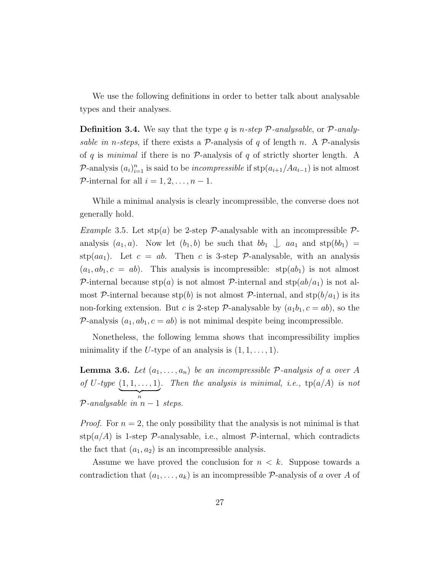We use the following definitions in order to better talk about analysable types and their analyses.

**Definition 3.4.** We say that the type q is n-step  $P$ -analysable, or  $P$ -analysable in n-steps, if there exists a P-analysis of q of length n. A P-analysis of q is minimal if there is no  $\mathcal{P}$ -analysis of q of strictly shorter length. A P-analysis  $(a_i)_{i=1}^n$  is said to be *incompressible* if  $\text{stp}(a_{i+1}/Aa_{i-1})$  is not almost P-internal for all  $i = 1, 2, \ldots, n - 1$ .

While a minimal analysis is clearly incompressible, the converse does not generally hold.

Example 3.5. Let  $\text{stp}(a)$  be 2-step P-analysable with an incompressible Panalysis  $(a_1, a)$ . Now let  $(b_1, b)$  be such that  $bb_1 \perp aa_1$  and  $\text{stp}(bb_1) =$ stp(aa<sub>1</sub>). Let  $c = ab$ . Then c is 3-step P-analysable, with an analysis  $(a_1, ab_1, c = ab)$ . This analysis is incompressible:  $\text{stp}(ab_1)$  is not almost P-internal because  $\text{stp}(a)$  is not almost P-internal and  $\text{stp}(ab/a_1)$  is not almost P-internal because stp(b) is not almost P-internal, and  $\text{stp}(b/a_1)$  is its non-forking extension. But c is 2-step  $P$ -analysable by  $(a_1b_1, c = ab)$ , so the P-analysis  $(a_1, ab_1, c = ab)$  is not minimal despite being incompressible.

Nonetheless, the following lemma shows that incompressibility implies minimality if the U-type of an analysis is  $(1, 1, \ldots, 1)$ .

**Lemma 3.6.** Let  $(a_1, \ldots, a_n)$  be an incompressible P-analysis of a over A of U-type  $(1, 1, ..., 1)$  $\overbrace{n}$ . Then the analysis is minimal, i.e.,  $tp(a/A)$  is not  $P$ -analysable in  $n-1$  steps.

*Proof.* For  $n = 2$ , the only possibility that the analysis is not minimal is that  $\text{stp}(a/A)$  is 1-step P-analysable, i.e., almost P-internal, which contradicts the fact that  $(a_1, a_2)$  is an incompressible analysis.

Assume we have proved the conclusion for  $n < k$ . Suppose towards a contradiction that  $(a_1, \ldots, a_k)$  is an incompressible  $\mathcal{P}$ -analysis of a over A of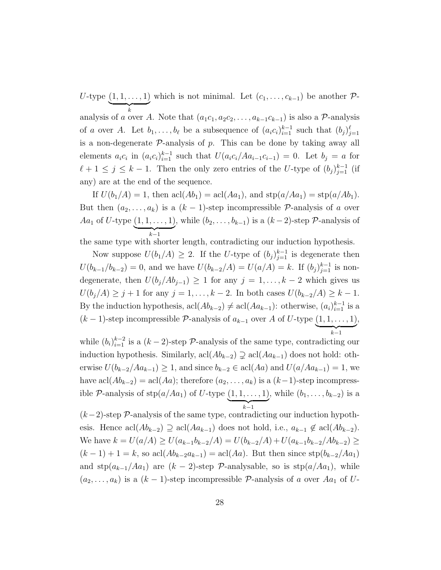$U$ -type  $(1, 1, \ldots, 1)$  $\overbrace{k}$ which is not minimal. Let  $(c_1, \ldots, c_{k-1})$  be another  $\mathcal{P}$ analysis of a over A. Note that  $(a_1c_1, a_2c_2, \ldots, a_{k-1}c_{k-1})$  is also a  $\mathcal{P}$ -analysis of a over A. Let  $b_1, \ldots, b_\ell$  be a subsequence of  $(a_i c_i)_{i=1}^{k-1}$  such that  $(b_j)_{j=1}^{\ell}$ is a non-degenerate  $P$ -analysis of  $p$ . This can be done by taking away all elements  $a_i c_i$  in  $(a_i c_i)_{i=1}^{k-1}$  such that  $U(a_i c_i / A a_{i-1} c_{i-1}) = 0$ . Let  $b_j = a$  for  $\ell + 1 \leq j \leq k - 1$ . Then the only zero entries of the U-type of  $(b_j)_{j=1}^{k-1}$  (if any) are at the end of the sequence.

If  $U(b_1/A) = 1$ , then  $\text{acl}(Ab_1) = \text{acl}(Aa_1)$ , and  $\text{stp}(a/Aa_1) = \text{stp}(a/Ab_1)$ . But then  $(a_2, \ldots, a_k)$  is a  $(k-1)$ -step incompressible  $\mathcal{P}$ -analysis of a over *Aa*<sub>1</sub> of *U*-type  $(1, 1, ..., 1)$  $\overline{k-1}$ , while  $(b_2, \ldots, b_{k-1})$  is a  $(k-2)$ -step  $\mathcal{P}$ -analysis of

the same type with shorter length, contradicting our induction hypothesis.

Now suppose  $U(b_1/A) \geq 2$ . If the U-type of  $(b_j)_{j=1}^{k-1}$  is degenerate then  $U(b_{k-1}/b_{k-2}) = 0$ , and we have  $U(b_{k-2}/A) = U(a/A) = k$ . If  $(b_j)_{j=1}^{k-1}$  is nondegenerate, then  $U(b_j/Ab_{j-1}) \geq 1$  for any  $j = 1, ..., k-2$  which gives us  $U(b_j/A) \geq j+1$  for any  $j = 1, ..., k-2$ . In both cases  $U(b_{k-2}/A) \geq k-1$ . By the induction hypothesis,  $\text{acl}(Ab_{k-2}) \neq \text{acl}(Aa_{k-1})$ : otherwise,  $(a_i)_{i=1}^{k-1}$  is a  $(k-1)$ -step incompressible  $\mathcal{P}$ -analysis of  $a_{k-1}$  over A of U-type  $(1, 1, \ldots, 1)$  $\overline{k-1}$ ,

while  $(b_i)_{i=1}^{k-2}$  is a  $(k-2)$ -step  $P$ -analysis of the same type, contradicting our induction hypothesis. Similarly, acl( $Ab_{k-2}$ )  $\supsetneq$  acl( $Aa_{k-1}$ ) does not hold: otherwise  $U(b_{k-2}/Aa_{k-1}) \geq 1$ , and since  $b_{k-2} \in \text{acl}(Aa)$  and  $U(a/Aa_{k-1}) = 1$ , we have  $\text{acl}(Ab_{k-2}) = \text{acl}(Aa)$ ; therefore  $(a_2, \ldots, a_k)$  is a  $(k-1)$ -step incompressible  $P$ -analysis of  $\text{stp}(a/Aa_1)$  of U-type  $(1, 1, \ldots, 1)$  $\overline{k-1}$ , while  $(b_1, \ldots, b_{k-2})$  is a

 $(k-2)$ -step  $\mathcal{P}$ -analysis of the same type, contradicting our induction hypothesis. Hence  $\text{acl}(Ab_{k-2}) \supseteq \text{acl}(Aa_{k-1})$  does not hold, i.e.,  $a_{k-1} \notin \text{acl}(Ab_{k-2})$ . We have  $k = U(a/A) \ge U(a_{k-1}b_{k-2}/A) = U(b_{k-2}/A) + U(a_{k-1}b_{k-2}/Ab_{k-2}) \ge$  $(k-1) + 1 = k$ , so acl $(Ab_{k-2}a_{k-1}) = \text{acl}(Aa)$ . But then since stp $(b_{k-2}/Aa_1)$ and  $\text{stp}(a_{k-1}/Aa_1)$  are  $(k-2)$ -step  $\mathcal{P}\text{-analysisable}$ , so is  $\text{stp}(a/Aa_1)$ , while  $(a_2, \ldots, a_k)$  is a  $(k-1)$ -step incompressible  $\mathcal{P}$ -analysis of a over  $Aa_1$  of U-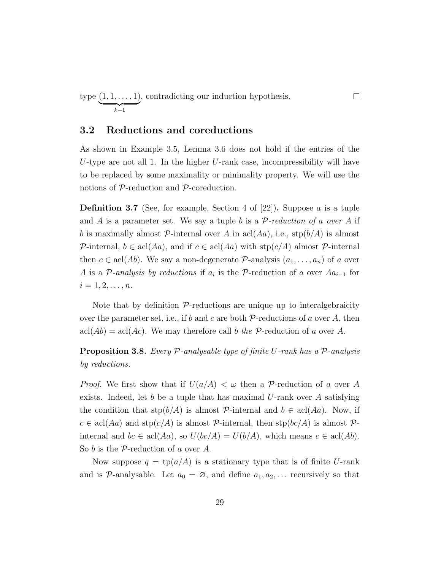type  $(1, 1, \ldots, 1)$  $\overline{k-1}$ , contradicting our induction hypothesis.

#### 3.2 Reductions and coreductions

As shown in Example [3.5,](#page-34-0) Lemma [3.6](#page-34-1) does not hold if the entries of the U-type are not all 1. In the higher U-rank case, incompressibility will have to be replaced by some maximality or minimality property. We will use the notions of P-reduction and P-coreduction.

 $\Box$ 

**Definition 3.7** (See, for example, Section 4 of [\[22\]](#page-111-0)). Suppose a is a tuple and A is a parameter set. We say a tuple b is a  $P$ -reduction of a over A if b is maximally almost P-internal over A in acl(Aa), i.e.,  $\text{stp}(b/A)$  is almost P-internal,  $b \in \text{acl}(Aa)$ , and if  $c \in \text{acl}(Aa)$  with  $\text{stp}(c/A)$  almost P-internal then  $c \in \text{acl}(Ab)$ . We say a non-degenerate  $\mathcal{P}\text{-analysis }(a_1, \ldots, a_n)$  of a over A is a  $\mathcal{P}\text{-}analysis$  by reductions if  $a_i$  is the  $\mathcal{P}\text{-reduction of }a$  over  $Aa_{i-1}$  for  $i = 1, 2, \ldots, n$ .

Note that by definition  $P$ -reductions are unique up to interalgebraicity over the parameter set, i.e., if b and c are both  $\mathcal{P}\text{-reductions of }a$  over A, then  $\text{acl}(Ab) = \text{acl}(Ac)$ . We may therefore call b the P-reduction of a over A.

<span id="page-36-0"></span>**Proposition 3.8.** Every  $P$ -analysable type of finite U-rank has a  $P$ -analysis by reductions.

*Proof.* We first show that if  $U(a/A) < \omega$  then a P-reduction of a over A exists. Indeed, let b be a tuple that has maximal U-rank over A satisfying the condition that  $\text{stp}(b/A)$  is almost P-internal and  $b \in \text{acl}(Aa)$ . Now, if  $c \in \text{acl}(Aa)$  and  $\text{stp}(c/A)$  is almost  $\mathcal P$ -internal, then  $\text{stp}(bc/A)$  is almost  $\mathcal P$ internal and  $bc \in \text{acl}(Aa)$ , so  $U(bc/A) = U(b/A)$ , which means  $c \in \text{acl}(Ab)$ . So  $b$  is the  $P$ -reduction of  $a$  over  $A$ .

Now suppose  $q = \text{tp}(a/A)$  is a stationary type that is of finite U-rank and is  $\mathcal{P}$ -analysable. Let  $a_0 = \emptyset$ , and define  $a_1, a_2, \ldots$  recursively so that

29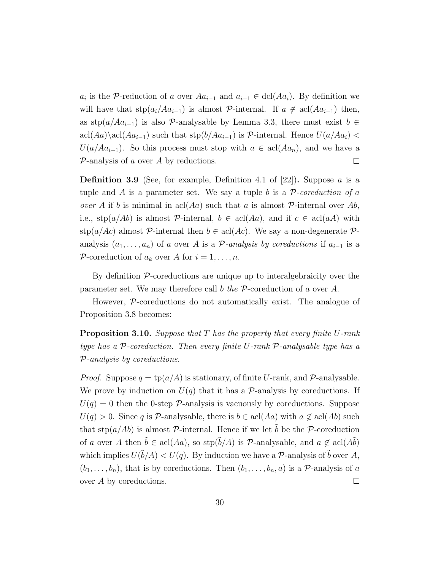$a_i$  is the P-reduction of a over  $Aa_{i-1}$  and  $a_{i-1} \in \text{dcl}(Aa_i)$ . By definition we will have that  $\text{stp}(a_i/Aa_{i-1})$  is almost P-internal. If  $a \notin \text{acl}(Aa_{i-1})$  then, as stp( $a/Aa_{i-1}$ ) is also P-analysable by Lemma [3.3,](#page-33-0) there must exist  $b \in$ acl(Aa)\acl(Aa<sub>i-1</sub>) such that stp(b/Aa<sub>i-1</sub>) is P-internal. Hence  $U(a/Aa_i)$  <  $U(a/Aa_{i-1})$ . So this process must stop with  $a \in \text{acl}(Aa_n)$ , and we have a  $\mathcal{P}$ -analysis of a over A by reductions.  $\Box$ 

**Definition 3.9** (See, for example, Definition 4.1 of [\[22\]](#page-111-0)). Suppose a is a tuple and A is a parameter set. We say a tuple b is a P-coreduction of a over A if b is minimal in acl $(Aa)$  such that a is almost P-internal over Ab, i.e.,  $\text{stp}(a/Ab)$  is almost P-internal,  $b \in \text{acl}(Aa)$ , and if  $c \in \text{acl}(aA)$  with stp( $a/Ac$ ) almost P-internal then  $b \in \text{acl}(Ac)$ . We say a non-degenerate Panalysis  $(a_1, \ldots, a_n)$  of a over A is a P-analysis by coreductions if  $a_{i-1}$  is a P-coreduction of  $a_k$  over A for  $i = 1, \ldots, n$ .

By definition  $P$ -coreductions are unique up to interalgebraicity over the parameter set. We may therefore call b the  $P$ -coreduction of a over A.

However, P-coreductions do not automatically exist. The analogue of Proposition [3.8](#page-36-0) becomes:

<span id="page-37-0"></span>**Proposition 3.10.** Suppose that  $T$  has the property that every finite  $U$ -rank type has a P-coreduction. Then every finite U-rank P-analysable type has a P-analysis by coreductions.

*Proof.* Suppose  $q = \text{tp}(a/A)$  is stationary, of finite U-rank, and P-analysable. We prove by induction on  $U(q)$  that it has a P-analysis by coreductions. If  $U(q) = 0$  then the 0-step P-analysis is vacuously by coreductions. Suppose  $U(q) > 0$ . Since q is P-analysable, there is  $b \in \text{acl}(Aa)$  with  $a \notin \text{acl}(Ab)$  such that  $\text{stp}(a/Ab)$  is almost P-internal. Hence if we let b be the P-coreduction of a over A then  $\tilde{b} \in \text{acl}(Aa)$ , so  $\text{stp}(\tilde{b}/A)$  is P-analysable, and  $a \notin \text{acl}(A\tilde{b})$ which implies  $U(\tilde{b}/A) < U(q)$ . By induction we have a P-analysis of  $\tilde{b}$  over A,  $(b_1, \ldots, b_n)$ , that is by coreductions. Then  $(b_1, \ldots, b_n, a)$  is a P-analysis of a over A by coreductions.  $\Box$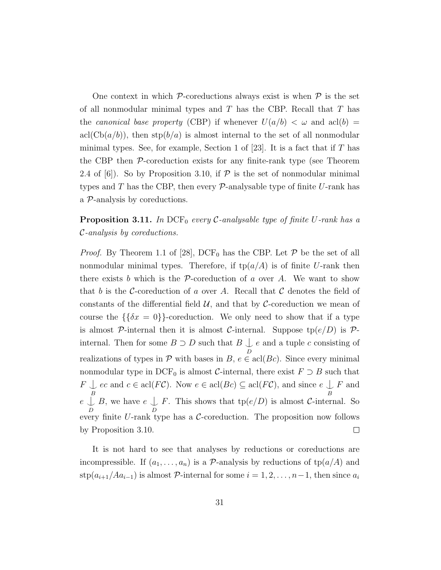One context in which  $P$ -coreductions always exist is when  $P$  is the set of all nonmodular minimal types and  $T$  has the CBP. Recall that  $T$  has the *canonical base property* (CBP) if whenever  $U(a/b) < \omega$  and  $\text{acl}(b) =$  $\operatorname{acl}(Cb(a/b))$ , then  $\operatorname{stp}(b/a)$  is almost internal to the set of all nonmodular minimal types. See, for example, Section 1 of [\[23\]](#page-111-1). It is a fact that if  $T$  has the CBP then P-coreduction exists for any finite-rank type (see Theorem 2.4 of [\[6\]](#page-109-0)). So by Proposition [3.10,](#page-37-0) if  $P$  is the set of nonmodular minimal types and  $T$  has the CBP, then every  $\mathcal{P}$ -analysable type of finite U-rank has a P-analysis by coreductions.

## <span id="page-38-0"></span>**Proposition 3.11.** In DCF<sub>0</sub> every C-analysable type of finite U-rank has a C-analysis by coreductions.

*Proof.* By Theorem 1.1 of [\[28\]](#page-111-2), DCF<sub>0</sub> has the CBP. Let  $P$  be the set of all nonmodular minimal types. Therefore, if  $tp(a/A)$  is of finite U-rank then there exists b which is the  $P$ -coreduction of a over A. We want to show that b is the C-coreduction of a over A. Recall that C denotes the field of constants of the differential field  $\mathcal{U}$ , and that by C-coreduction we mean of course the  $\{\delta x = 0\}$ -coreduction. We only need to show that if a type is almost P-internal then it is almost C-internal. Suppose  $tp(e/D)$  is Pinternal. Then for some  $B \supset D$  such that  $B \bigcup_{D}$ e and a tuple c consisting of realizations of types in  $P$  with bases in  $B, e \in \text{acl}(Bc)$ . Since every minimal nonmodular type in DCF<sub>0</sub> is almost C-internal, there exist  $F \supset B$  such that  $F \cup_{c}^{\mathcal{C}}$  ec and  $c \in \text{acl}(F\mathcal{C})$ . Now  $e \in \text{acl}(Bc) \subseteq \text{acl}(F\mathcal{C})$ , and since  $e \cup_{c}^{\mathcal{C}} F$  and  $e \bigcup_{D}^{B} B$ , we have  $e \bigcup_{D} F$ . This shows that  $tp(e/D)$  is almost *C*-inter F. This shows that  $tp(e/D)$  is almost C-internal. So every finite  $U$ -rank type has a  $C$ -coreduction. The proposition now follows by Proposition [3.10.](#page-37-0)  $\Box$ 

It is not hard to see that analyses by reductions or coreductions are incompressible. If  $(a_1, \ldots, a_n)$  is a P-analysis by reductions of  $tp(a/A)$  and stp $(a_{i+1}/Aa_{i-1})$  is almost P-internal for some  $i = 1, 2, ..., n-1$ , then since  $a_i$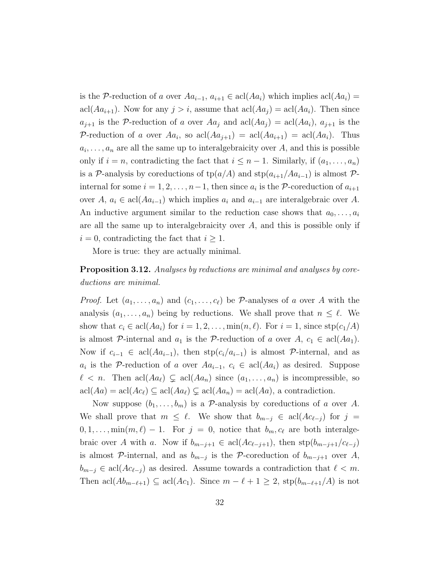is the P-reduction of a over  $Aa_{i-1}, a_{i+1} \in \text{acl}(Aa_i)$  which implies  $\text{acl}(Aa_i)$ acl( $Aa_{i+1}$ ). Now for any  $j > i$ , assume that  $\operatorname{acl}(Aa_j) = \operatorname{acl}(Aa_i)$ . Then since  $a_{j+1}$  is the P-reduction of a over  $Aa_j$  and  $\operatorname{acl}(Aa_j) = \operatorname{acl}(Aa_i)$ ,  $a_{j+1}$  is the P-reduction of a over  $Aa_i$ , so  $\text{acl}(Aa_{i+1}) = \text{acl}(Aa_{i+1}) = \text{acl}(Aa_i)$ . Thus  $a_i, \ldots, a_n$  are all the same up to interalgebraicity over A, and this is possible only if  $i = n$ , contradicting the fact that  $i \leq n - 1$ . Similarly, if  $(a_1, \ldots, a_n)$ is a P-analysis by coreductions of  $tp(a/A)$  and  $stp(a_{i+1}/Aa_{i-1})$  is almost Pinternal for some  $i = 1, 2, \ldots, n-1$ , then since  $a_i$  is the P-coreduction of  $a_{i+1}$ over A,  $a_i \in \text{acl}(Aa_{i-1})$  which implies  $a_i$  and  $a_{i-1}$  are interalgebraic over A. An inductive argument similar to the reduction case shows that  $a_0, \ldots, a_i$ are all the same up to interalgebraicity over A, and this is possible only if  $i = 0$ , contradicting the fact that  $i \geq 1$ .

More is true: they are actually minimal.

### <span id="page-39-0"></span>**Proposition 3.12.** Analyses by reductions are minimal and analyses by coreductions are minimal.

*Proof.* Let  $(a_1, \ldots, a_n)$  and  $(c_1, \ldots, c_\ell)$  be P-analyses of a over A with the analysis  $(a_1, \ldots, a_n)$  being by reductions. We shall prove that  $n \leq \ell$ . We show that  $c_i \in \text{acl}(Aa_i)$  for  $i = 1, 2, \ldots, \min(n, \ell)$ . For  $i = 1$ , since  $\text{stp}(c_1/A)$ is almost P-internal and  $a_1$  is the P-reduction of a over  $A, c_1 \in \text{acl}(Aa_1)$ . Now if  $c_{i-1} \in \text{acl}(Aa_{i-1})$ , then  $\text{stp}(c_i/a_{i-1})$  is almost P-internal, and as  $a_i$  is the P-reduction of a over  $Aa_{i-1}, c_i \in \text{acl}(Aa_i)$  as desired. Suppose  $\ell < n$ . Then acl $(Aa_{\ell}) \subsetneq \text{acl}(Aa_n)$  since  $(a_1, \ldots, a_n)$  is incompressible, so  $\operatorname{acl}(Aa) = \operatorname{acl}(Ac_{\ell}) \subseteq \operatorname{acl}(Aa_{\ell}) \subsetneq \operatorname{acl}(Aa_{n}) = \operatorname{acl}(Aa)$ , a contradiction.

Now suppose  $(b_1, \ldots, b_m)$  is a P-analysis by coreductions of a over A. We shall prove that  $m \leq \ell$ . We show that  $b_{m-j} \in \text{acl}(Ac_{\ell-j})$  for  $j =$  $0, 1, \ldots, \min(m, \ell) - 1$ . For  $j = 0$ , notice that  $b_m, c_\ell$  are both interalgebraic over A with a. Now if  $b_{m-j+1} \in \text{acl}(Ac_{\ell-j+1}),$  then  $\text{stp}(b_{m-j+1}/c_{\ell-j})$ is almost  $\mathcal{P}\text{-internal}$ , and as  $b_{m-j}$  is the  $\mathcal{P}\text{-correlation}$  of  $b_{m-j+1}$  over A,  $b_{m-j} \in \text{acl}(Ac_{\ell-j})$  as desired. Assume towards a contradiction that  $\ell < m$ . Then acl $(Ab_{m-\ell+1}) \subseteq \text{acl}(Ac_1)$ . Since  $m - \ell + 1 \geq 2$ , stp $(b_{m-\ell+1}/A)$  is not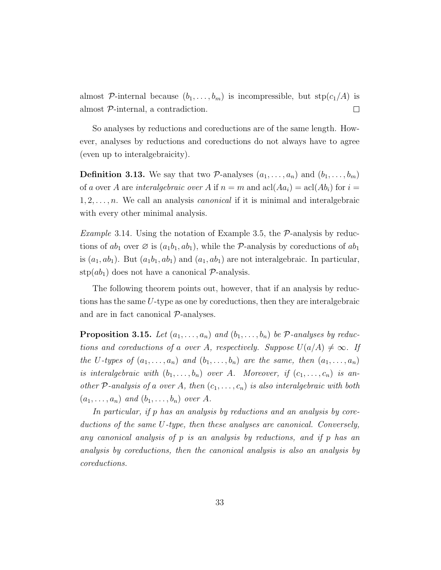almost P-internal because  $(b_1, \ldots, b_m)$  is incompressible, but  $\text{stp}(c_1/A)$  is almost P-internal, a contradiction.  $\Box$ 

So analyses by reductions and coreductions are of the same length. However, analyses by reductions and coreductions do not always have to agree (even up to interalgebraicity).

**Definition 3.13.** We say that two P-analyses  $(a_1, \ldots, a_n)$  and  $(b_1, \ldots, b_m)$ of a over A are interalgebraic over A if  $n = m$  and  $\text{acl}(Aa_i) = \text{acl}(Ab_i)$  for  $i =$  $1, 2, \ldots, n$ . We call an analysis *canonical* if it is minimal and interalgebraic with every other minimal analysis.

*Example* 3.14. Using the notation of Example [3.5,](#page-34-0) the  $P$ -analysis by reductions of  $ab_1$  over  $\emptyset$  is  $(a_1b_1, ab_1)$ , while the P-analysis by coreductions of  $ab_1$ is  $(a_1, ab_1)$ . But  $(a_1b_1, ab_1)$  and  $(a_1, ab_1)$  are not interalgebraic. In particular,  $\text{stp}(ab_1)$  does not have a canonical  $\mathcal{P}\text{-analysis.}$ 

The following theorem points out, however, that if an analysis by reductions has the same U-type as one by coreductions, then they are interalgebraic and are in fact canonical  $P$ -analyses.

<span id="page-40-0"></span>**Proposition 3.15.** Let  $(a_1, \ldots, a_n)$  and  $(b_1, \ldots, b_n)$  be P-analyses by reductions and coreductions of a over A, respectively. Suppose  $U(a/A) \neq \infty$ . If the U-types of  $(a_1, \ldots, a_n)$  and  $(b_1, \ldots, b_n)$  are the same, then  $(a_1, \ldots, a_n)$ is interalgebraic with  $(b_1, \ldots, b_n)$  over A. Moreover, if  $(c_1, \ldots, c_n)$  is another P-analysis of a over A, then  $(c_1, \ldots, c_n)$  is also interalgebraic with both  $(a_1, \ldots, a_n)$  and  $(b_1, \ldots, b_n)$  over A.

In particular, if p has an analysis by reductions and an analysis by coreductions of the same U-type, then these analyses are canonical. Conversely, any canonical analysis of p is an analysis by reductions, and if p has an analysis by coreductions, then the canonical analysis is also an analysis by coreductions.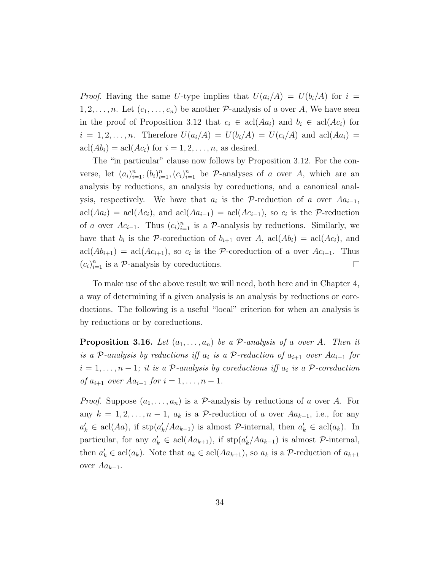*Proof.* Having the same U-type implies that  $U(a_i/A) = U(b_i/A)$  for  $i =$  $1, 2, \ldots, n$ . Let  $(c_1, \ldots, c_n)$  be another  $P$ -analysis of a over A, We have seen in the proof of Proposition [3.12](#page-39-0) that  $c_i \in \text{acl}(Aa_i)$  and  $b_i \in \text{acl}(Ac_i)$  for  $i = 1, 2, \ldots, n$ . Therefore  $U(a_i/A) = U(b_i/A) = U(c_i/A)$  and  $\text{acl}(Aa_i) =$  $\operatorname{acl}(Ab_i) = \operatorname{acl}(Ac_i)$  for  $i = 1, 2, \ldots, n$ , as desired.

The "in particular" clause now follows by Proposition [3.12.](#page-39-0) For the converse, let  $(a_i)_{i=1}^n, (b_i)_{i=1}^n, (c_i)_{i=1}^n$  be P-analyses of a over A, which are an analysis by reductions, an analysis by coreductions, and a canonical analysis, respectively. We have that  $a_i$  is the P-reduction of a over  $Aa_{i-1}$ ,  $\text{acl}(Aa_i) = \text{acl}(Ac_i)$ , and  $\text{acl}(Aa_{i-1}) = \text{acl}(Ac_{i-1})$ , so  $c_i$  is the P-reduction of a over  $Ac_{i-1}$ . Thus  $(c_i)_{i=1}^n$  is a P-analysis by reductions. Similarly, we have that  $b_i$  is the P-coreduction of  $b_{i+1}$  over A,  $\operatorname{acl}(Ab_i) = \operatorname{acl}(Ac_i)$ , and  $\text{acl}(Ab_{i+1}) = \text{acl}(Ac_{i+1}),$  so  $c_i$  is the P-coreduction of a over  $Ac_{i-1}$ . Thus  $(c_i)_{i=1}^n$  is a  $\mathcal{P}$ -analysis by coreductions.  $\Box$ 

To make use of the above result we will need, both here and in Chapter [4,](#page-46-0) a way of determining if a given analysis is an analysis by reductions or coreductions. The following is a useful "local" criterion for when an analysis is by reductions or by coreductions.

<span id="page-41-0"></span>**Proposition 3.16.** Let  $(a_1, \ldots, a_n)$  be a P-analysis of a over A. Then it is a P-analysis by reductions iff  $a_i$  is a P-reduction of  $a_{i+1}$  over  $Aa_{i-1}$  for  $i = 1, \ldots, n-1$ ; it is a P-analysis by coreductions iff  $a_i$  is a P-coreduction of  $a_{i+1}$  over  $Aa_{i-1}$  for  $i = 1, ..., n-1$ .

*Proof.* Suppose  $(a_1, \ldots, a_n)$  is a P-analysis by reductions of a over A. For any  $k = 1, 2, \ldots, n - 1$ ,  $a_k$  is a P-reduction of a over  $Aa_{k-1}$ , i.e., for any  $a'_k \in \text{acl}(Aa)$ , if  $\text{stp}(a'_k/Aa_{k-1})$  is almost P-internal, then  $a'_k \in \text{acl}(a_k)$ . In particular, for any  $a'_k \in \text{acl}(Aa_{k+1})$ , if  $\text{stp}(a'_k/Aa_{k-1})$  is almost  $\mathcal{P}\text{-internal}$ , then  $a'_k \in \text{acl}(a_k)$ . Note that  $a_k \in \text{acl}(Aa_{k+1})$ , so  $a_k$  is a P-reduction of  $a_{k+1}$ over  $Aa_{k-1}$ .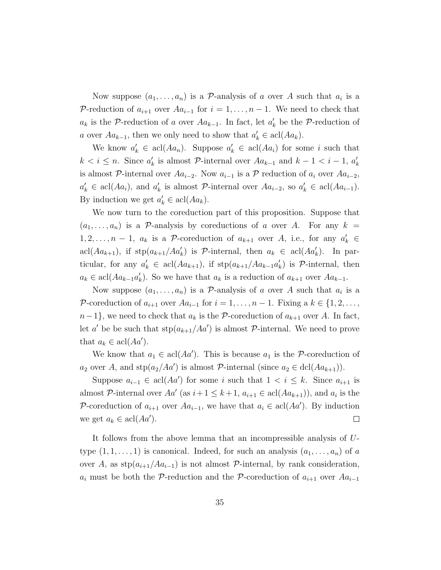Now suppose  $(a_1, \ldots, a_n)$  is a P-analysis of a over A such that  $a_i$  is a P-reduction of  $a_{i+1}$  over  $Aa_{i-1}$  for  $i = 1, ..., n-1$ . We need to check that  $a_k$  is the P-reduction of a over  $Aa_{k-1}$ . In fact, let  $a'_k$  be the P-reduction of a over  $Aa_{k-1}$ , then we only need to show that  $a'_k \in \text{acl}(Aa_k)$ .

We know  $a'_k \in \text{acl}(Aa_n)$ . Suppose  $a'_k \in \text{acl}(Aa_i)$  for some i such that  $k < i \leq n$ . Since  $a'_k$  is almost  $\mathcal{P}$ -internal over  $Aa_{k-1}$  and  $k-1 < i-1$ ,  $a'_k$ is almost P-internal over  $Aa_{i-2}$ . Now  $a_{i-1}$  is a P reduction of  $a_i$  over  $Aa_{i-2}$ ,  $a'_k \in \text{acl}(Aa_i)$ , and  $a'_k$  is almost  $\mathcal{P}\text{-internal over } Aa_{i-2}$ , so  $a'_k \in \text{acl}(Aa_{i-1})$ . By induction we get  $a'_k \in \text{acl}(Aa_k)$ .

We now turn to the coreduction part of this proposition. Suppose that  $(a_1, \ldots, a_n)$  is a P-analysis by coreductions of a over A. For any  $k =$ 1, 2, ...,  $n-1$ ,  $a_k$  is a P-coreduction of  $a_{k+1}$  over A, i.e., for any  $a'_k \in$ acl $(Aa_{k+1}),$  if  $\text{stp}(a_{k+1}/Aa_k')$  is  $\mathcal{P}\text{-internal}$ , then  $a_k \in \text{acl}(Aa_k')$ . In particular, for any  $a'_k \in \text{acl}(Aa_{k+1})$ , if  $\text{stp}(a_{k+1}/Aa_{k-1}a'_k)$  is  $\mathcal{P}\text{-internal}$ , then  $a_k \in \text{acl}(Aa_{k-1}a'_k)$ . So we have that  $a_k$  is a reduction of  $a_{k+1}$  over  $Aa_{k-1}$ .

Now suppose  $(a_1, \ldots, a_n)$  is a P-analysis of a over A such that  $a_i$  is a P-coreduction of  $a_{i+1}$  over  $Aa_{i-1}$  for  $i = 1, \ldots, n-1$ . Fixing a  $k \in \{1, 2, \ldots, n-1\}$  $n-1$ , we need to check that  $a_k$  is the P-coreduction of  $a_{k+1}$  over A. In fact, let a' be be such that  $\text{stp}(a_{k+1}/Aa')$  is almost P-internal. We need to prove that  $a_k \in \operatorname{acl}(Aa')$ .

We know that  $a_1 \in \text{acl}(Aa')$ . This is because  $a_1$  is the P-coreduction of  $a_2$  over A, and stp $(a_2/Aa')$  is almost P-internal (since  $a_2 \in \text{dcl}(Aa_{k+1})$ ).

Suppose  $a_{i-1} \in \text{acl}(Aa')$  for some i such that  $1 \lt i \leq k$ . Since  $a_{i+1}$  is almost P-internal over  $Aa'$  (as  $i+1 \leq k+1$ ,  $a_{i+1} \in \text{acl}(Aa_{k+1})$ ), and  $a_i$  is the P-coreduction of  $a_{i+1}$  over  $Aa_{i-1}$ , we have that  $a_i \in \text{acl}(Aa')$ . By induction we get  $a_k \in \operatorname{acl}(Aa')$ .  $\Box$ 

It follows from the above lemma that an incompressible analysis of Utype  $(1, 1, \ldots, 1)$  is canonical. Indeed, for such an analysis  $(a_1, \ldots, a_n)$  of a over A, as  $\text{stp}(a_{i+1}/Aa_{i-1})$  is not almost P-internal, by rank consideration,  $a_i$  must be both the P-reduction and the P-coreduction of  $a_{i+1}$  over  $Aa_{i-1}$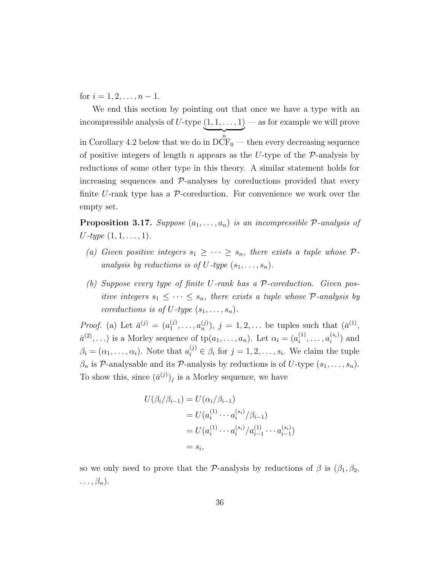for  $i = 1, 2, \ldots, n - 1$ .

We end this section by pointing out that once we have a type with an incompressible analysis of U-type  $(1, 1, \ldots, 1)$  $\overbrace{n}$ in Corollary [4.2](#page-48-0) below that we do in  $\overline{DCF_0}$  — then every decreasing sequence — as for example we will prove of positive integers of length n appears as the U-type of the  $\mathcal{P}$ -analysis by reductions of some other type in this theory. A similar statement holds for increasing sequences and  $\mathcal{P}$ -analyses by coreductions provided that every finite U-rank type has a  $\mathcal{P}$ -coreduction. For convenience we work over the empty set.

<span id="page-43-0"></span>**Proposition 3.17.** Suppose  $(a_1, \ldots, a_n)$  is an incompressible P-analysis of  $U$ -type  $(1, 1, \ldots, 1)$ .

- (a) Given positive integers  $s_1 \geq \cdots \geq s_n$ , there exists a tuple whose  $\mathcal{P}$ analysis by reductions is of U-type  $(s_1, \ldots, s_n)$ .
- (b) Suppose every type of finite U-rank has a  $P$ -coreduction. Given positive integers  $s_1 \leq \cdots \leq s_n$ , there exists a tuple whose  $\mathcal{P}$ -analysis by coreductions is of U-type  $(s_1, \ldots, s_n)$ .

*Proof.* (a) Let  $\bar{a}^{(j)} = (a_1^{(j)})$  $a_1^{(j)}, \ldots, a_n^{(j)}$ ,  $j = 1, 2, \ldots$  be tuples such that  $(\bar{a}^{(1)}, \ldots, a_n^{(j)})$  $\bar{a}^{(2)},...$ ) is a Morley sequence of  $tp(a_1,..., a_n)$ . Let  $\alpha_i = (a_i^{(1)})$  $a_i^{(1)}, \ldots, a_i^{(s_i)}$  $i^{(s_i)}$  and  $\beta_i = (\alpha_1, \ldots, \alpha_i)$ . Note that  $a_i^{(j)} \in \beta_i$  for  $j = 1, 2, \ldots, s_i$ . We claim the tuple  $\beta_n$  is P-analysable and its P-analysis by reductions is of U-type  $(s_1, \ldots, s_n)$ . To show this, since  $(\bar{a}^{(j)})_j$  is a Morley sequence, we have

$$
U(\beta_i/\beta_{i-1}) = U(\alpha_i/\beta_{i-1})
$$
  
=  $U(a_i^{(1)} \cdots a_i^{(s_i)}/\beta_{i-1})$   
=  $U(a_i^{(1)} \cdots a_i^{(s_i)}/a_{i-1}^{(1)} \cdots a_{i-1}^{(s_i)})$   
=  $s_i$ ,

so we only need to prove that the P-analysis by reductions of  $\beta$  is  $(\beta_1, \beta_2, \beta_3)$  $\ldots, \beta_n$ .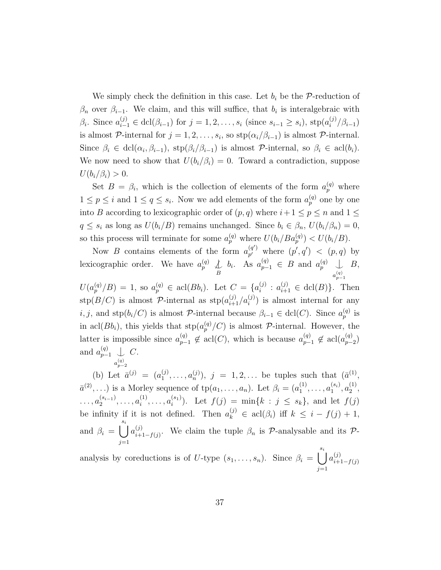We simply check the definition in this case. Let  $b_i$  be the P-reduction of  $\beta_n$  over  $\beta_{i-1}$ . We claim, and this will suffice, that  $b_i$  is interalgebraic with  $\beta_i$ . Since  $a_{i-1}^{(j)} \in \text{dcl}(\beta_{i-1})$  for  $j = 1, 2, ..., s_i$  (since  $s_{i-1} \geq s_i$ ),  $\text{stp}(a_i^{(j)})$  $\binom{[j]}{i}$  $(\beta_{i-1})$ is almost  $\mathcal{P}\text{-internal for }j=1,2,\ldots,s_i\text{, so }\text{stp}(\alpha_i/\beta_{i-1})\text{ is almost } \mathcal{P}\text{-internal.}$ Since  $\beta_i \in \text{dcl}(\alpha_i, \beta_{i-1}), \text{stp}(\beta_i/\beta_{i-1})$  is almost  $\mathcal{P}\text{-internal}, \text{ so } \beta_i \in \text{acl}(b_i)$ . We now need to show that  $U(b_i/\beta_i) = 0$ . Toward a contradiction, suppose  $U(b_i/\beta_i) > 0.$ 

Set  $B = \beta_i$ , which is the collection of elements of the form  $a_p^{(q)}$  where  $1 \leq p \leq i$  and  $1 \leq q \leq s_i$ . Now we add elements of the form  $a_p^{(q)}$  one by one into B according to lexicographic order of  $(p, q)$  where  $i+1 \leq p \leq n$  and  $1 \leq$  $q \leq s_i$  as long as  $U(b_i/B)$  remains unchanged. Since  $b_i \in \beta_n$ ,  $U(b_i/\beta_n) = 0$ , so this process will terminate for some  $a_p^{(q)}$  where  $U(b_i/Ba_p^{(q)}) < U(b_i/B)$ .

Now B contains elements of the form  $a_{n'}^{(q')}$  $p' \text{where } (p', q') \lt (p, q)$  by lexicographic order. We have  $a_p^{(q)} \nightharpoonup_B^{\mathcal{L}}$  $b_i$ . As  $a_{p-1}^{(q)} \in B$  and  $a_p^{(q)} \perp$  $a_{p-1}^{(q)}$ B,  $U(a_p^{(q)}/B) = 1$ , so  $a_p^{(q)} \in \text{acl}(Bb_i)$ . Let  $C = \{a_i^{(j)}\}$  $i_j^{(j)}$ :  $a_{i+1}^{(j)} \in \text{dcl}(B)$ . Then

 $\text{stp}(B/C)$  is almost  $\mathcal{P}\text{-internal}$  as  $\text{stp}(a_{i+1}^{(j)}/a_i^{(j)})$  is almost internal for any i, j, and stp $(b_i/C)$  is almost P-internal because  $\beta_{i-1} \in \text{dcl}(C)$ . Since  $a_p^{(q)}$  is in acl $(Bb_i)$ , this yields that  $\text{stp}(a_p^{(q)}/C)$  is almost  $P$ -internal. However, the latter is impossible since  $a_{p-1}^{(q)} \notin \text{acl}(C)$ , which is because  $a_{p-1}^{(q)} \notin \text{acl}(a_{p-1}^{(q)})$  $_{p-2}^{(q)} )$ and  $a_{p-1}^{(q)} \perp$  $a_{p-2}^{(q)}$  $C$ .

(b) Let  $\bar{a}^{(j)} = (a_1^{(j)})$  $(2^{(j)}, \ldots, (n^{(j)}), j = 1, 2, \ldots$  be tuples such that  $(\bar{a}^{(1)},$  $\bar{a}^{(2)},...$ ) is a Morley sequence of  $tp(a_1,..., a_n)$ . Let  $\beta_i = (a_1^{(1)})$  $a_1^{(1)}, \ldots, a_1^{(s_i)}$  $\binom{(s_i)}{1},\binom{(1)}{2}$  $\frac{(1)}{2}$ ,  $\ldots, a_2^{(s_{i-1})}$  $a_2^{(s_{i-1})}, \ldots, a_i^{(1)}$  $a_i^{(1)}, \ldots, a_i^{(s_1)}$  $i^{(s_1)}$ ). Let  $f(j) = \min\{k : j \leq s_k\}$ , and let  $f(j)$ be infinity if it is not defined. Then  $a_k^{(j)} \in \operatorname{acl}(\beta_i)$  iff  $k \leq i - f(j) + 1$ , and  $\beta_i = \begin{bmatrix} s_i \\ \end{bmatrix}$  $j=1$  $a_{i\pm}^{(j)}$  $\lim_{i+1-f(j)}$ . We claim the tuple  $\beta_n$  is  $\mathcal{P}$ -analysable and its  $\mathcal{P}$ -

analysis by coreductions is of U-type  $(s_1, \ldots, s_n)$ . Since  $\beta_i = \begin{bmatrix} s_i \\ j \end{bmatrix}$  $j=1$  $a_{i+1}^{(j)}$  $i+1-f(j)$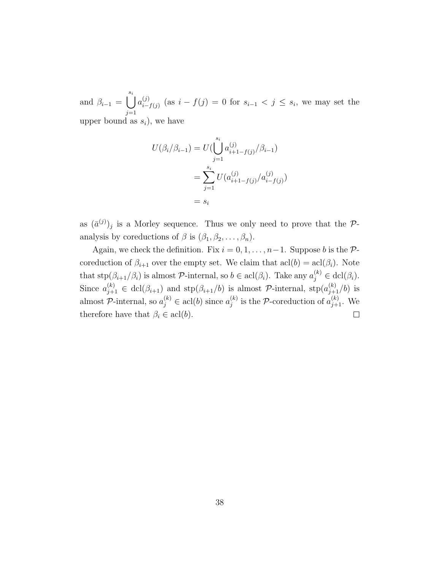and  $\beta_{i-1} = \begin{pmatrix} s_i \\ j \end{pmatrix}$  $j=1$  $a_{i-}^{(j)}$  $\sum_{i=f(j)}^{(j)}$  (as  $i-f(j) = 0$  for  $s_{i-1} < j \leq s_i$ , we may set the upper bound as  $s_i$ ), we have

$$
U(\beta_i/\beta_{i-1}) = U(\bigcup_{j=1}^{s_i} a_{i+1-f(j)}^{(j)}/\beta_{i-1})
$$
  
= 
$$
\sum_{j=1}^{s_i} U(a_{i+1-f(j)}^{(j)}/a_{i-f(j)}^{(j)})
$$
  
= 
$$
s_i
$$

as  $(\bar{a}^{(j)})_j$  is a Morley sequence. Thus we only need to prove that the Panalysis by coreductions of  $\beta$  is  $(\beta_1, \beta_2, \ldots, \beta_n)$ .

Again, we check the definition. Fix  $i = 0, 1, \ldots, n-1$ . Suppose b is the Pcoreduction of  $\beta_{i+1}$  over the empty set. We claim that  $\text{acl}(\mathfrak{b}) = \text{acl}(\beta_i)$ . Note that  $\text{stp}(\beta_{i+1}/\beta_i)$  is almost  $\mathcal{P}\text{-internal}$ , so  $b \in \text{acl}(\beta_i)$ . Take any  $a_j^{(k)} \in \text{dcl}(\beta_i)$ . Since  $a_{j+1}^{(k)} \in \text{dcl}(\beta_{i+1})$  and  $\text{stp}(\beta_{i+1}/b)$  is almost  $\mathcal{P}\text{-internal}$ ,  $\text{stp}(a_{j+1}^{(k)}/b)$  is almost P-internal, so  $a_j^{(k)} \in \text{acl}(b)$  since  $a_j^{(k)}$  $j^{(k)}_j$  is the P-coreduction of  $a_{j+1}^{(k)}$ . We therefore have that  $\beta_i \in \text{acl}(b)$ .  $\Box$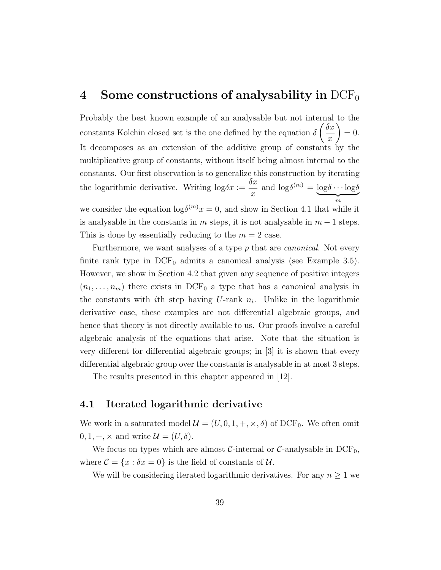## <span id="page-46-0"></span>4 Some constructions of analysability in  $DCF_0$

Probably the best known example of an analysable but not internal to the constants Kolchin closed set is the one defined by the equation  $\delta$  $\int$   $\delta x$  $\overline{x}$  $\setminus$  $= 0.$ It decomposes as an extension of the additive group of constants by the multiplicative group of constants, without itself being almost internal to the constants. Our first observation is to generalize this construction by iterating the logarithmic derivative. Writing  $\log \delta x :=$  $\delta x$  $\overline{x}$ and  $\log \delta^{(m)} = \log \delta \cdots \log \delta$  $\frac{1}{m}$ we consider the equation  $\log \delta^{(m)} x = 0$ , and show in Section [4.1](#page-46-1) that while it is analysable in the constants in m steps, it is not analysable in  $m-1$  steps. This is done by essentially reducing to the  $m = 2$  case.

Furthermore, we want analyses of a type p that are *canonical*. Not every finite rank type in  $DCF_0$  admits a canonical analysis (see Example [3.5\)](#page-34-0). However, we show in Section [4.2](#page-49-0) that given any sequence of positive integers  $(n_1, \ldots, n_m)$  there exists in DCF<sub>0</sub> a type that has a canonical analysis in the constants with *i*th step having U-rank  $n_i$ . Unlike in the logarithmic derivative case, these examples are not differential algebraic groups, and hence that theory is not directly available to us. Our proofs involve a careful algebraic analysis of the equations that arise. Note that the situation is very different for differential algebraic groups; in [\[3\]](#page-109-1) it is shown that every differential algebraic group over the constants is analysable in at most 3 steps.

The results presented in this chapter appeared in [\[12\]](#page-110-0).

#### <span id="page-46-1"></span>4.1 Iterated logarithmic derivative

We work in a saturated model  $\mathcal{U} = (U, 0, 1, +, \times, \delta)$  of DCF<sub>0</sub>. We often omit  $0, 1, +, \times$  and write  $\mathcal{U} = (U, \delta)$ .

We focus on types which are almost  $\mathcal{C}\text{-internal or } \mathcal{C}\text{-analysable in } DCF_0$ , where  $\mathcal{C} = \{x : \delta x = 0\}$  is the field of constants of  $\mathcal{U}$ .

We will be considering iterated logarithmic derivatives. For any  $n \geq 1$  we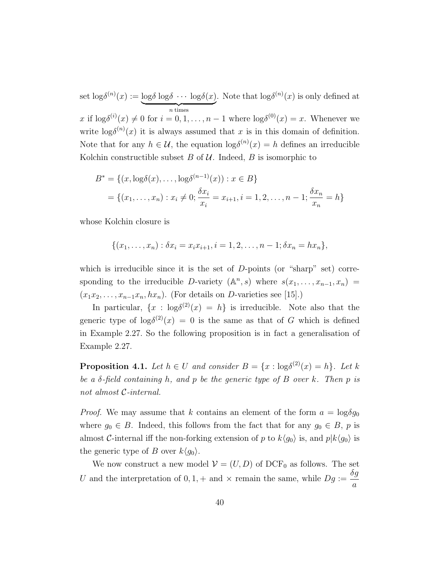set  $\log \delta^{(n)}(x) := \log \delta \log \delta \cdots \log \delta(x)$  $\overbrace{n \text{ times}}$ . Note that  $\log \delta^{(n)}(x)$  is only defined at x if  $\log \delta^{(i)}(x) \neq 0$  for  $i = 0, 1, ..., n - 1$  where  $\log \delta^{(0)}(x) = x$ . Whenever we write  $\log \delta^{(n)}(x)$  it is always assumed that x is in this domain of definition. Note that for any  $h \in \mathcal{U}$ , the equation  $\log \delta^{(n)}(x) = h$  defines an irreducible Kolchin constructible subset  $B$  of  $U$ . Indeed,  $B$  is isomorphic to

$$
B^* = \{(x, \log \delta(x), \dots, \log \delta^{(n-1)}(x)) : x \in B\}
$$
  
=  $\{(x_1, \dots, x_n) : x_i \neq 0; \frac{\delta x_i}{x_i} = x_{i+1}, i = 1, 2, \dots, n-1; \frac{\delta x_n}{x_n} = h\}$ 

whose Kolchin closure is

$$
\{(x_1,\ldots,x_n): \delta x_i = x_i x_{i+1}, i = 1,2,\ldots,n-1; \delta x_n = h x_n\},\
$$

which is irreducible since it is the set of  $D$ -points (or "sharp" set) corresponding to the irreducible D-variety  $(\mathbb{A}^n, s)$  where  $s(x_1, \ldots, x_{n-1}, x_n)$  $(x_1x_2, \ldots, x_{n-1}x_n, hx_n)$ . (For details on D-varieties see [\[15\]](#page-110-1).)

In particular,  $\{x : \log \delta^{(2)}(x) = h\}$  is irreducible. Note also that the generic type of  $\log \delta^{(2)}(x) = 0$  is the same as that of G which is defined in Example [2.27.](#page-28-0) So the following proposition is in fact a generalisation of Example [2.27.](#page-28-0)

<span id="page-47-0"></span>**Proposition 4.1.** Let  $h \in U$  and consider  $B = \{x : \log \delta^{(2)}(x) = h\}$ . Let k be a  $\delta$ -field containing h, and p be the generic type of B over k. Then p is not almost C-internal.

*Proof.* We may assume that k contains an element of the form  $a = \log \delta g_0$ where  $g_0 \in B$ . Indeed, this follows from the fact that for any  $g_0 \in B$ , p is almost C-internal iff the non-forking extension of p to  $k\langle g_0 \rangle$  is, and  $p|k\langle g_0 \rangle$  is the generic type of B over  $k\langle q_0 \rangle$ .

We now construct a new model  $\mathcal{V} = (U, D)$  of DCF<sub>0</sub> as follows. The set U and the interpretation of  $0, 1, +$  and  $\times$  remain the same, while  $Dg := \frac{\delta g}{\delta}$ a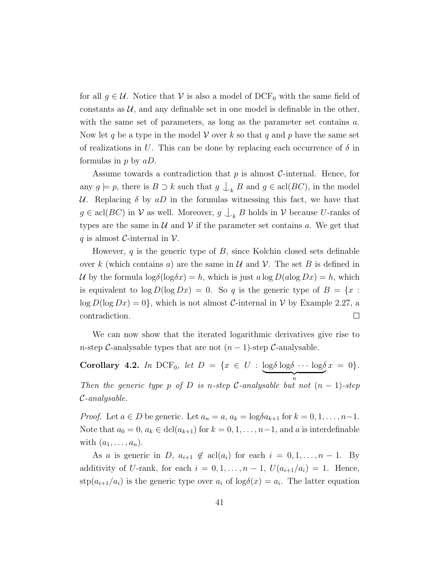for all  $g \in \mathcal{U}$ . Notice that  $\mathcal{V}$  is also a model of DCF<sub>0</sub> with the same field of constants as  $U$ , and any definable set in one model is definable in the other, with the same set of parameters, as long as the parameter set contains a. Now let q be a type in the model V over k so that q and p have the same set of realizations in U. This can be done by replacing each occurrence of  $\delta$  in formulas in  $p$  by  $aD$ .

Assume towards a contradiction that  $p$  is almost  $\mathcal{C}$ -internal. Hence, for any  $g \models p$ , there is  $B \supset k$  such that  $g \bigcup_k B$  and  $g \in \text{acl}(BC)$ , in the model U. Replacing  $\delta$  by aD in the formulas witnessing this fact, we have that  $g \in \text{acl}(BC)$  in  $V$  as well. Moreover,  $g \downarrow_k B$  holds in  $V$  because U-ranks of types are the same in  $\mathcal U$  and  $\mathcal V$  if the parameter set contains a. We get that q is almost C-internal in  $\mathcal V$ .

However,  $q$  is the generic type of  $B$ , since Kolchin closed sets definable over k (which contains a) are the same in  $\mathcal U$  and  $\mathcal V$ . The set B is defined in U by the formula  $\log \delta(\log \delta x) = h$ , which is just a  $\log D(a \log Dx) = h$ , which is equivalent to  $\log D(\log Dx) = 0$ . So q is the generic type of  $B = \{x :$  $\log D(\log Dx) = 0$ , which is not almost *C*-internal in *V* by Example [2.27,](#page-28-0) a contradiction.  $\Box$ 

We can now show that the iterated logarithmic derivatives give rise to n-step C-analysable types that are not  $(n-1)$ -step C-analysable.

<span id="page-48-0"></span>Corollary 4.2. In DCF<sub>0</sub>, let  $D = \{x \in U : \log \delta \log \delta \cdots \log \delta\}$  $\overbrace{n}$ Then the generic type p of D is n-step C-analysable but not  $(n-1)$ -step  $x = 0$ . C-analysable.

*Proof.* Let  $a \in D$  be generic. Let  $a_n = a$ ,  $a_k = \log \delta a_{k+1}$  for  $k = 0, 1, \ldots, n-1$ . Note that  $a_0 = 0$ ,  $a_k \in \text{dcl}(a_{k+1})$  for  $k = 0, 1, \ldots, n-1$ , and a is interdefinable with  $(a_1, \ldots, a_n)$ .

As a is generic in D,  $a_{i+1} \notin \text{acl}(a_i)$  for each  $i = 0, 1, \ldots, n-1$ . By additivity of U-rank, for each  $i = 0, 1, \ldots, n-1$ ,  $U(a_{i+1}/a_i) = 1$ . Hence,  $\sup(a_{i+1}/a_i)$  is the generic type over  $a_i$  of  $\log \delta(x) = a_i$ . The latter equation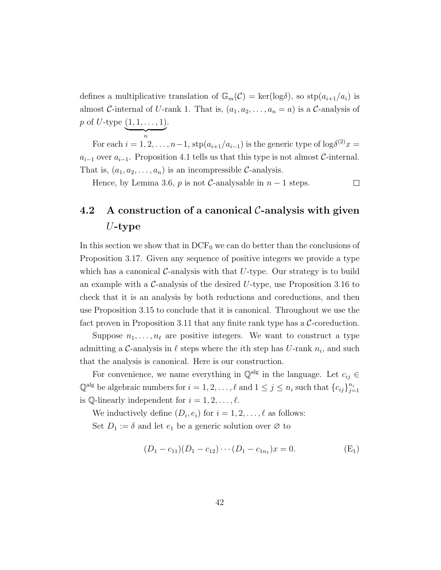defines a multiplicative translation of  $\mathbb{G}_m(\mathcal{C}) = \text{ker}(\log \delta)$ , so  $\text{stp}(a_{i+1}/a_i)$  is almost C-internal of U-rank 1. That is,  $(a_1, a_2, \ldots, a_n = a)$  is a C-analysis of p of U-type  $(1, 1, \ldots, 1)$ .

 $\overbrace{n}$ For each  $i = 1, 2, \ldots, n-1$ ,  $\text{stp}(a_{i+1}/a_{i-1})$  is the generic type of  $\log \delta^{(2)} x =$  $a_{i-1}$  over  $a_{i-1}$ . Proposition [4.1](#page-47-0) tells us that this type is not almost C-internal. That is,  $(a_1, a_2, \ldots, a_n)$  is an incompressible C-analysis.

Hence, by Lemma [3.6,](#page-34-1) p is not  $\mathcal{C}$ -analysable in  $n-1$  steps.

 $\Box$ 

## <span id="page-49-0"></span>4.2 A construction of a canonical  $\mathcal{C}$ -analysis with given  $U$ -type

In this section we show that in  $DCF_0$  we can do better than the conclusions of Proposition [3.17.](#page-43-0) Given any sequence of positive integers we provide a type which has a canonical C-analysis with that  $U$ -type. Our strategy is to build an example with a  $\mathcal{C}$ -analysis of the desired U-type, use Proposition [3.16](#page-41-0) to check that it is an analysis by both reductions and coreductions, and then use Proposition [3.15](#page-40-0) to conclude that it is canonical. Throughout we use the fact proven in Proposition [3.11](#page-38-0) that any finite rank type has a  $C$ -coreduction.

Suppose  $n_1, \ldots, n_\ell$  are positive integers. We want to construct a type admitting a C-analysis in  $\ell$  steps where the *i*<sup>th</sup> step has U-rank  $n_i$ , and such that the analysis is canonical. Here is our construction.

For convenience, we name everything in  $\mathbb{Q}^{\text{alg}}$  in the language. Let  $c_{ij} \in$  $\mathbb{Q}^{\text{alg}}$  be algebraic numbers for  $i = 1, 2, \ldots, \ell$  and  $1 \leq j \leq n_i$  such that  $\{c_{ij}\}_{j=1}^{n_i}$ is  $\mathbb Q$ -linearly independent for  $i = 1, 2, \ldots, \ell$ .

We inductively define  $(D_i, e_i)$  for  $i = 1, 2, ..., \ell$  as follows: Set  $D_1 := \delta$  and let  $e_1$  be a generic solution over  $\varnothing$  to

$$
(D_1 - c_{11})(D_1 - c_{12}) \cdots (D_1 - c_{1n_1})x = 0.
$$
 (E<sub>1</sub>)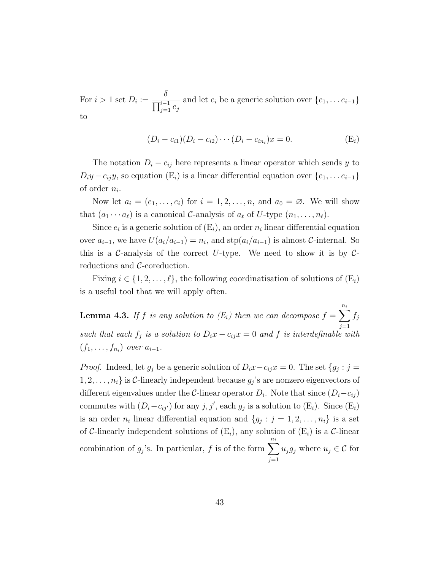For  $i > 1$  set  $D_i :=$  $\delta$  $\prod_{j=1}^{i-1} e_j$ and let  $e_i$  be a generic solution over  $\{e_1, \ldots e_{i-1}\}$ to

$$
(D_i - c_{i1})(D_i - c_{i2}) \cdots (D_i - c_{in_i})x = 0.
$$
 (E<sub>i</sub>)

The notation  $D_i - c_{ij}$  here represents a linear operator which sends y to  $D_iy - c_{ij}y$ , so equation  $(E_i)$  is a linear differential equation over  $\{e_1, \ldots e_{i-1}\}$ of order  $n_i$ .

Now let  $a_i = (e_1, \ldots, e_i)$  for  $i = 1, 2, \ldots, n$ , and  $a_0 = \emptyset$ . We will show that  $(a_1 \cdots a_\ell)$  is a canonical C-analysis of  $a_\ell$  of U-type  $(n_1, \ldots, n_\ell)$ .

Since  $e_i$  is a generic solution of  $(E_i)$ , an order  $n_i$  linear differential equation over  $a_{i-1}$ , we have  $U(a_i/a_{i-1}) = n_i$ , and  $\text{stp}(a_i/a_{i-1})$  is almost C-internal. So this is a C-analysis of the correct U-type. We need to show it is by  $C$ reductions and C-coreduction.

Fixing  $i \in \{1, 2, \ldots, \ell\}$ , the following coordinatisation of solutions of  $(E_i)$ is a useful tool that we will apply often.

<span id="page-50-0"></span>**Lemma 4.3.** If f is any solution to  $(E_i)$  then we can decompose  $f = \sum_{i=1}^{n_i} f_i$  $j=1$ such that each  $f_j$  is a solution to  $D_i x - c_{ij} x = 0$  and f is interdefinable with  $(f_1,\ldots,f_{n_i})$  over  $a_{i-1}$ .

*Proof.* Indeed, let  $g_j$  be a generic solution of  $D_i x - c_{ij} x = 0$ . The set  $\{g_j : j = 0\}$  $1, 2, \ldots, n_i$  is C-linearly independent because  $g_j$ 's are nonzero eigenvectors of different eigenvalues under the C-linear operator  $D_i$ . Note that since  $(D_i-c_{ij})$ commutes with  $(D_i - c_{ij})$  for any  $j, j'$ , each  $g_j$  is a solution to  $(E_i)$ . Since  $(E_i)$ is an order  $n_i$  linear differential equation and  $\{g_j : j = 1, 2, \ldots, n_i\}$  is a set of C-linearly independent solutions of  $(E_i)$ , any solution of  $(E_i)$  is a C-linear combination of  $g_j$ 's. In particular, f is of the form  $\sum_{i=1}^{n_i}$  $j=1$  $u_j g_j$  where  $u_j \in \mathcal{C}$  for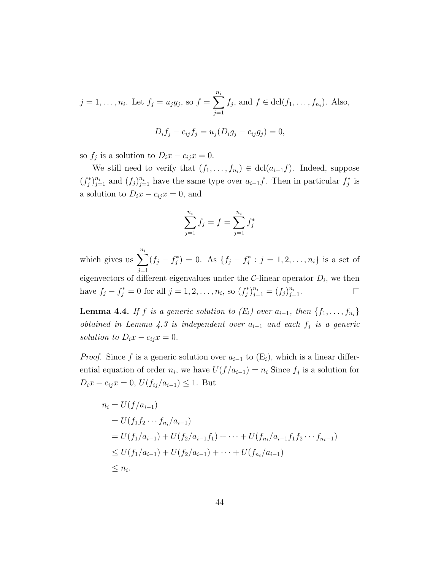$$
j = 1, ..., n_i
$$
. Let  $f_j = u_j g_j$ , so  $f = \sum_{j=1}^{n_i} f_j$ , and  $f \in \text{dcl}(f_1, ..., f_{n_i})$ . Also,  

$$
D_i f_j - c_{ij} f_j = u_j (D_i g_j - c_{ij} g_j) = 0,
$$

so  $f_j$  is a solution to  $D_i x - c_{ij} x = 0$ .

We still need to verify that  $(f_1, \ldots, f_{n_i}) \in \text{dcl}(a_{i-1}f)$ . Indeed, suppose  $(f_j^*)_{j=1}^{n_i}$  and  $(f_j)_{j=1}^{n_i}$  have the same type over  $a_{i-1}f$ . Then in particular  $f_j^*$  is a solution to  $D_i x - c_{ij} x = 0$ , and

$$
\sum_{j=1}^{n_i} f_j = f = \sum_{j=1}^{n_i} f_j^*
$$

which gives us  $\sum_{i=1}^{n_i}$  $(f_j - f_j^*) = 0$ . As  $\{f_j - f_j^* : j = 1, 2, ..., n_i\}$  is a set of  $j=1$ eigenvectors of different eigenvalues under the  $C$ -linear operator  $D_i$ , we then have  $f_j - f_j^* = 0$  for all  $j = 1, 2, ..., n_i$ , so  $(f_j^*)_{j=1}^{n_i} = (f_j)_{j=1}^{n_i}$ .  $\Box$ 

<span id="page-51-0"></span>**Lemma 4.4.** If f is a generic solution to  $(E_i)$  over  $a_{i-1}$ , then  $\{f_1, \ldots, f_{n_i}\}$ obtained in Lemma [4.3](#page-50-0) is independent over  $a_{i-1}$  and each  $f_j$  is a generic solution to  $D_i x - c_{ij} x = 0$ .

*Proof.* Since f is a generic solution over  $a_{i-1}$  to  $(E_i)$ , which is a linear differential equation of order  $n_i$ , we have  $U(f/a_{i-1}) = n_i$  Since  $f_j$  is a solution for  $D_i x - c_{ij} x = 0, U(f_{ij}/a_{i-1}) \leq 1.$  But

$$
n_i = U(f/a_{i-1})
$$
  
=  $U(f_1f_2 \cdots f_{n_i}/a_{i-1})$   
=  $U(f_1/a_{i-1}) + U(f_2/a_{i-1}f_1) + \cdots + U(f_{n_i}/a_{i-1}f_1f_2 \cdots f_{n_i-1})$   
 $\leq U(f_1/a_{i-1}) + U(f_2/a_{i-1}) + \cdots + U(f_{n_i}/a_{i-1})$   
 $\leq n_i.$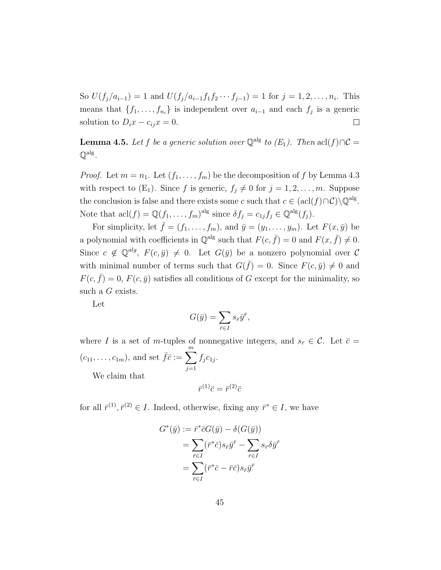So  $U(f_j/a_{i-1}) = 1$  and  $U(f_j/a_{i-1}f_1f_2\cdots f_{j-1}) = 1$  for  $j = 1, 2, \ldots, n_i$ . This means that  $\{f_1, \ldots, f_{n_i}\}$  is independent over  $a_{i-1}$  and each  $f_j$  is a generic solution to  $D_i x - c_{ij} x = 0$ .  $\Box$ 

<span id="page-52-0"></span>**Lemma 4.5.** Let f be a generic solution over  $\mathbb{Q}^{\text{alg}}$  to  $(E_1)$ . Then  $\text{acl}(f)\cap C=$  $\mathbb{Q}^{\mathrm{alg}}$  .

*Proof.* Let  $m = n_1$ . Let  $(f_1, \ldots, f_m)$  be the decomposition of f by Lemma [4.3](#page-50-0) with respect to  $(E_1)$ . Since f is generic,  $f_j \neq 0$  for  $j = 1, 2, \ldots, m$ . Suppose the conclusion is false and there exists some c such that  $c \in (\text{acl}(f) \cap C) \backslash \mathbb{Q}^{\text{alg}}$ . Note that  $\text{acl}(f) = \mathbb{Q}(f_1, \ldots, f_m)$ <sup>alg</sup> since  $\delta f_j = c_{1j} f_j \in \mathbb{Q}^{\text{alg}}(f_j)$ .

For simplicity, let  $\bar{f} = (f_1, \ldots, f_m)$ , and  $\bar{y} = (y_1, \ldots, y_m)$ . Let  $F(x, \bar{y})$  be a polynomial with coefficients in  $\mathbb{Q}^{\text{alg}}$  such that  $F(c, \bar{f}) = 0$  and  $F(x, \bar{f}) \neq 0$ . Since  $c \notin \mathbb{Q}^{alg}$ ,  $F(c, \bar{y}) \neq 0$ . Let  $G(\bar{y})$  be a nonzero polynomial over C with minimal number of terms such that  $G(\bar{f}) = 0$ . Since  $F(c, \bar{y}) \neq 0$  and  $F(c, \bar{f}) = 0$ ,  $F(c, \bar{y})$  satisfies all conditions of G except for the minimality, so such a G exists.

Let

$$
G(\bar{y}) = \sum_{\bar{r} \in I} s_{\bar{r}} \bar{y}^{\bar{r}},
$$

where I is a set of m-tuples of nonnegative integers, and  $s_{\bar{r}} \in \mathcal{C}$ . Let  $\bar{c} =$  $(c_{11}, \ldots, c_{1m})$ , and set  $\overline{f}\overline{c} := \sum_{n=1}^{m}$  $j=1$  $f_j c_{1j}$ . We claim that

$$
\bar{r}^{(1)}\bar{c} = \bar{r}^{(2)}\bar{c}
$$

for all  $\bar{r}^{(1)}, \bar{r}^{(2)} \in I$ . Indeed, otherwise, fixing any  $\bar{r}^* \in I$ , we have

$$
G^*(\bar{y}) := \bar{r}^* \bar{c} G(\bar{y}) - \delta(G(\bar{y}))
$$
  
= 
$$
\sum_{\bar{r} \in I} (\bar{r}^* \bar{c}) s_{\bar{r}} \bar{y}^{\bar{r}} - \sum_{\bar{r} \in I} s_{\bar{r}} \delta \bar{y}^{\bar{r}}
$$
  
= 
$$
\sum_{\bar{r} \in I} (\bar{r}^* \bar{c} - \bar{r} \bar{c}) s_{\bar{r}} \bar{y}^{\bar{r}}
$$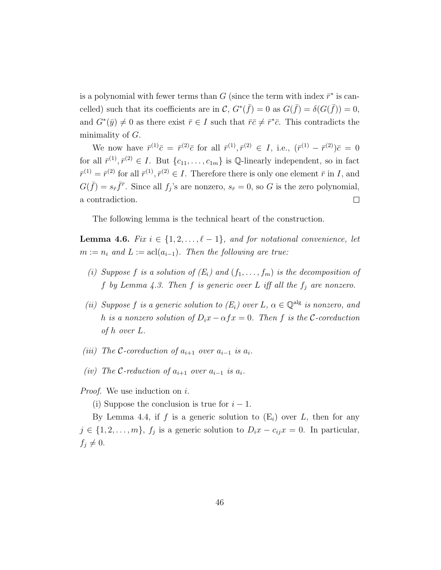is a polynomial with fewer terms than G (since the term with index  $\bar{r}^*$  is cancelled) such that its coefficients are in  $\mathcal{C}, G^*(\bar{f}) = 0$  as  $G(\bar{f}) = \delta(G(\bar{f})) = 0$ , and  $G^*(\bar{y}) \neq 0$  as there exist  $\bar{r} \in I$  such that  $\bar{r} \bar{c} \neq \bar{r}^* \bar{c}$ . This contradicts the minimality of  $G$ .

We now have  $\bar{r}^{(1)}\bar{c} = \bar{r}^{(2)}\bar{c}$  for all  $\bar{r}^{(1)}, \bar{r}^{(2)} \in I$ , i.e.,  $(\bar{r}^{(1)} - \bar{r}^{(2)})\bar{c} = 0$ for all  $\bar{r}^{(1)}, \bar{r}^{(2)} \in I$ . But  $\{c_{11}, \ldots, c_{1m}\}\$ is Q-linearly independent, so in fact  $\bar{r}^{(1)} = \bar{r}^{(2)}$  for all  $\bar{r}^{(1)}, \bar{r}^{(2)} \in I$ . Therefore there is only one element  $\bar{r}$  in I, and  $G(\bar{f}) = s_{\bar{r}} \bar{f}^{\bar{r}}$ . Since all  $f_j$ 's are nonzero,  $s_{\bar{r}} = 0$ , so G is the zero polynomial, a contradiction.  $\Box$ 

The following lemma is the technical heart of the construction.

<span id="page-53-0"></span>**Lemma 4.6.** Fix  $i \in \{1, 2, ..., \ell - 1\}$ , and for notational convenience, let  $m := n_i$  and  $L := \operatorname{acl}(a_{i-1})$ . Then the following are true:

- (i) Suppose f is a solution of  $(E_i)$  and  $(f_1, \ldots, f_m)$  is the decomposition of f by Lemma [4.3.](#page-50-0) Then f is generic over L iff all the  $f_j$  are nonzero.
- (ii) Suppose f is a generic solution to  $(E_i)$  over L,  $\alpha \in \mathbb{Q}^{alg}$  is nonzero, and h is a nonzero solution of  $D_i x - \alpha f x = 0$ . Then f is the C-coreduction of h over L.
- (iii) The C-coreduction of  $a_{i+1}$  over  $a_{i-1}$  is  $a_i$ .
- (iv) The C-reduction of  $a_{i+1}$  over  $a_{i-1}$  is  $a_i$ .

Proof. We use induction on i.

(i) Suppose the conclusion is true for  $i-1$ .

By Lemma [4.4,](#page-51-0) if f is a generic solution to  $(E_i)$  over L, then for any  $j \in \{1, 2, \ldots, m\}, f_j$  is a generic solution to  $D_i x - c_{ij} x = 0$ . In particular,  $f_j \neq 0.$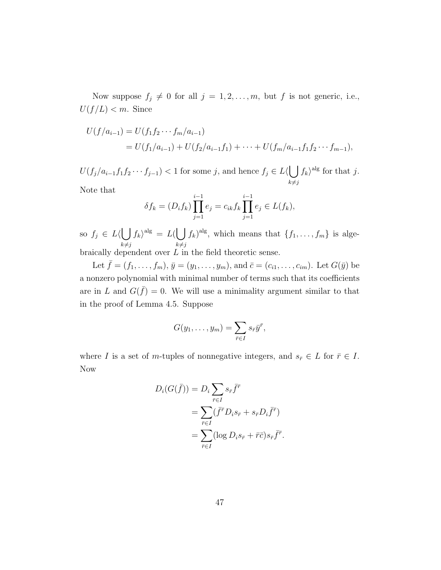Now suppose  $f_j \neq 0$  for all  $j = 1, 2, ..., m$ , but f is not generic, i.e.,  $U(f/L) < m$ . Since

$$
U(f/a_{i-1}) = U(f_1f_2 \cdots f_m/a_{i-1})
$$
  
=  $U(f_1/a_{i-1}) + U(f_2/a_{i-1}f_1) + \cdots + U(f_m/a_{i-1}f_1f_2 \cdots f_{m-1}),$ 

 $U(f_j/a_{i-1}f_1f_2\cdots f_{j-1})$  < 1 for some j, and hence  $f_j \in L \langle \bigcup$  $k\neq j$  $f_k\rangle^{\text{alg}}$  for that j.

Note that

$$
\delta f_k = (D_i f_k) \prod_{j=1}^{i-1} e_j = c_{ik} f_k \prod_{j=1}^{i-1} e_j \in L(f_k),
$$

so  $f_j \in L \langle \vert \ \vert$  $k\not=j$  $f_k\rangle^{\text{alg}} = L(\bigcup$  $k\neq j$  $(f_k)^{\text{alg}}$ , which means that  $\{f_1, \ldots, f_m\}$  is algebraically dependent over  $L$  in the field theoretic sense.

Let  $\bar{f} = (f_1, \ldots, f_m), \bar{y} = (y_1, \ldots, y_m)$ , and  $\bar{c} = (c_{i1}, \ldots, c_{im})$ . Let  $G(\bar{y})$  be a nonzero polynomial with minimal number of terms such that its coefficients are in L and  $G(\bar{f}) = 0$ . We will use a minimality argument similar to that in the proof of Lemma [4.5.](#page-52-0) Suppose

$$
G(y_1,\ldots,y_m)=\sum_{\bar{r}\in I}s_{\bar{r}}\bar{y}^{\bar{r}},
$$

where I is a set of m-tuples of nonnegative integers, and  $s_{\bar{r}} \in L$  for  $\bar{r} \in I$ . Now

$$
D_i(G(\bar{f})) = D_i \sum_{\bar{r} \in I} s_{\bar{r}} \bar{f}^{\bar{r}}
$$
  
= 
$$
\sum_{\bar{r} \in I} (\bar{f}^{\bar{r}} D_i s_{\bar{r}} + s_{\bar{r}} D_i \bar{f}^{\bar{r}})
$$
  
= 
$$
\sum_{\bar{r} \in I} (\log D_i s_{\bar{r}} + \bar{r}\bar{c}) s_{\bar{r}} \bar{f}^{\bar{r}}.
$$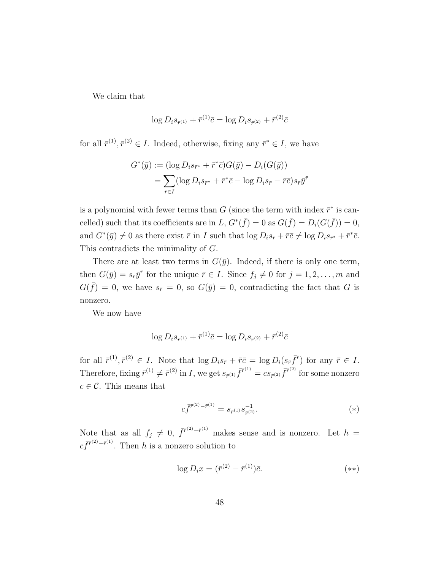We claim that

$$
\log D_i s_{\bar{r}^{(1)}} + \bar{r}^{(1)} \bar{c} = \log D_i s_{\bar{r}^{(2)}} + \bar{r}^{(2)} \bar{c}
$$

for all  $\bar{r}^{(1)}, \bar{r}^{(2)} \in I$ . Indeed, otherwise, fixing any  $\bar{r}^* \in I$ , we have

$$
G^*(\bar{y}) := (\log D_i s_{\bar{r}^*} + \bar{r}^* \bar{c}) G(\bar{y}) - D_i(G(\bar{y}))
$$
  
= 
$$
\sum_{\bar{r} \in I} (\log D_i s_{\bar{r}^*} + \bar{r}^* \bar{c} - \log D_i s_{\bar{r}} - \bar{r} \bar{c}) s_{\bar{r}} \bar{y}^{\bar{r}}
$$

is a polynomial with fewer terms than G (since the term with index  $\bar{r}^*$  is cancelled) such that its coefficients are in L,  $G^*(\bar{f}) = 0$  as  $G(\bar{f}) = D_i(G(\bar{f})) = 0$ , and  $G^*(\bar{y}) \neq 0$  as there exist  $\bar{r}$  in I such that  $\log D_i s_{\bar{r}} + \bar{r} \bar{c} \neq \log D_i s_{\bar{r}^*} + \bar{r}^* \bar{c}$ . This contradicts the minimality of G.

There are at least two terms in  $G(\bar{y})$ . Indeed, if there is only one term, then  $G(\bar{y}) = s_{\bar{r}}\bar{y}^{\bar{r}}$  for the unique  $\bar{r} \in I$ . Since  $f_j \neq 0$  for  $j = 1, 2, ..., m$  and  $G(\bar{f}) = 0$ , we have  $s_{\bar{r}} = 0$ , so  $G(\bar{y}) = 0$ , contradicting the fact that G is nonzero.

We now have

$$
\log D_i s_{\bar{r}^{(1)}} + \bar{r}^{(1)} \bar{c} = \log D_i s_{\bar{r}^{(2)}} + \bar{r}^{(2)} \bar{c}
$$

for all  $\bar{r}^{(1)}, \bar{r}^{(2)} \in I$ . Note that  $\log D_i s_{\bar{r}} + \bar{r}\bar{c} = \log D_i (s_{\bar{r}} \bar{f}^{\bar{r}})$  for any  $\bar{r} \in I$ . Therefore, fixing  $\bar{r}^{(1)} \neq \bar{r}^{(2)}$  in I, we get  $s_{\bar{r}^{(1)}} \bar{f}^{\bar{r}^{(1)}} = cs_{\bar{r}^{(2)}} \bar{f}^{\bar{r}^{(2)}}$  for some nonzero  $c \in \mathcal{C}$ . This means that

$$
c\bar{f}^{\bar{r}^{(2)} - \bar{r}^{(1)}} = s_{\bar{r}^{(1)}} s_{\bar{r}^{(2)}}^{-1}.
$$
 (\*)

Note that as all  $f_j \neq 0$ ,  $\bar{f}^{r^{(2)}-\bar{r}^{(1)}}$  makes sense and is nonzero. Let  $h =$  $c\bar{f}^{\bar{r}^{(2)}-\bar{r}^{(1)}}$ . Then h is a nonzero solution to

$$
\log D_i x = (\bar{r}^{(2)} - \bar{r}^{(1)})\bar{c}.\tag{**}
$$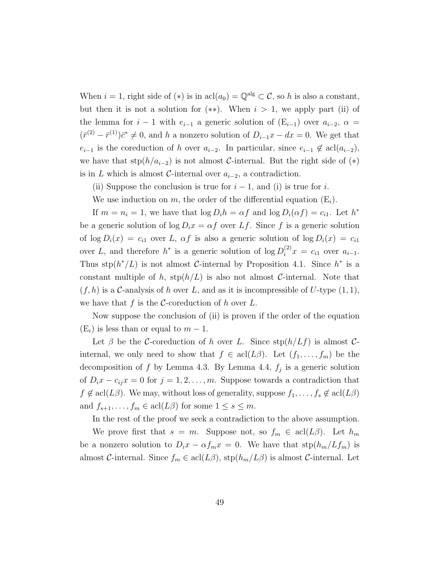When  $i = 1$ , right side of  $(*)$  is in  $\text{acl}(a_0) = \mathbb{Q}^{\text{alg}} \subset \mathcal{C}$ , so h is also a constant, but then it is not a solution for  $(**)$ . When  $i > 1$ , we apply part (ii) of the lemma for  $i-1$  with  $e_{i-1}$  a generic solution of  $(E_{i-1})$  over  $a_{i-2}$ ,  $\alpha =$  $(\bar{r}^{(2)} - \bar{r}^{(1)})\bar{c}^* \neq 0$ , and h a nonzero solution of  $D_{i-1}x - dx = 0$ . We get that  $e_{i-1}$  is the coreduction of h over  $a_{i-2}$ . In particular, since  $e_{i-1} \notin \text{acl}(a_{i-2}),$ we have that  $\text{stp}(h/a_{i-2})$  is not almost C-internal. But the right side of  $(*)$ is in L which is almost C-internal over  $a_{i-2}$ , a contradiction.

(ii) Suppose the conclusion is true for  $i-1$ , and (i) is true for i.

We use induction on m, the order of the differential equation  $(E_i)$ .

If  $m = n_i = 1$ , we have that  $\log D_i h = \alpha f$  and  $\log D_i(\alpha f) = c_{i1}$ . Let  $h^*$ be a generic solution of  $\log D_i x = \alpha f$  over Lf. Since f is a generic solution of  $\log D_i(x) = c_{i1}$  over L,  $\alpha f$  is also a generic solution of  $\log D_i(x) = c_{i1}$ over L, and therefore  $h^*$  is a generic solution of  $\log D_i^{(2)}x = c_{i1}$  over  $a_{i-1}$ . Thus  $\text{stp}(h^*/L)$  is not almost C-internal by Proposition [4.1.](#page-47-0) Since  $h^*$  is a constant multiple of h,  $\text{stp}(h/L)$  is also not almost C-internal. Note that  $(f, h)$  is a C-analysis of h over L, and as it is incompressible of U-type  $(1, 1)$ , we have that f is the C-coreduction of h over  $L$ .

Now suppose the conclusion of (ii) is proven if the order of the equation  $(E_i)$  is less than or equal to  $m-1$ .

Let  $\beta$  be the C-coreduction of h over L. Since  $\text{stp}(h/Lf)$  is almost Cinternal, we only need to show that  $f \in \text{acl}(L\beta)$ . Let  $(f_1, \ldots, f_m)$  be the decomposition of f by Lemma [4.3.](#page-50-0) By Lemma [4.4,](#page-51-0)  $f_j$  is a generic solution of  $D_i x - c_{ij} x = 0$  for  $j = 1, 2, ..., m$ . Suppose towards a contradiction that  $f \notin \text{acl}(L\beta)$ . We may, without loss of generality, suppose  $f_1, \ldots, f_s \notin \text{acl}(L\beta)$ and  $f_{s+1}, \ldots, f_m \in \text{acl}(L\beta)$  for some  $1 \leq s \leq m$ .

In the rest of the proof we seek a contradiction to the above assumption.

We prove first that  $s = m$ . Suppose not, so  $f_m \in \text{acl}(L\beta)$ . Let  $h_m$ be a nonzero solution to  $D_i x - \alpha f_m x = 0$ . We have that  $\text{stp}(h_m/Lf_m)$  is almost C-internal. Since  $f_m \in \text{acl}(L\beta)$ ,  $\text{stp}(h_m/L\beta)$  is almost C-internal. Let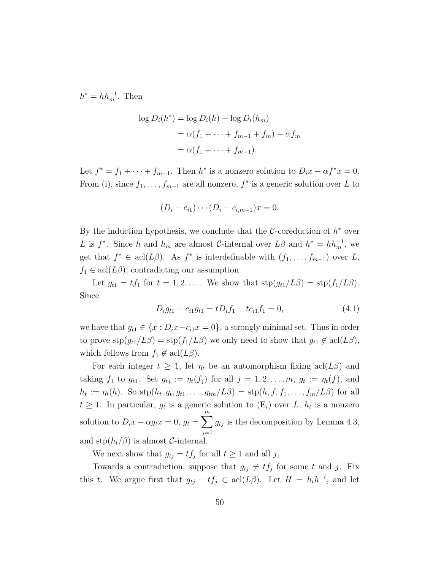$h^* = hh_m^{-1}$ . Then

$$
\log D_i(h^*) = \log D_i(h) - \log D_i(h_m)
$$
  
=  $\alpha(f_1 + \dots + f_{m-1} + f_m) - \alpha f_m$   
=  $\alpha(f_1 + \dots + f_{m-1}).$ 

Let  $f^* = f_1 + \cdots + f_{m-1}$ . Then  $h^*$  is a nonzero solution to  $D_i x - \alpha f^* x = 0$ . From (i), since  $f_1, \ldots, f_{m-1}$  are all nonzero,  $f^*$  is a generic solution over L to

$$
(D_i - c_{i1}) \cdots (D_i - c_{i,m-1})x = 0.
$$

By the induction hypothesis, we conclude that the  $\mathcal{C}\text{-coreduction}$  of  $h^*$  over L is  $f^*$ . Since h and  $h_m$  are almost C-internal over  $L\beta$  and  $h^* = hh_m^{-1}$ , we get that  $f^* \in \text{acl}(L\beta)$ . As  $f^*$  is interdefinable with  $(f_1, \ldots, f_{m-1})$  over L,  $f_1 \in \operatorname{acl}(L\beta)$ , contradicting our assumption.

Let  $g_{t1} = tf_1$  for  $t = 1, 2, \ldots$ . We show that  $\text{stp}(g_{t1}/L\beta) = \text{stp}(f_1/L\beta)$ . Since

$$
D_i g_{t1} - c_{i1} g_{t1} = t D_i f_1 - t c_{i1} f_1 = 0,
$$
\n(4.1)

we have that  $g_{t1} \in \{x : D_ix - c_{i1}x = 0\}$ , a strongly minimal set. Thus in order to prove  $\text{stp}(g_{t1}/L\beta) = \text{stp}(f_1/L\beta)$  we only need to show that  $g_{t1} \notin \text{acl}(L\beta)$ , which follows from  $f_1 \notin \text{acl}(L\beta)$ .

For each integer  $t \geq 1$ , let  $\eta_t$  be an automorphism fixing acl( $L\beta$ ) and taking  $f_1$  to  $g_{t1}$ . Set  $g_{tj} := \eta_t(f_j)$  for all  $j = 1, 2, \ldots, m$ ,  $g_t := \eta_t(f)$ , and  $h_t := \eta_t(h)$ . So  $\text{stp}(h_t, g_t, g_{t1}, \dots, g_{tm}/L\beta) = \text{stp}(h, f, f_1, \dots, f_m/L\beta)$  for all  $t \geq 1$ . In particular,  $g_t$  is a generic solution to  $(E_i)$  over L,  $h_t$  is a nonzero solution to  $D_i x - \alpha g_t x = 0, g_t = \sum^m$  $j=1$  $g_{tj}$  is the decomposition by Lemma [4.3,](#page-50-0) and  $\text{stp}(h_t/\beta)$  is almost *C*-internal.

We next show that  $g_{tj} = tf_j$  for all  $t \ge 1$  and all j.

Towards a contradiction, suppose that  $g_{tj} \neq tf_j$  for some t and j. Fix this t. We argue first that  $g_{tj} - tf_j \in \text{acl}(L\beta)$ . Let  $H = h_t h^{-t}$ , and let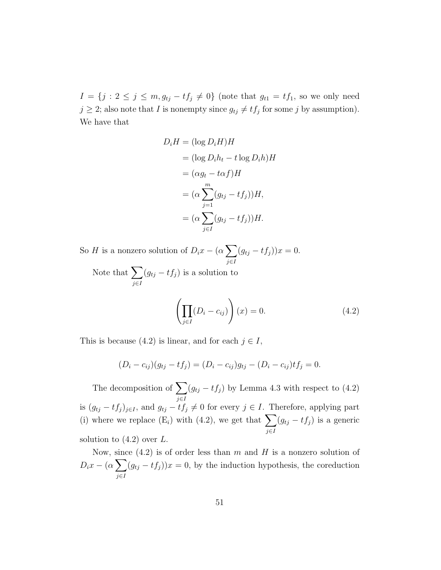$I = \{j : 2 \leq j \leq m, g_{tj} - tf_j \neq 0\}$  (note that  $g_{t1} = tf_1$ , so we only need  $j \geq 2$ ; also note that I is nonempty since  $g_{tj} \neq tf_j$  for some j by assumption). We have that

$$
D_i H = (\log D_i H) H
$$
  
=  $(\log D_i h_t - t \log D_i h) H$   
=  $(\alpha g_t - t \alpha f) H$   
=  $( \alpha \sum_{j=1}^m (g_{tj} - t f_j) ) H,$   
=  $( \alpha \sum_{j \in I} (g_{tj} - t f_j) ) H.$ 

So H is a nonzero solution of  $D_i x - (\alpha \sum_i$ j∈I  $(g_{tj} - tf_j))x = 0.$ 

Note that  $\sum$ j∈I  $(g_{tj} - tf_j)$  is a solution to

<span id="page-58-0"></span>
$$
\left(\prod_{j\in I} (D_i - c_{ij})\right)(x) = 0.
$$
\n(4.2)

This is because [\(4.2\)](#page-58-0) is linear, and for each  $j \in I$ ,

$$
(D_i - c_{ij})(g_{tj} - tf_j) = (D_i - c_{ij})g_{tj} - (D_i - c_{ij})tf_j = 0.
$$

The decomposition of  $\sum$ j∈I  $(g_{tj} - tf_j)$  by Lemma [4.3](#page-50-0) with respect to  $(4.2)$ is  $(g_{tj} - tf_j)_{j\in I}$ , and  $g_{tj} - tf_j \neq 0$  for every  $j \in I$ . Therefore, applying part (i) where we replace  $(E_i)$  with [\(4.2\)](#page-58-0), we get that  $\sum$ j∈I  $(g_{tj} - tf_j)$  is a generic solution to  $(4.2)$  over L.

Now, since  $(4.2)$  is of order less than m and H is a nonzero solution of  $D_ix - (\alpha \sum$ j∈I  $(g_{tj} - tf_j)x = 0$ , by the induction hypothesis, the coreduction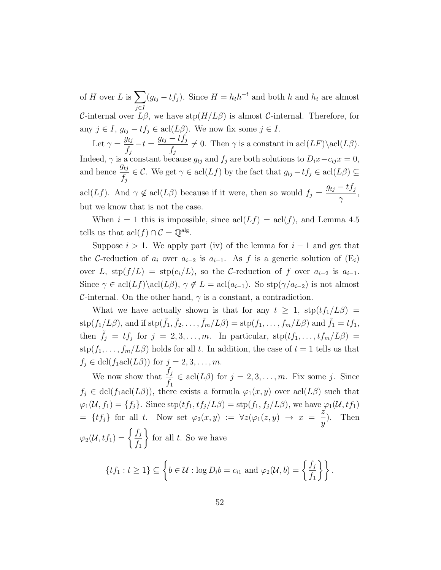of H over L is  $\sum$ j∈I  $(g_{tj} - tf_j)$ . Since  $H = h_t h^{-t}$  and both h and  $h_t$  are almost C-internal over  $L\beta$ , we have  $\text{stp}(H/L\beta)$  is almost C-internal. Therefore, for any  $j \in I$ ,  $g_{tj} - tf_j \in \text{acl}(L\beta)$ . We now fix some  $j \in I$ .

Let  $\gamma = \frac{\dot{g}_{tj}}{c}$  $f_j$  $-t = \frac{g_{tj} - tf_j}{f}$  $f_j$  $\neq 0$ . Then  $\gamma$  is a constant in acl $(LF)\setminus \text{acl}(L\beta)$ . Indeed,  $\gamma$  is a constant because  $g_{tj}$  and  $f_j$  are both solutions to  $D_i x - c_{ij} x = 0$ , and hence  $\frac{g_{tj}}{g}$  $f_j$  $\in \mathcal{C}$ . We get  $\gamma \in \text{acl}(Lf)$  by the fact that  $g_{tj} - tf_j \in \text{acl}(L\beta) \subseteq$ acl $(Lf)$ . And  $\gamma \notin \text{acl}(L\beta)$  because if it were, then so would  $f_j =$  $g_{tj} - tf_j$  $\gamma$ , but we know that is not the case.

When  $i = 1$  this is impossible, since  $\operatorname{acl}(Lf) = \operatorname{acl}(f)$ , and Lemma [4.5](#page-52-0) tells us that  $\operatorname{acl}(f) \cap C = \mathbb{Q}^{\operatorname{alg}}$ .

Suppose  $i > 1$ . We apply part (iv) of the lemma for  $i - 1$  and get that the C-reduction of  $a_i$  over  $a_{i-2}$  is  $a_{i-1}$ . As f is a generic solution of  $(E_i)$ over L,  $\text{stp}(f/L) = \text{stp}(e_i/L)$ , so the C-reduction of f over  $a_{i-2}$  is  $a_{i-1}$ . Since  $\gamma \in \text{acl}(Lf) \setminus \text{acl}(L\beta)$ ,  $\gamma \notin L = \text{acl}(a_{i-1})$ . So  $\text{stp}(\gamma/a_{i-2})$  is not almost C-internal. On the other hand,  $\gamma$  is a constant, a contradiction.

What we have actually shown is that for any  $t \geq 1$ ,  $\text{stp}(t f_1/L\beta)$  $\text{stp}(f_1/L\beta)$ , and if  $\text{stp}(\tilde{f}_1, \tilde{f}_2, \dots, \tilde{f}_m/L\beta) = \text{stp}(f_1, \dots, f_m/L\beta)$  and  $\tilde{f}_1 = tf_1$ , then  $\tilde{f}_j = tf_j$  for  $j = 2, 3, ..., m$ . In particular,  $\text{stp}(tf_1, ..., tf_m/L\beta)$  $\text{stp}(f_1,\ldots,f_m/L\beta)$  holds for all t. In addition, the case of  $t=1$  tells us that  $f_j \in \text{dcl}(f_1 \text{acl}(L\beta))$  for  $j = 2, 3, \ldots, m$ .

We now show that  $\frac{f_j}{f}$  $f_1$  $\in \text{acl}(L\beta)$  for  $j = 2, 3, ..., m$ . Fix some j. Since  $f_j \in \text{dcl}(f_1 \text{acl}(L\beta))$ , there exists a formula  $\varphi_1(x, y)$  over  $\text{acl}(L\beta)$  such that  $\varphi_1(\mathcal{U}, f_1) = \{f_j\}.$  Since  $\text{stp}(tf_1, tf_j/L\beta) = \text{stp}(f_1, f_j/L\beta)$ , we have  $\varphi_1(\mathcal{U}, tf_1)$  $= \{tf_j\}$  for all t. Now set  $\varphi_2(x,y) := \forall z(\varphi_1(z,y) \rightarrow x = \frac{z}{z}$  $\hat{y}$ ). Then  $\varphi_2({\cal U},t f_1)=\biggl\{\frac{f_j}{f}$  $f_1$  $\mathcal{L}$ for all  $t$ . So we have

$$
\{tf_1: t \geq 1\} \subseteq \left\{b \in \mathcal{U}: \log D_i b = c_{i1} \text{ and } \varphi_2(\mathcal{U}, b) = \left\{\frac{f_j}{f_1}\right\}\right\}.
$$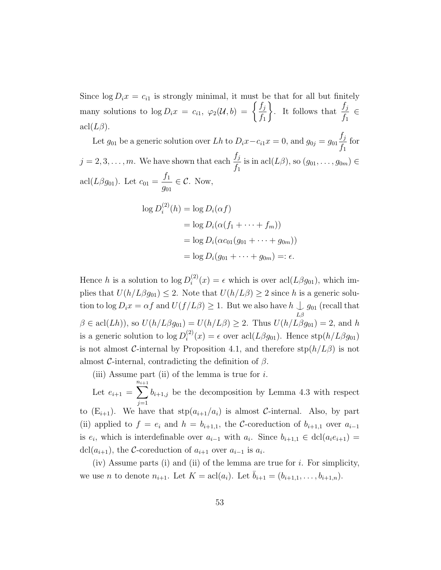Since  $\log D_i x = c_{i1}$  is strongly minimal, it must be that for all but finitely many solutions to  $\log D_i x = c_{i1}, \ \varphi_2(\mathcal{U}, b) = \begin{cases} \frac{f_j}{f} & \text{if } j \leq 1 \end{cases}$  $f_1$ ). It follows that  $\frac{f_j}{f}$  $f_1$ ∈  $\operatorname{acl}(L\beta)$ .

Let  $g_{01}$  be a generic solution over Lh to  $D_i x - c_{i1} x = 0$ , and  $g_{0j} = g_{01} \frac{f_j}{f}$  $f_1$ for  $j = 2, 3, \ldots, m$ . We have shown that each  $\frac{f_j}{f}$  $f_1$ is in acl $(L\beta)$ , so  $(g_{01}, \ldots, g_{0m}) \in$ acl $(L\beta g_{01})$ . Let  $c_{01} =$  $f_1$  $g_{01}$  $\in \mathcal{C}$ . Now,

$$
\log D_i^{(2)}(h) = \log D_i(\alpha f)
$$
  
= 
$$
\log D_i(\alpha(f_1 + \dots + f_m))
$$
  
= 
$$
\log D_i(\alpha c_{01}(g_{01} + \dots + g_{0m}))
$$
  
= 
$$
\log D_i(g_{01} + \dots + g_{0m}) =: \epsilon.
$$

Hence h is a solution to  $\log D_i^{(2)}$  $i^{(2)}(x) = \epsilon$  which is over acl $(L\beta g_{01})$ , which implies that  $U(h/L\beta g_{01}) \leq 2$ . Note that  $U(h/L\beta) \geq 2$  since h is a generic solution to log  $D_i x = \alpha f$  and  $U(f/L\beta) \geq 1$ . But we also have  $h \cup g_{01}$  (recall that  $L\beta$  $\beta \in \text{acl}(Lh)$ , so  $U(h/L\beta g_{01}) = U(h/L\beta) \geq 2$ . Thus  $U(h/L\beta g_{01}) = 2$ , and h is a generic solution to  $\log D_i^{(2)}$  $i^{(2)}(x) = \epsilon$  over acl $(L\beta g_{01})$ . Hence stp $(h/L\beta g_{01})$ is not almost C-internal by Proposition [4.1,](#page-47-0) and therefore  $\text{stp}(h/L\beta)$  is not almost C-internal, contradicting the definition of  $\beta$ .

(iii) Assume part (ii) of the lemma is true for  $i$ .

Let  $e_{i+1} = \sum_{i=1}^{n_{i+1}}$ n $j=1$  $b_{i+1,j}$  be the decomposition by Lemma [4.3](#page-50-0) with respect to  $(E_{i+1})$ . We have that  $\text{stp}(a_{i+1}/a_i)$  is almost C-internal. Also, by part (ii) applied to  $f = e_i$  and  $h = b_{i+1,1}$ , the C-coreduction of  $b_{i+1,1}$  over  $a_{i-1}$ is  $e_i$ , which is interdefinable over  $a_{i-1}$  with  $a_i$ . Since  $b_{i+1,1} \in \text{dcl}(a_i e_{i+1}) =$ dcl( $a_{i+1}$ ), the C-coreduction of  $a_{i+1}$  over  $a_{i-1}$  is  $a_i$ .

(iv) Assume parts (i) and (ii) of the lemma are true for  $i$ . For simplicity, we use *n* to denote  $n_{i+1}$ . Let  $K = \text{acl}(a_i)$ . Let  $\bar{b}_{i+1} = (b_{i+1,1}, \ldots, b_{i+1,n})$ .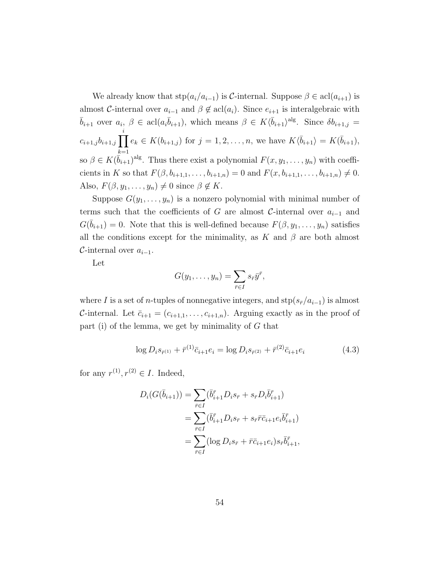We already know that  $\text{stp}(a_i/a_{i-1})$  is C-internal. Suppose  $\beta \in \text{acl}(a_{i+1})$  is almost C-internal over  $a_{i-1}$  and  $\beta \notin \text{acl}(a_i)$ . Since  $e_{i+1}$  is interalgebraic with  $\bar{b}_{i+1}$  over  $a_i, \beta \in \text{acl}(a_i\bar{b}_{i+1}),$  which means  $\beta \in K\langle \bar{b}_{i+1}\rangle^{\text{alg}}$ . Since  $\delta b_{i+1,j} =$  $c_{i+1,j}b_{i+1,j} \prod e_k \in K(b_{i+1,j})$  for  $j=1,2,\ldots,n$ , we have  $K\langle \bar{b}_{i+1} \rangle = K(\bar{b}_{i+1}),$ i  $_{k=1}$ so  $\beta \in K(\bar{b}_{i+1})^{\text{alg}}$ . Thus there exist a polynomial  $F(x, y_1, \ldots, y_n)$  with coefficients in K so that  $F(\beta, b_{i+1,1}, \ldots, b_{i+1,n}) = 0$  and  $F(x, b_{i+1,1}, \ldots, b_{i+1,n}) \neq 0$ . Also,  $F(\beta, y_1, \ldots, y_n) \neq 0$  since  $\beta \notin K$ .

Suppose  $G(y_1, \ldots, y_n)$  is a nonzero polynomial with minimal number of terms such that the coefficients of G are almost C-internal over  $a_{i-1}$  and  $G(\bar{b}_{i+1}) = 0$ . Note that this is well-defined because  $F(\beta, y_1, \ldots, y_n)$  satisfies all the conditions except for the minimality, as K and  $\beta$  are both almost  $\mathcal{C}\text{-internal over }a_{i-1}.$ 

Let

$$
G(y_1,\ldots,y_n)=\sum_{\bar{r}\in I}s_{\bar{r}}\bar{y}^{\bar{r}},
$$

where I is a set of n-tuples of nonnegative integers, and  $\text{stp}(s_{\bar{r}}/a_{i-1})$  is almost C-internal. Let  $\bar{c}_{i+1} = (c_{i+1,1}, \ldots, c_{i+1,n})$ . Arguing exactly as in the proof of part (i) of the lemma, we get by minimality of  $G$  that

<span id="page-61-0"></span>
$$
\log D_i s_{\bar{r}^{(1)}} + \bar{r}^{(1)} \bar{c}_{i+1} e_i = \log D_i s_{\bar{r}^{(2)}} + \bar{r}^{(2)} \bar{c}_{i+1} e_i \tag{4.3}
$$

for any  $r^{(1)}, r^{(2)} \in I$ . Indeed,

$$
D_i(G(\bar{b}_{i+1})) = \sum_{\bar{r} \in I} (\bar{b}_{i+1}^{\bar{r}} D_i s_{\bar{r}} + s_{\bar{r}} D_i \bar{b}_{i+1}^{\bar{r}})
$$
  
= 
$$
\sum_{\bar{r} \in I} (\bar{b}_{i+1}^{\bar{r}} D_i s_{\bar{r}} + s_{\bar{r}} \bar{r} \bar{c}_{i+1} e_i \bar{b}_{i+1}^{\bar{r}})
$$
  
= 
$$
\sum_{\bar{r} \in I} (\log D_i s_{\bar{r}} + \bar{r} \bar{c}_{i+1} e_i) s_{\bar{r}} \bar{b}_{i+1}^{\bar{r}},
$$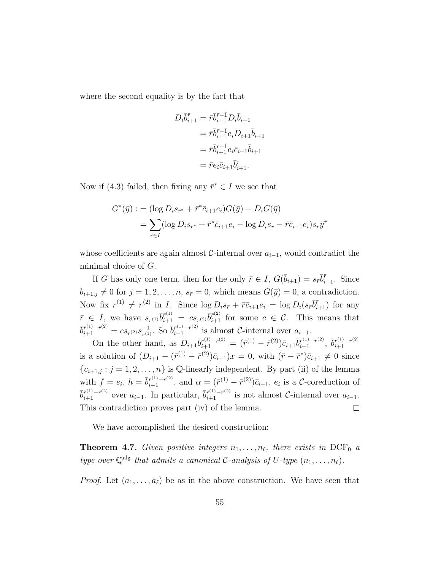where the second equality is by the fact that

$$
D_i \overline{b}_{i+1}^{\overline{r}} = \overline{r} \overline{b}_{i+1}^{\overline{r}-1} D_i \overline{b}_{i+1}
$$
  
=  $\overline{r} \overline{b}_{i+1}^{\overline{r}-1} e_i D_{i+1} \overline{b}_{i+1}$   
=  $\overline{r} \overline{b}_{i+1}^{\overline{r}-1} e_i \overline{c}_{i+1} \overline{b}_{i+1}$   
=  $\overline{r} e_i \overline{c}_{i+1} \overline{b}_{i+1}^{\overline{r}}$ .

Now if [\(4.3\)](#page-61-0) failed, then fixing any  $\bar{r}^* \in I$  we see that

$$
G^*(\bar{y}) := (\log D_i s_{\bar{r}^*} + \bar{r}^* \bar{c}_{i+1} e_i) G(\bar{y}) - D_i G(\bar{y})
$$
  
= 
$$
\sum_{\bar{r} \in I} (\log D_i s_{\bar{r}^*} + \bar{r}^* \bar{c}_{i+1} e_i - \log D_i s_{\bar{r}} - \bar{r} \bar{c}_{i+1} e_i) s_{\bar{r}} \bar{y}^{\bar{r}}
$$

whose coefficients are again almost  $\mathcal{C}\text{-internal over }a_{i-1}$ , would contradict the minimal choice of G.

If G has only one term, then for the only  $\bar{r} \in I$ ,  $G(\bar{b}_{i+1}) = s_{\bar{r}} \bar{b}^{\bar{r}}_{i+1}$ . Since  $b_{i+1,j} \neq 0$  for  $j = 1, 2, \ldots, n$ ,  $s_{\bar{r}} = 0$ , which means  $G(\bar{y}) = 0$ , a contradiction. Now fix  $r^{(1)} \neq r^{(2)}$  in *I*. Since  $\log D_i s_{\bar{r}} + \bar{r} \bar{c}_{i+1} e_i = \log D_i (s_{\bar{r}} \bar{b}_{i+1}^{\bar{r}})$  for any  $\bar{r} \in I$ , we have  $s_{\bar{r}^{(1)}} \bar{b}_{i+1}^{\bar{r}^{(1)}} = cs_{\bar{r}^{(2)}} \bar{b}_{i+1}^{\bar{r}^{(2)}}$  for some  $c \in \mathcal{C}$ . This means that  $\bar b^{\bar r^{(1)}-\bar r^{(2)}}_{i+1}=cs_{\bar r^{(2)}}s^{-1}_{\bar r^{(1)}}$  $\bar{v}_{\bar{r}^{(1)}}^{-1}$ . So  $\bar{b}_{i+1}^{\bar{r}^{(1)}-\bar{r}^{(2)}}$  is almost C-internal over  $a_{i-1}$ .

On the other hand, as  $D_{i+1} \bar{b}_{i+1}^{\bar{r}^{(1)} - \bar{r}^{(2)}} = (\bar{r}^{(1)} - \bar{r}^{(2)}) \bar{c}_{i+1} \bar{b}_{i+1}^{\bar{r}^{(1)} - \bar{r}^{(2)}}$ ,  $\bar{b}_{i+1}^{\bar{r}^{(1)} - \bar{r}^{(2)}}$  $i+1$ is a solution of  $(D_{i+1} - (\bar{r}^{(1)} - \bar{r}^{(2)})\bar{c}_{i+1})x = 0$ , with  $(\bar{r} - \bar{r}^*)\bar{c}_{i+1} \neq 0$  since  ${c_{i+1,j} : j = 1, 2, \ldots, n}$  is Q-linearly independent. By part (ii) of the lemma with  $f = e_i$ ,  $h = \bar{b}_{i+1}^{\bar{r}(1) - \bar{r}(2)}$ , and  $\alpha = (\bar{r}^{(1)} - \bar{r}^{(2)})\bar{c}_{i+1}$ ,  $e_i$  is a C-coreduction of  $\overline{b}_{i+1}^{\overline{r}^{(1)}-\overline{r}^{(2)}}$  over  $a_{i-1}$ . In particular,  $\overline{b}_{i+1}^{\overline{r}^{(1)}-\overline{r}^{(2)}}$  is not almost *C*-internal over  $a_{i-1}$ . This contradiction proves part (iv) of the lemma.  $\Box$ 

We have accomplished the desired construction:

**Theorem 4.7.** Given positive integers  $n_1, \ldots, n_\ell$ , there exists in DCF<sub>0</sub> a type over  $\mathbb{Q}^{\text{alg}}$  that admits a canonical C-analysis of U-type  $(n_1, \ldots, n_\ell)$ .

*Proof.* Let  $(a_1, \ldots, a_\ell)$  be as in the above construction. We have seen that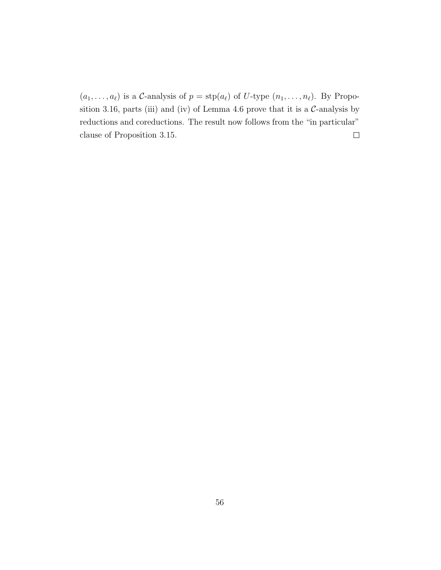$(a_1, \ldots, a_\ell)$  is a C-analysis of  $p = \text{stp}(a_\ell)$  of U-type  $(n_1, \ldots, n_\ell)$ . By Propo-sition [3.16,](#page-41-0) parts (iii) and (iv) of Lemma [4.6](#page-53-0) prove that it is a  $C$ -analysis by reductions and coreductions. The result now follows from the "in particular" clause of Proposition [3.15.](#page-40-0)  $\Box$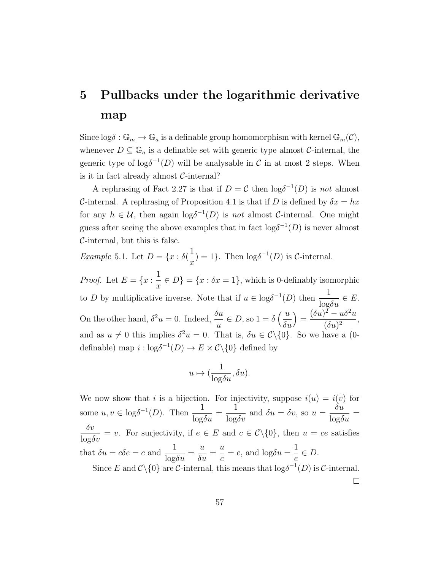# 5 Pullbacks under the logarithmic derivative map

Since  $\log \delta : \mathbb{G}_m \to \mathbb{G}_a$  is a definable group homomorphism with kernel  $\mathbb{G}_m(\mathcal{C})$ , whenever  $D \subseteq \mathbb{G}_a$  is a definable set with generic type almost C-internal, the generic type of  $\log \delta^{-1}(D)$  will be analysable in C in at most 2 steps. When is it in fact already almost  $C$ -internal?

A rephrasing of Fact [2.27](#page-28-0) is that if  $D = C$  then  $\log \delta^{-1}(D)$  is not almost C-internal. A rephrasing of Proposition [4.1](#page-47-0) is that if D is defined by  $\delta x = hx$ for any  $h \in \mathcal{U}$ , then again  $\log \delta^{-1}(D)$  is not almost C-internal. One might guess after seeing the above examples that in fact  $log \delta^{-1}(D)$  is never almost  $C$ -internal, but this is false.

*Example* 5.1. Let  $D = \{x : \delta\}$  $\boldsymbol{x}$  $) = 1$ . Then  $\log \delta^{-1}(D)$  is *C*-internal.

*Proof.* Let  $E = \{x : \frac{1}{x}\}$  $\boldsymbol{x}$  $\in D$ } = { $x : \delta x = 1$ }, which is 0-definably isomorphic to D by multiplicative inverse. Note that if  $u \in \log \delta^{-1}(D)$  then  $\frac{1}{\log \delta u} \in E$ . On the other hand,  $\delta^2 u = 0$ . Indeed,  $\frac{\delta u}{\delta u}$ u  $\in D$ , so  $1 = \delta \left( \frac{u}{s} \right)$  $\delta u$  $=$  $(\delta u)^2 - u \delta^2 u$  $\frac{1}{(\delta u)^2}$ , and as  $u \neq 0$  this implies  $\delta^2 u = 0$ . That is,  $\delta u \in \mathcal{C} \setminus \{0\}$ . So we have a (0definable) map  $i : \log \delta^{-1}(D) \to E \times C \setminus \{0\}$  defined by

$$
u\mapsto (\frac{1}{\log \delta u},\delta u).
$$

We now show that i is a bijection. For injectivity, suppose  $i(u) = i(v)$  for some  $u, v \in \log \delta^{-1}(D)$ . Then  $\frac{1}{1-\delta}$  $\frac{1}{\log \delta u} =$ 1  $\frac{1}{\log \delta v}$  and  $\delta u = \delta v$ , so  $u =$  $\delta u$  $\frac{\partial u}{\partial \alpha} =$  $\frac{\delta v}{\log \delta v} = v$ . For surjectivity, if  $e \in E$  and  $c \in C \setminus \{0\}$ , then  $u = ce$  satisfies that  $\delta u = c \delta e = c$  and  $\frac{1}{1 - a}$  $\frac{1}{\log \delta u} =$ u  $\frac{u}{\delta u} =$ u c  $=e$ , and  $log\delta u =$ 1 e  $\in D$ . Since E and  $\mathcal{C}\setminus\{0\}$  are C-internal, this means that  $\log \delta^{-1}(D)$  is C-internal.

 $\Box$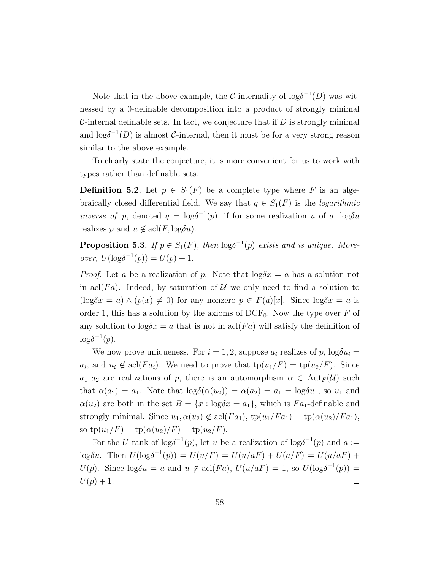Note that in the above example, the C-internality of  $\log \delta^{-1}(D)$  was witnessed by a 0-definable decomposition into a product of strongly minimal C-internal definable sets. In fact, we conjecture that if  $D$  is strongly minimal and  $\log \delta^{-1}(D)$  is almost C-internal, then it must be for a very strong reason similar to the above example.

To clearly state the conjecture, it is more convenient for us to work with types rather than definable sets.

**Definition 5.2.** Let  $p \in S_1(F)$  be a complete type where F is an algebraically closed differential field. We say that  $q \in S_1(F)$  is the *logarithmic inverse of p*, denoted  $q = \log \delta^{-1}(p)$ , if for some realization u of q,  $\log \delta u$ realizes p and  $u \notin \operatorname{acl}(F, \log \delta u)$ .

**Proposition 5.3.** If  $p \in S_1(F)$ , then  $\log \delta^{-1}(p)$  exists and is unique. Moreover,  $U(\log \delta^{-1}(p)) = U(p) + 1$ .

*Proof.* Let a be a realization of p. Note that  $\log \delta x = a$  has a solution not in acl(Fa). Indeed, by saturation of U we only need to find a solution to  $(\log \delta x = a) \wedge (p(x) \neq 0)$  for any nonzero  $p \in F(a)[x]$ . Since  $\log \delta x = a$  is order 1, this has a solution by the axioms of  $DCF_0$ . Now the type over F of any solution to  $\log \delta x = a$  that is not in acl $(Fa)$  will satisfy the definition of  $\log \delta^{-1}(p)$ .

We now prove uniqueness. For  $i = 1, 2$ , suppose  $a_i$  realizes of p,  $\log \delta u_i =$  $a_i$ , and  $u_i \notin \text{acl}(Fa_i)$ . We need to prove that  $\text{tp}(u_1/F) = \text{tp}(u_2/F)$ . Since  $a_1, a_2$  are realizations of p, there is an automorphism  $\alpha \in Aut_F(\mathcal{U})$  such that  $\alpha(a_2) = a_1$ . Note that  $\log \delta(\alpha(u_2)) = \alpha(a_2) = a_1 = \log \delta u_1$ , so  $u_1$  and  $\alpha(u_2)$  are both in the set  $B = \{x : \log \delta x = a_1\}$ , which is  $Fa_1$ -definable and strongly minimal. Since  $u_1, \alpha(u_2) \notin \text{acl}(Fa_1), \text{tp}(u_1/Fa_1) = \text{tp}(\alpha(u_2)/Fa_1),$ so  $tp(u_1/F) = tp(\alpha(u_2)/F) = tp(u_2/F)$ .

For the U-rank of log $\delta^{-1}(p)$ , let u be a realization of log $\delta^{-1}(p)$  and  $a :=$ logδu. Then  $U(\log \delta^{-1}(p)) = U(u/F) = U(u/aF) + U(a/F) = U(u/aF) +$  $U(p)$ . Since  $\log \delta u = a$  and  $u \notin \text{acl}(Fa)$ ,  $U(u/aF) = 1$ , so  $U(\log \delta^{-1}(p)) =$  $U(p) + 1.$  $\Box$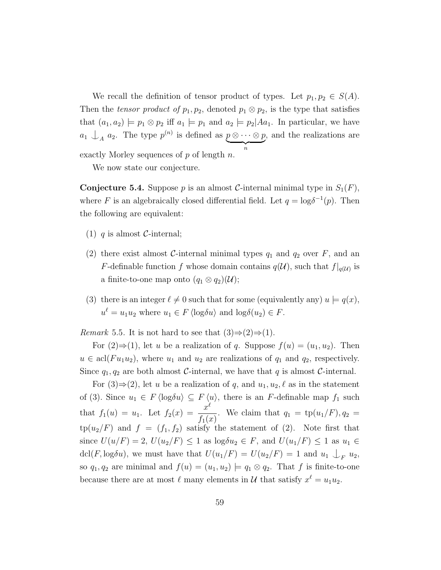We recall the definition of tensor product of types. Let  $p_1, p_2 \in S(A)$ . Then the tensor product of  $p_1, p_2$ , denoted  $p_1 \otimes p_2$ , is the type that satisfies that  $(a_1, a_2) \models p_1 \otimes p_2$  iff  $a_1 \models p_1$  and  $a_2 \models p_2 | A a_1$ . In particular, we have  $a_1 \nightharpoonup_A a_2$ . The type  $p^{(n)}$  is defined as  $p \otimes \cdots \otimes p$  $\overbrace{n}$ , and the realizations are exactly Morley sequences of  $p$  of length  $n$ .

We now state our conjecture.

<span id="page-66-0"></span>**Conjecture 5.4.** Suppose p is an almost C-internal minimal type in  $S_1(F)$ , where F is an algebraically closed differential field. Let  $q = \log \delta^{-1}(p)$ . Then the following are equivalent:

- (1) q is almost  $C$ -internal;
- (2) there exist almost C-internal minimal types  $q_1$  and  $q_2$  over F, and an F-definable function f whose domain contains  $q(\mathcal{U})$ , such that  $f|_{q(\mathcal{U})}$  is a finite-to-one map onto  $(q_1 \otimes q_2)(\mathcal{U});$
- (3) there is an integer  $\ell \neq 0$  such that for some (equivalently any)  $u \models q(x)$ ,  $u^{\ell} = u_1 u_2$  where  $u_1 \in F \langle \log \delta u \rangle$  and  $\log \delta(u_2) \in F$ .

<span id="page-66-1"></span>Remark 5.5. It is not hard to see that  $(3) \Rightarrow (2) \Rightarrow (1)$ .

For  $(2) \Rightarrow (1)$ , let u be a realization of q. Suppose  $f(u) = (u_1, u_2)$ . Then  $u \in \text{acl}(Fu_1u_2)$ , where  $u_1$  and  $u_2$  are realizations of  $q_1$  and  $q_2$ , respectively. Since  $q_1, q_2$  are both almost C-internal, we have that q is almost C-internal.

For  $(3) \Rightarrow (2)$ , let u be a realization of q, and  $u_1, u_2, \ell$  as in the statement of (3). Since  $u_1 \in F \langle \log \delta u \rangle \subseteq F \langle u \rangle$ , there is an F-definable map  $f_1$  such that  $f_1(u) = u_1$ . Let  $f_2(x) = \frac{x^{\ell}}{f(x)}$  $f_1(x)$ . We claim that  $q_1 = \text{tp}(u_1/F), q_2 =$  $tp(u_2/F)$  and  $f = (f_1, f_2)$  satisfy the statement of (2). Note first that since  $U(u/F) = 2$ ,  $U(u_2/F) \leq 1$  as  $\log \delta u_2 \in F$ , and  $U(u_1/F) \leq 1$  as  $u_1 \in$ dcl(F, log $\delta u$ ), we must have that  $U(u_1/F) = U(u_2/F) = 1$  and  $u_1 \bigcup_F u_2$ , so  $q_1, q_2$  are minimal and  $f(u) = (u_1, u_2) \models q_1 \otimes q_2$ . That f is finite-to-one because there are at most  $\ell$  many elements in  $\mathcal U$  that satisfy  $x^{\ell} = u_1 u_2$ .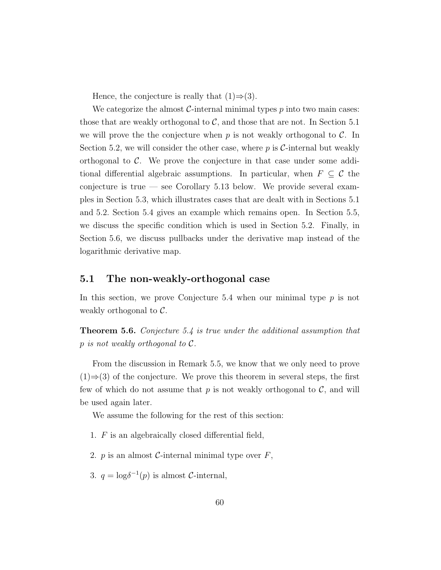Hence, the conjecture is really that  $(1) \Rightarrow (3)$ .

We categorize the almost  $C$ -internal minimal types  $p$  into two main cases: those that are weakly orthogonal to  $C$ , and those that are not. In Section [5.1](#page-67-0) we will prove the the conjecture when p is not weakly orthogonal to  $\mathcal{C}$ . In Section [5.2,](#page-74-0) we will consider the other case, where  $p$  is C-internal but weakly orthogonal to  $\mathcal{C}$ . We prove the conjecture in that case under some additional differential algebraic assumptions. In particular, when  $F \subseteq \mathcal{C}$  the conjecture is true — see Corollary [5.13](#page-74-1) below. We provide several examples in Section [5.3,](#page-83-0) which illustrates cases that are dealt with in Sections [5.1](#page-67-0) and [5.2.](#page-74-0) Section [5.4](#page-87-0) gives an example which remains open. In Section [5.5,](#page-92-0) we discuss the specific condition which is used in Section [5.2.](#page-74-0) Finally, in Section [5.6,](#page-96-0) we discuss pullbacks under the derivative map instead of the logarithmic derivative map.

#### <span id="page-67-0"></span>5.1 The non-weakly-orthogonal case

In this section, we prove Conjecture [5.4](#page-66-0) when our minimal type  $p$  is not weakly orthogonal to C.

**Theorem 5.6.** Conjecture [5.4](#page-66-0) is true under the additional assumption that  $p$  is not weakly orthogonal to  $\mathcal{C}.$ 

From the discussion in Remark [5.5,](#page-66-1) we know that we only need to prove  $(1) \Rightarrow (3)$  of the conjecture. We prove this theorem in several steps, the first few of which do not assume that  $p$  is not weakly orthogonal to  $\mathcal{C}$ , and will be used again later.

We assume the following for the rest of this section:

- 1. F is an algebraically closed differential field,
- 2. p is an almost C-internal minimal type over  $F$ ,
- 3.  $q = \log \delta^{-1}(p)$  is almost C-internal,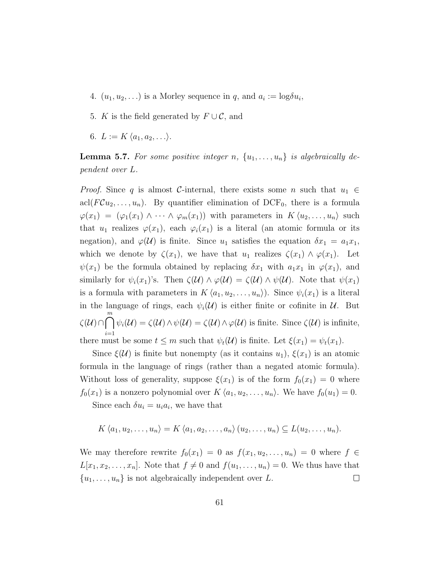- 4.  $(u_1, u_2, \ldots)$  is a Morley sequence in q, and  $a_i := \log \delta u_i$ ,
- 5. K is the field generated by  $F \cup C$ , and
- 6.  $L := K \langle a_1, a_2, \ldots \rangle$ .

<span id="page-68-0"></span>**Lemma 5.7.** For some positive integer n,  $\{u_1, \ldots, u_n\}$  is algebraically dependent over L.

*Proof.* Since q is almost C-internal, there exists some n such that  $u_1 \in$ acl $(FCu_2, \ldots, u_n)$ . By quantifier elimination of DCF<sub>0</sub>, there is a formula  $\varphi(x_1) = (\varphi_1(x_1) \wedge \cdots \wedge \varphi_m(x_1))$  with parameters in  $K \langle u_2, \ldots, u_n \rangle$  such that  $u_1$  realizes  $\varphi(x_1)$ , each  $\varphi_i(x_1)$  is a literal (an atomic formula or its negation), and  $\varphi(\mathcal{U})$  is finite. Since  $u_1$  satisfies the equation  $\delta x_1 = a_1 x_1$ , which we denote by  $\zeta(x_1)$ , we have that  $u_1$  realizes  $\zeta(x_1) \wedge \varphi(x_1)$ . Let  $\psi(x_1)$  be the formula obtained by replacing  $\delta x_1$  with  $a_1x_1$  in  $\varphi(x_1)$ , and similarly for  $\psi_i(x_1)$ 's. Then  $\zeta(\mathcal{U}) \wedge \varphi(\mathcal{U}) = \zeta(\mathcal{U}) \wedge \psi(\mathcal{U})$ . Note that  $\psi(x_1)$ is a formula with parameters in  $K\langle a_1, u_2, \ldots, u_n \rangle$ . Since  $\psi_i(x_1)$  is a literal in the language of rings, each  $\psi_i(\mathcal{U})$  is either finite or cofinite in  $\mathcal{U}$ . But  $\zeta(\mathcal{U})\cap \bigcap^m$  $i=1$  $\psi_i(\mathcal{U}) = \zeta(\mathcal{U}) \wedge \psi(\mathcal{U}) = \zeta(\mathcal{U}) \wedge \varphi(\mathcal{U})$  is finite. Since  $\zeta(\mathcal{U})$  is infinite, there must be some  $t \leq m$  such that  $\psi_t(\mathcal{U})$  is finite. Let  $\xi(x_1) = \psi_t(x_1)$ .

Since  $\xi(\mathcal{U})$  is finite but nonempty (as it contains  $u_1$ ),  $\xi(x_1)$  is an atomic formula in the language of rings (rather than a negated atomic formula). Without loss of generality, suppose  $\xi(x_1)$  is of the form  $f_0(x_1) = 0$  where  $f_0(x_1)$  is a nonzero polynomial over  $K\langle a_1, u_2, \ldots, u_n\rangle$ . We have  $f_0(u_1) = 0$ .

Since each  $\delta u_i = u_i a_i$ , we have that

$$
K\langle a_1, u_2, \ldots, u_n \rangle = K\langle a_1, a_2, \ldots, a_n \rangle (u_2, \ldots, u_n) \subseteq L(u_2, \ldots, u_n).
$$

We may therefore rewrite  $f_0(x_1) = 0$  as  $f(x_1, u_2, \ldots, u_n) = 0$  where  $f \in$  $L[x_1, x_2, \ldots, x_n]$ . Note that  $f \neq 0$  and  $f(u_1, \ldots, u_n) = 0$ . We thus have that  $\{u_1, \ldots, u_n\}$  is not algebraically independent over L.  $\Box$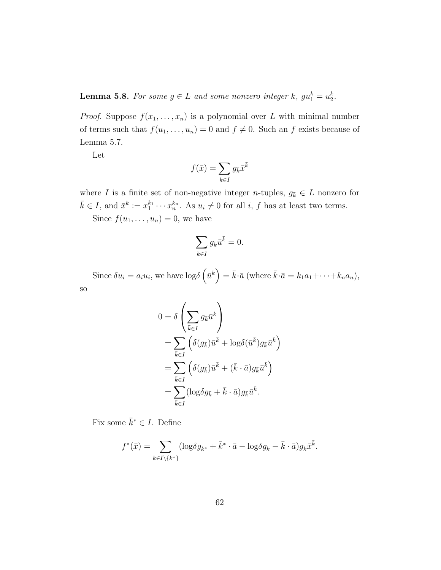<span id="page-69-0"></span>**Lemma 5.8.** For some  $g \in L$  and some nonzero integer k,  $gu_1^k = u_2^k$ .

*Proof.* Suppose  $f(x_1, \ldots, x_n)$  is a polynomial over L with minimal number of terms such that  $f(u_1, \ldots, u_n) = 0$  and  $f \neq 0$ . Such an f exists because of Lemma [5.7.](#page-68-0)

Let

$$
f(\bar{x}) = \sum_{\bar{k} \in I} g_{\bar{k}} \bar{x}^{\bar{k}}
$$

where I is a finite set of non-negative integer n-tuples,  $g_{\bar{k}} \in L$  nonzero for  $\bar{k} \in I$ , and  $\bar{x}^{\bar{k}} := x_1^{k_1} \cdots x_n^{k_n}$ . As  $u_i \neq 0$  for all i, f has at least two terms. Since  $f(u_1, \ldots, u_n) = 0$ , we have

$$
\sum_{\bar{k}\in I}g_{\bar{k}}\bar{u}^{\bar{k}}=0.
$$

Since  $\delta u_i = a_i u_i$ , we have  $\log \delta \left( \bar{u}^{\bar{k}} \right) = \bar{k} \cdot \bar{a}$  (where  $\bar{k} \cdot \bar{a} = k_1 a_1 + \cdots + k_n a_n$ ), so

$$
\mathcal{L}_{\mathcal{A}}
$$

$$
0 = \delta \left( \sum_{\bar{k} \in I} g_{\bar{k}} \bar{u}^{\bar{k}} \right)
$$
  
= 
$$
\sum_{\bar{k} \in I} \left( \delta(g_{\bar{k}}) \bar{u}^{\bar{k}} + \log \delta(\bar{u}^{\bar{k}}) g_{\bar{k}} \bar{u}^{\bar{k}} \right)
$$
  
= 
$$
\sum_{\bar{k} \in I} \left( \delta(g_{\bar{k}}) \bar{u}^{\bar{k}} + (\bar{k} \cdot \bar{a}) g_{\bar{k}} \bar{u}^{\bar{k}} \right)
$$
  
= 
$$
\sum_{\bar{k} \in I} (\log \delta g_{\bar{k}} + \bar{k} \cdot \bar{a}) g_{\bar{k}} \bar{u}^{\bar{k}}.
$$

Fix some  $\bar{k}^* \in I$ . Define

$$
f^*(\bar{x}) = \sum_{\bar{k} \in I \setminus {\{\bar{k}^*\}} } (\log \delta g_{\bar{k}^*} + \bar{k}^* \cdot \bar{a} - \log \delta g_{\bar{k}} - \bar{k} \cdot \bar{a}) g_{\bar{k}} \bar{x}^{\bar{k}}.
$$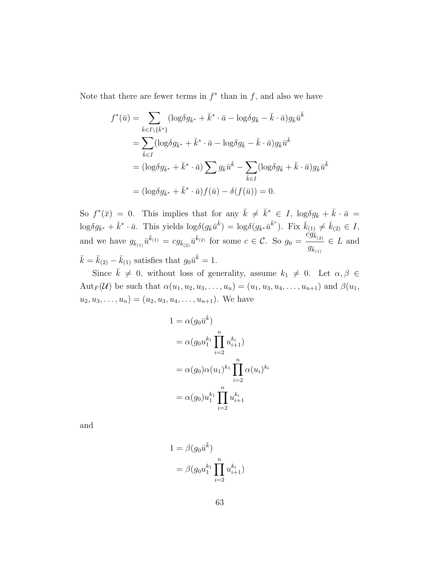Note that there are fewer terms in  $f^*$  than in f, and also we have

$$
f^*(\bar{u}) = \sum_{\bar{k}\in I\backslash\{\bar{k}^*\}} (\log \delta g_{\bar{k}^*} + \bar{k}^* \cdot \bar{a} - \log \delta g_{\bar{k}} - \bar{k} \cdot \bar{a}) g_{\bar{k}} \bar{u}^{\bar{k}}
$$
  
\n
$$
= \sum_{\bar{k}\in I} (\log \delta g_{\bar{k}^*} + \bar{k}^* \cdot \bar{a} - \log \delta g_{\bar{k}} - \bar{k} \cdot \bar{a}) g_{\bar{k}} \bar{u}^{\bar{k}}
$$
  
\n
$$
= (\log \delta g_{\bar{k}^*} + \bar{k}^* \cdot \bar{a}) \sum_{\bar{k}\in I} g_{\bar{k}} \bar{u}^{\bar{k}} - \sum_{\bar{k}\in I} (\log \delta g_{\bar{k}} + \bar{k} \cdot \bar{a}) g_{\bar{k}} \bar{u}^{\bar{k}}
$$
  
\n
$$
= (\log \delta g_{\bar{k}^*} + \bar{k}^* \cdot \bar{a}) f(\bar{u}) - \delta(f(\bar{u})) = 0.
$$

So  $f^*(\bar{x}) = 0$ . This implies that for any  $\bar{k} \neq \bar{k}^* \in I$ ,  $\log \delta g_{\bar{k}} + \bar{k} \cdot \bar{a} =$  $\log \delta g_{\bar{k}^*} + \bar{k}^* \cdot \bar{a}$ . This yields  $\log \delta (g_{\bar{k}} \bar{u}^{\bar{k}}) = \log \delta (g_{\bar{k}^*} \bar{u}^{\bar{k}^*})$ . Fix  $\bar{k}_{(1)} \neq \bar{k}_{(2)} \in I$ , and we have  $g_{\bar{k}_{(1)}}\bar{u}^{\bar{k}_{(1)}} = cg_{\bar{k}_{(2)}}\bar{u}^{\bar{k}_{(2)}}$  for some  $c \in \mathcal{C}$ . So  $g_0 =$  $c\ddot{g}_{\bar{k}_{(2)}}$  $g_{\bar{k}_{(1)}}$  $\in L$  and  $\bar{k} = \bar{k}_{(2)} - \bar{k}_{(1)}$  satisfies that  $g_0 \bar{u}^{\bar{k}} = 1$ .

Since  $\bar{k} \neq 0$ , without loss of generality, assume  $k_1 \neq 0$ . Let  $\alpha, \beta \in$ Aut<sub>F</sub>(U) be such that  $\alpha(u_1, u_2, u_3, \ldots, u_n) = (u_1, u_3, u_4, \ldots, u_{n+1})$  and  $\beta(u_1, u_2, u_3, \ldots, u_n)$  $u_2, u_3, \ldots, u_n) = (u_2, u_3, u_4, \ldots, u_{n+1})$ . We have

$$
1 = \alpha(g_0 \bar{u}^{\bar{k}})
$$
  
=  $\alpha(g_0 u_1^{k_1} \prod_{i=2}^n u_{i+1}^{k_i})$   
=  $\alpha(g_0) \alpha(u_1)^{k_1} \prod_{i=2}^n \alpha(u_i)^{k_i}$   
=  $\alpha(g_0) u_1^{k_1} \prod_{i=2}^n u_{i+1}^{k_i}$ 

and

$$
1 = \beta(g_0 \bar{u}^{\bar{k}})
$$
  
= 
$$
\beta(g_0 u_1^{k_1} \prod_{i=2}^n u_{i+1}^{k_i})
$$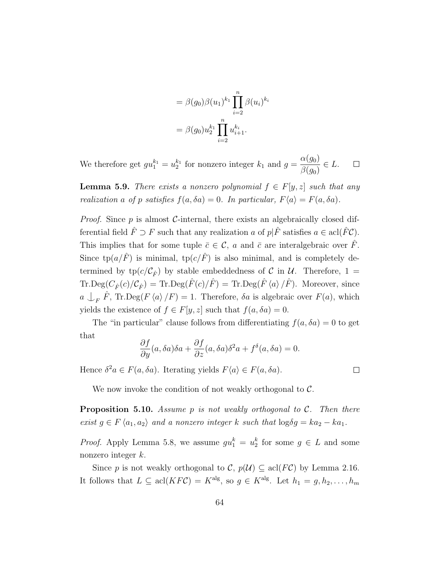$$
= \beta(g_0)\beta(u_1)^{k_1} \prod_{i=2}^n \beta(u_i)^{k_i}
$$

$$
= \beta(g_0)u_2^{k_1} \prod_{i=2}^n u_{i+1}^{k_i}.
$$

 $\alpha(g_0)$ We therefore get  $gu_1^{k_1} = u_2^{k_1}$  for nonzero integer  $k_1$  and  $g =$  $\in L$ .  $\Box$  $\beta(g_0)$ 

**Lemma 5.9.** There exists a nonzero polynomial  $f \in F[y, z]$  such that any realization a of p satisfies  $f(a, \delta a) = 0$ . In particular,  $F\langle a \rangle = F(a, \delta a)$ .

*Proof.* Since  $p$  is almost C-internal, there exists an algebraically closed differential field  $\hat{F} \supset F$  such that any realization a of  $p|\hat{F}$  satisfies  $a \in \text{acl}(\hat{F}\mathcal{C})$ . This implies that for some tuple  $\bar{c} \in \mathcal{C}$ , a and  $\bar{c}$  are interalgebraic over  $\hat{F}$ . Since  $\text{tp}(a/\hat{F})$  is minimal,  $\text{tp}(c/\hat{F})$  is also minimal, and is completely determined by  $tp(c/\mathcal{C}_{\hat{F}})$  by stable embeddedness of C in U. Therefore, 1 =  $\text{Tr.deg}(C_{\hat{F}}(c)/\mathcal{C}_{\hat{F}}) = \text{Tr.deg}(\hat{F}(c)/\hat{F}) = \text{Tr.deg}(\hat{F}\langle a\rangle/\hat{F})$ . Moreover, since  $a \perp_F \hat{F}$ , Tr.Deg( $F \langle a \rangle / F$ ) = 1. Therefore,  $\delta a$  is algebraic over  $F(a)$ , which yields the existence of  $f \in F[y, z]$  such that  $f(a, \delta a) = 0$ .

The "in particular" clause follows from differentiating  $f(a, \delta a) = 0$  to get that

$$
\frac{\partial f}{\partial y}(a,\delta a)\delta a + \frac{\partial f}{\partial z}(a,\delta a)\delta^2 a + f^{\delta}(a,\delta a) = 0.
$$

Hence  $\delta^2 a \in F(a, \delta a)$ . Iterating yields  $F\langle a \rangle \in F(a, \delta a)$ .

 $\Box$ 

We now invoke the condition of not weakly orthogonal to  $\mathcal{C}$ .

**Proposition 5.10.** Assume p is not weakly orthogonal to C. Then there exist  $g \in F \langle a_1, a_2 \rangle$  and a nonzero integer k such that  $\log \delta g = ka_2 - ka_1$ .

*Proof.* Apply Lemma [5.8,](#page-69-0) we assume  $gu_1^k = u_2^k$  for some  $g \in L$  and some nonzero integer k.

Since p is not weakly orthogonal to C,  $p(\mathcal{U}) \subseteq \text{acl}(FC)$  by Lemma [2.16.](#page-21-0) It follows that  $L \subseteq \text{acl}(KF\mathcal{C}) = K^{\text{alg}}$ , so  $g \in K^{\text{alg}}$ . Let  $h_1 = g, h_2, \ldots, h_m$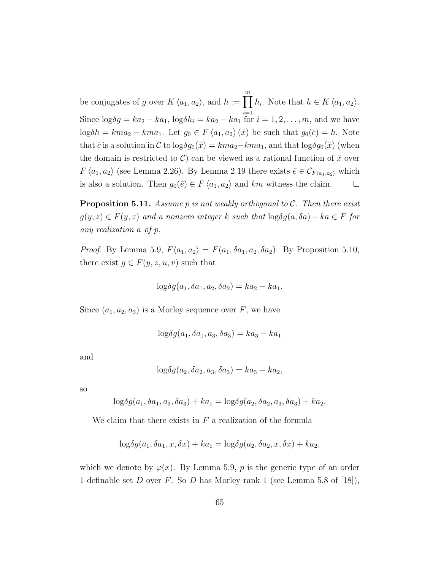be conjugates of g over  $K \langle a_1, a_2 \rangle$ , and  $h := \prod_{i=1}^{m} h_i$ . Note that  $h \in K \langle a_1, a_2 \rangle$ . Since  $\log \delta g = ka_2 - ka_1$ ,  $\log \delta h_i = ka_2 - ka_1$  for  $i = 1, 2, ..., m$ , and we have  $log \delta h = kma_2 - km a_1$ . Let  $g_0 \in F \langle a_1, a_2 \rangle (\bar{x})$  be such that  $g_0(\bar{c}) = h$ . Note that  $\bar{c}$  is a solution in C to log $\delta g_0(\bar{x}) = km a_2 - km a_1$ , and that log $\delta g_0(\bar{x})$  (when the domain is restricted to C) can be viewed as a rational function of  $\bar{x}$  over  $F \langle a_1, a_2 \rangle$  (see Lemma [2.26\)](#page-28-0). By Lemma [2.19](#page-24-0) there exists  $\bar{e} \in C_{F\langle a_1, a_2 \rangle}$  which is also a solution. Then  $g_0(\bar{e}) \in F\langle a_1, a_2 \rangle$  and km witness the claim.  $\Box$ 

<span id="page-72-0"></span>**Proposition 5.11.** Assume p is not weakly orthogonal to C. Then there exist  $g(y, z) \in F(y, z)$  and a nonzero integer k such that  $\log \delta g(a, \delta a) - ka \in F$  for any realization a of p.

*Proof.* By Lemma [5.9,](#page-71-0)  $F\langle a_1, a_2 \rangle = F(a_1, \delta a_1, a_2, \delta a_2)$ . By Proposition [5.10,](#page-71-1) there exist  $g \in F(y, z, u, v)$  such that

$$
\log \delta g(a_1, \delta a_1, a_2, \delta a_2) = ka_2 - ka_1.
$$

Since  $(a_1, a_2, a_3)$  is a Morley sequence over F, we have

$$
\log \delta g(a_1, \delta a_1, a_3, \delta a_3) = ka_3 - ka_1
$$

and

$$
\log \delta g(a_2, \delta a_2, a_3, \delta a_3) = ka_3 - ka_2,
$$

so

$$
\log \delta g(a_1, \delta a_1, a_3, \delta a_3) + ka_1 = \log \delta g(a_2, \delta a_2, a_3, \delta a_3) + ka_2.
$$

We claim that there exists in  $F$  a realization of the formula

$$
\log \delta g(a_1, \delta a_1, x, \delta x) + ka_1 = \log \delta g(a_2, \delta a_2, x, \delta x) + ka_2,
$$

which we denote by  $\varphi(x)$ . By Lemma [5.9,](#page-71-0) p is the generic type of an order 1 definable set D over F. So D has Morley rank 1 (see Lemma 5.8 of [\[18\]](#page-110-0)),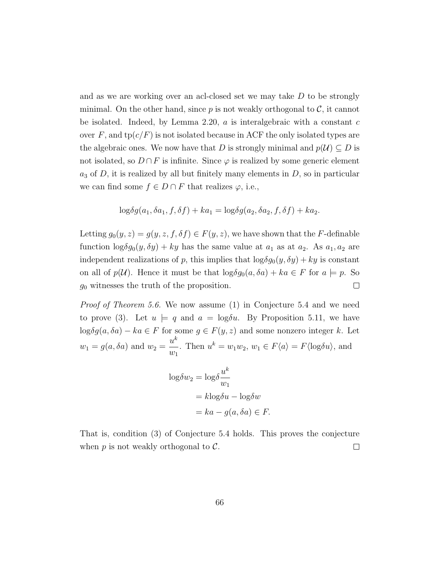and as we are working over an acl-closed set we may take  $D$  to be strongly minimal. On the other hand, since  $p$  is not weakly orthogonal to  $\mathcal{C}$ , it cannot be isolated. Indeed, by Lemma [2.20,](#page-25-0)  $a$  is interalgebraic with a constant  $c$ over F, and  $tp(c/F)$  is not isolated because in ACF the only isolated types are the algebraic ones. We now have that D is strongly minimal and  $p(\mathcal{U}) \subseteq D$  is not isolated, so  $D \cap F$  is infinite. Since  $\varphi$  is realized by some generic element  $a_3$  of D, it is realized by all but finitely many elements in D, so in particular we can find some  $f \in D \cap F$  that realizes  $\varphi$ , i.e.,

$$
\log \delta g(a_1, \delta a_1, f, \delta f) + ka_1 = \log \delta g(a_2, \delta a_2, f, \delta f) + ka_2.
$$

Letting  $g_0(y, z) = g(y, z, f, \delta f) \in F(y, z)$ , we have shown that the F-definable function  $\log \delta g_0(y, \delta y) + ky$  has the same value at  $a_1$  as at  $a_2$ . As  $a_1, a_2$  are independent realizations of p, this implies that  $\log \delta g_0(y, \delta y) + ky$  is constant on all of  $p(\mathcal{U})$ . Hence it must be that  $\log \delta g_0(a, \delta a) + ka \in F$  for  $a \models p$ . So  $g_0$  witnesses the truth of the proposition.  $\Box$ 

Proof of Theorem [5.6.](#page-67-0) We now assume (1) in Conjecture [5.4](#page-66-0) and we need to prove (3). Let  $u \models q$  and  $a = \log \delta u$ . By Proposition [5.11,](#page-72-0) we have log $\delta g(a, \delta a) - ka \in F$  for some  $g \in F(y, z)$  and some nonzero integer k. Let  $w_1 = g(a, \delta a)$  and  $w_2 =$  $u^k$  $w_1$ . Then  $u^k = w_1 w_2$ ,  $w_1 \in F\langle a \rangle = F\langle \log \delta u \rangle$ , and

$$
\log \delta w_2 = \log \delta \frac{u^k}{w_1}
$$
  
=  $k \log \delta u - \log \delta w$   
=  $ka - g(a, \delta a) \in F$ .

That is, condition (3) of Conjecture [5.4](#page-66-0) holds. This proves the conjecture when  $p$  is not weakly orthogonal to  $\mathcal{C}$ .  $\Box$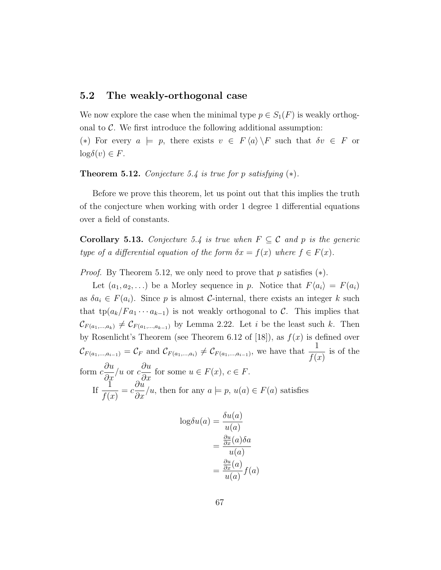### 5.2 The weakly-orthogonal case

We now explore the case when the minimal type  $p \in S_1(F)$  is weakly orthogonal to  $\mathcal{C}$ . We first introduce the following additional assumption: (\*) For every  $a \models p$ , there exists  $v \in F \langle a \rangle \backslash F$  such that  $\delta v \in F$  or  $\log \delta(v) \in F$ .

#### <span id="page-74-0"></span>Theorem 5.12. Conjecture [5.4](#page-66-0) is true for p satisfying  $(*)$ .

Before we prove this theorem, let us point out that this implies the truth of the conjecture when working with order 1 degree 1 differential equations over a field of constants.

<span id="page-74-1"></span>**Corollary 5.13.** Conjecture [5.4](#page-66-0) is true when  $F \subseteq \mathcal{C}$  and p is the generic type of a differential equation of the form  $\delta x = f(x)$  where  $f \in F(x)$ .

*Proof.* By Theorem [5.12,](#page-74-0) we only need to prove that p satisfies  $(*).$ 

Let  $(a_1, a_2, \ldots)$  be a Morley sequence in p. Notice that  $F\langle a_i \rangle = F(a_i)$ as  $\delta a_i \in F(a_i)$ . Since p is almost C-internal, there exists an integer k such that tp( $a_k/F a_1 \cdots a_{k-1}$ ) is not weakly orthogonal to C. This implies that  $\mathcal{C}_{F(a_1,...,a_k)} \neq \mathcal{C}_{F(a_1,...,a_{k-1})}$  by Lemma [2.22.](#page-26-0) Let i be the least such k. Then by Rosenlicht's Theorem (see Theorem 6.12 of [\[18\]](#page-110-0)), as  $f(x)$  is defined over  $\mathcal{C}_{F(a_1,...,a_{i-1})} = \mathcal{C}_F$  and  $\mathcal{C}_{F(a_1,...,a_i)} \neq \mathcal{C}_{F(a_1,...,a_{i-1})}$ , we have that  $\frac{1}{f(a_1,...,a_i)}$  $f(x)$ is of the form  $c$ ∂u  $rac{\partial x}{\partial x}$ /*u* or *c*  $\frac{\partial u}{\partial x}$  for some  $u \in F(x)$ ,  $c \in F$ . If  $\frac{1}{\sqrt{1}}$  $f(x)$  $= c$  $\frac{\partial u}{\partial x}/u$ , then for any  $a \models p$ ,  $u(a) \in F(a)$  satisfies

$$
\log \delta u(a) = \frac{\delta u(a)}{u(a)}
$$

$$
= \frac{\frac{\partial u}{\partial x}(a)\delta a}{u(a)}
$$

$$
= \frac{\frac{\partial u}{\partial x}(a)}{u(a)} f(a)
$$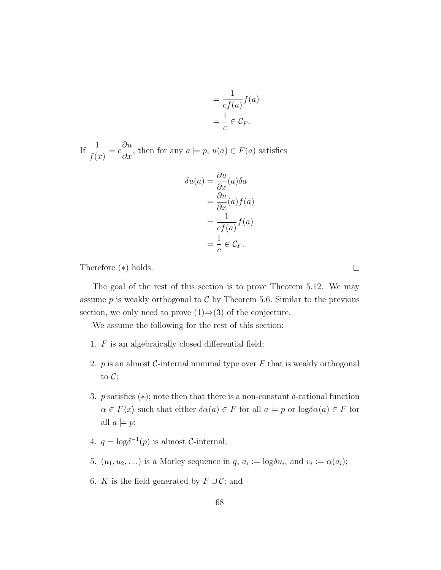$$
= \frac{1}{cf(a)}f(a)
$$

$$
= \frac{1}{c} \in \mathcal{C}_F.
$$

If  $\frac{1}{\sqrt{1-\frac{1}{\sqrt{1-\frac{1}{\sqrt{1-\frac{1}{\sqrt{1-\frac{1}{\sqrt{1-\frac{1}{\sqrt{1-\frac{1}{\sqrt{1-\frac{1}{\sqrt{1-\frac{1}{\sqrt{1-\frac{1}{\sqrt{1-\frac{1}{\sqrt{1-\frac{1}{\sqrt{1-\frac{1}{\sqrt{1-\frac{1}{\sqrt{1-\frac{1}{\sqrt{1-\frac{1}{\sqrt{1-\frac{1}{\sqrt{1-\frac{1}{\sqrt{1-\frac{1}{\sqrt{1-\frac{1}{\sqrt{1-\frac{1}{\sqrt{1-\frac{1}{\sqrt{1-\frac{1}{\sqrt{1-\frac{1}{\sqrt{1-\$  $f(x)$  $= c$  $\frac{\partial u}{\partial x}$ , then for any  $a \models p$ ,  $u(a) \in F(a)$  satisfies

$$
\delta u(a) = \frac{\partial u}{\partial x}(a)\delta a
$$

$$
= \frac{\partial u}{\partial x}(a)f(a)
$$

$$
= \frac{1}{cf(a)}f(a)
$$

$$
= \frac{1}{c}\in \mathcal{C}_F.
$$

Therefore (∗) holds.

The goal of the rest of this section is to prove Theorem [5.12.](#page-74-0) We may assume p is weakly orthogonal to  $C$  by Theorem [5.6.](#page-67-0) Similar to the previous section, we only need to prove  $(1) \Rightarrow (3)$  of the conjecture.

We assume the following for the rest of this section:

- 1.  $F$  is an algebraically closed differential field;
- 2.  $p$  is an almost  $C$ -internal minimal type over  $F$  that is weakly orthogonal to  $\mathcal{C}$ ;
- 3. p satisfies (\*); note then that there is a non-constant  $\delta$ -rational function  $\alpha \in F\langle x \rangle$  such that either  $\delta \alpha(a) \in F$  for all  $a \models p$  or  $\log \delta \alpha(a) \in F$  for all  $a \models p$ ;
- 4.  $q = \log \delta^{-1}(p)$  is almost *C*-internal;
- 5.  $(u_1, u_2, \ldots)$  is a Morley sequence in  $q, a_i := \log \delta u_i$ , and  $v_i := \alpha(a_i)$ ;
- 6. K is the field generated by  $F \cup C$ ; and

 $\Box$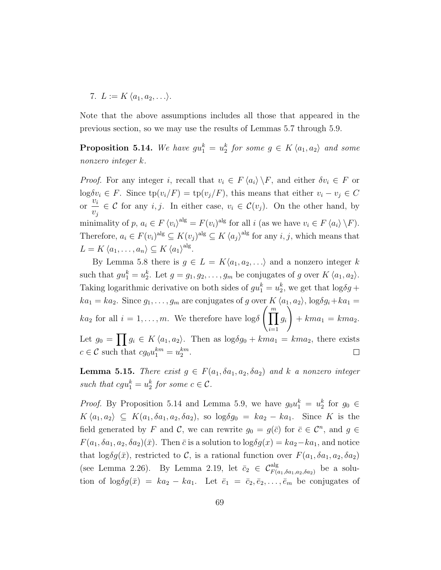7.  $L := K \langle a_1, a_2, \ldots \rangle$ .

Note that the above assumptions includes all those that appeared in the previous section, so we may use the results of Lemmas [5.7](#page-68-0) through [5.9.](#page-71-0)

<span id="page-76-0"></span>**Proposition 5.14.** We have  $gu_1^k = u_2^k$  for some  $g \in K \langle a_1, a_2 \rangle$  and some nonzero integer k.

*Proof.* For any integer i, recall that  $v_i \in F \langle a_i \rangle \backslash F$ , and either  $\delta v_i \in F$  or log $\delta v_i \in F$ . Since  $\text{tp}(v_i/F) = \text{tp}(v_j/F)$ , this means that either  $v_i - v_j \in C$ or  $\frac{v_i}{v_i}$  $v_j$  $\in \mathcal{C}$  for any *i*, *j*. In either case,  $v_i \in \mathcal{C}(v_j)$ . On the other hand, by minimality of p,  $a_i \in F \langle v_i \rangle^{\text{alg}} = F(v_i)^{\text{alg}}$  for all i (as we have  $v_i \in F \langle a_i \rangle \backslash F$ ). Therefore,  $a_i \in F(v_i)$ <sup>alg</sup>  $\subseteq K(v_j)$ <sup>alg</sup>  $\subseteq K \langle a_j \rangle$ <sup>alg</sup> for any  $i, j$ , which means that  $L = K \langle a_1, \ldots, a_n \rangle \subseteq K \langle a_1 \rangle^{\text{alg}}.$ 

By Lemma [5.8](#page-69-0) there is  $g \in L = K\langle a_1, a_2, \ldots \rangle$  and a nonzero integer k such that  $gu_1^k = u_2^k$ . Let  $g = g_1, g_2, \ldots, g_m$  be conjugates of g over  $K \langle a_1, a_2 \rangle$ . Taking logarithmic derivative on both sides of  $gu_1^k = u_2^k$ , we get that  $\log \delta g +$  $ka_1 = ka_2$ . Since  $g_1, \ldots, g_m$  are conjugates of g over  $K \langle a_1, a_2 \rangle$ ,  $\log \delta g_i + ka_1 =$  $ka_2$  for all  $i = 1, \ldots, m$ . We therefore have  $\log \delta \left( \prod_{i=1}^{m} \right)$  $\setminus$ gi  $+ km a_1 = km a_2.$  $i=1$ Let  $g_0 = \prod g_i \in K \langle a_1, a_2 \rangle$ . Then as  $\log \delta g_0 + kma_1 = kma_2$ , there exists  $c \in \mathcal{C}$  such that  $cg_0u_1^{km} = u_2^{km}$ .  $\Box$ 

<span id="page-76-1"></span>**Lemma 5.15.** There exist  $g \in F(a_1, \delta a_1, a_2, \delta a_2)$  and k a nonzero integer such that  $cgu_1^k = u_2^k$  for some  $c \in \mathcal{C}$ .

*Proof.* By Proposition [5.14](#page-76-0) and Lemma [5.9,](#page-71-0) we have  $g_0 u_1^k = u_2^k$  for  $g_0 \in$  $K\langle a_1, a_2 \rangle \subseteq K(a_1, \delta a_1, a_2, \delta a_2),$  so  $\log \delta g_0 = ka_2 - ka_1$ . Since K is the field generated by F and C, we can rewrite  $g_0 = g(\bar{c})$  for  $\bar{c} \in \mathcal{C}^n$ , and  $g \in$  $F(a_1, \delta a_1, a_2, \delta a_2)(\bar{x})$ . Then  $\bar{c}$  is a solution to  $\log \delta g(x) = ka_2 - ka_1$ , and notice that  $\log \delta g(\bar{x})$ , restricted to C, is a rational function over  $F(a_1, \delta a_1, a_2, \delta a_2)$ (see Lemma [2.26\)](#page-28-0). By Lemma [2.19,](#page-24-0) let  $\bar{c}_2 \in C_{F(a_1, \delta a_1, a_2, \delta a_2)}^{\text{alg}}$  be a solution of  $\log \delta g(\bar{x}) = ka_2 - ka_1$ . Let  $\bar{e}_1 = \bar{c}_2, \bar{e}_2, \ldots, \bar{e}_m$  be conjugates of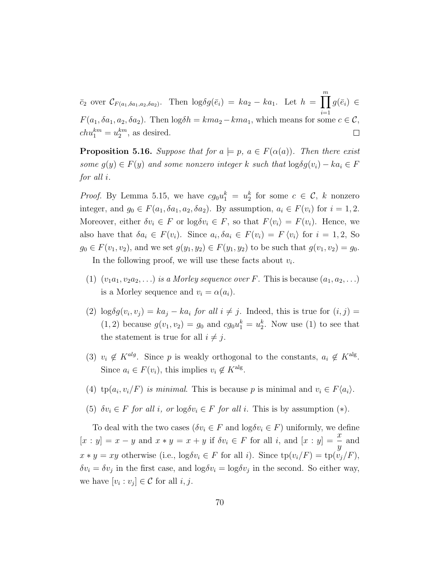$\bar{c}_2$  over  $\mathcal{C}_{F(a_1,\delta a_1,a_2,\delta a_2)}$ . Then  $\log \delta g(\bar{e}_i) = ka_2 - ka_1$ . Let  $h = \prod_{i=1}^{m} g(\bar{e}_i) \in$  $F(a_1, \delta a_1, a_2, \delta a_2)$ . Then  $\log \delta h = kma_2 - km a_1$ , which means for some  $c \in \mathcal{C}$ ,  $chu_1^{km} = u_2^{km}$ , as desired.  $\Box$ 

<span id="page-77-0"></span>**Proposition 5.16.** Suppose that for  $a \models p$ ,  $a \in F(\alpha(a))$ . Then there exist some  $g(y) \in F(y)$  and some nonzero integer k such that  $\log \delta g(v_i) - ka_i \in F$ for all i.

*Proof.* By Lemma [5.15,](#page-76-1) we have  $cg_0u_1^k = u_2^k$  for some  $c \in \mathcal{C}$ , k nonzero integer, and  $g_0 \in F(a_1, \delta a_1, a_2, \delta a_2)$ . By assumption,  $a_i \in F(v_i)$  for  $i = 1, 2$ . Moreover, either  $\delta v_i \in F$  or  $\log \delta v_i \in F$ , so that  $F\langle v_i \rangle = F(v_i)$ . Hence, we also have that  $\delta a_i \in F(v_i)$ . Since  $a_i, \delta a_i \in F(v_i) = F(v_i)$  for  $i = 1, 2$ , So  $g_0 \in F(v_1, v_2)$ , and we set  $g(y_1, y_2) \in F(y_1, y_2)$  to be such that  $g(v_1, v_2) = g_0$ .

In the following proof, we will use these facts about  $v_i$ .

- (1)  $(v_1a_1, v_2a_2, \ldots)$  is a Morley sequence over F. This is because  $(a_1, a_2, \ldots)$ is a Morley sequence and  $v_i = \alpha(a_i)$ .
- (2)  $\log \delta g(v_i, v_j) = ka_j ka_i$  for all  $i \neq j$ . Indeed, this is true for  $(i, j) =$  $(1, 2)$  because  $g(v_1, v_2) = g_0$  and  $cg_0u_1^k = u_2^k$ . Now use (1) to see that the statement is true for all  $i \neq j$ .
- (3)  $v_i \notin K^{alg}$ . Since p is weakly orthogonal to the constants,  $a_i \notin K^{alg}$ . Since  $a_i \in F(v_i)$ , this implies  $v_i \notin K^{\text{alg}}$ .
- (4)  $tp(a_i, v_i/F)$  is minimal. This is because p is minimal and  $v_i \in F\langle a_i \rangle$ .
- (5)  $\delta v_i \in F$  for all i, or  $\log \delta v_i \in F$  for all i. This is by assumption  $(*)$ .

To deal with the two cases ( $\delta v_i \in F$  and  $\log \delta v_i \in F$ ) uniformly, we define  $[x:y] = x - y$  and  $x * y = x + y$  if  $\delta v_i \in F$  for all i, and  $[x:y] = \frac{x}{y}$ and  $x * y = xy$  otherwise (i.e.,  $\log \delta v_i \in F$  for all i). Since  $\text{tp}(v_i/F) = \text{tp}(v_i/F)$ ,  $\delta v_i = \delta v_j$  in the first case, and  $\log \delta v_i = \log \delta v_j$  in the second. So either way, we have  $[v_i : v_j] \in \mathcal{C}$  for all  $i, j$ .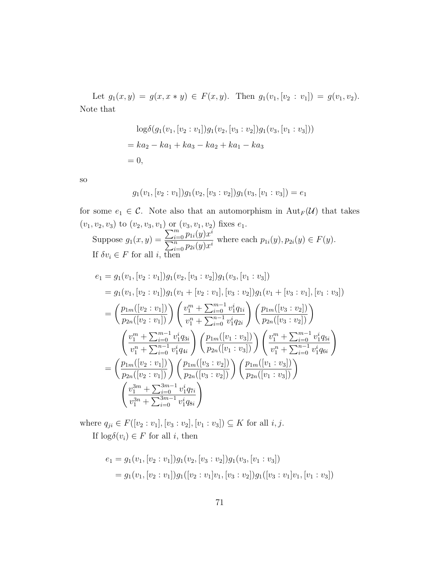Let  $g_1(x, y) = g(x, x * y) \in F(x, y)$ . Then  $g_1(v_1, [v_2 : v_1]) = g(v_1, v_2)$ . Note that

$$
\log \delta(g_1(v_1, [v_2 : v_1])g_1(v_2, [v_3 : v_2])g_1(v_3, [v_1 : v_3]))
$$
  
=  $ka_2 - ka_1 + ka_3 - ka_2 + ka_1 - ka_3$   
= 0,

so

$$
g_1(v_1,[v_2:v_1])g_1(v_2,[v_3:v_2])g_1(v_3,[v_1:v_3])=e_1
$$

for some  $e_1 \in \mathcal{C}$ . Note also that an automorphism in  $\text{Aut}_F(\mathcal{U})$  that takes  $(v_1, v_2, v_3)$  to  $(v_2, v_3, v_1)$  or  $(v_3, v_1, v_2)$  fixes  $e_1$ . Suppose  $g_1(x, y) =$  $\sum_{i=0}^m p_{1i}(y)x^i$  $\frac{\sum_{i=0}^{n} p_{1i}(y)x}{\sum_{i=0}^{n} p_{2i}(y)x^i}$  where each  $p_{1i}(y), p_{2i}(y) \in F(y)$ . If  $\delta v_i \in F$  for all *i*, then

$$
e_{1} = g_{1}(v_{1}, [v_{2} : v_{1}])g_{1}(v_{2}, [v_{3} : v_{2}])g_{1}(v_{3}, [v_{1} : v_{3}])
$$
  
\n
$$
= g_{1}(v_{1}, [v_{2} : v_{1}])g_{1}(v_{1} + [v_{2} : v_{1}], [v_{3} : v_{2}])g_{1}(v_{1} + [v_{3} : v_{1}], [v_{1} : v_{3}])
$$
  
\n
$$
= \left(\frac{p_{1m}([v_{2} : v_{1}])}{p_{2n}([v_{2} : v_{1}])}\right)\left(\frac{v_{1}^{m} + \sum_{i=0}^{m-1} v_{1}^{i}q_{1i}}{v_{1}^{n} + \sum_{i=0}^{n-1} v_{1}^{i}q_{2i}}\right)\left(\frac{p_{1m}([v_{3} : v_{2}])}{p_{2n}([v_{3} : v_{2}])}\right)
$$
  
\n
$$
\left(\frac{v_{1}^{m} + \sum_{i=0}^{m-1} v_{1}^{i}q_{3i}}{v_{1}^{n} + \sum_{i=0}^{n-1} v_{1}^{i}q_{4i}}\right)\left(\frac{p_{1m}([v_{1} : v_{3}])}{p_{2n}([v_{1} : v_{3}])}\right)\left(\frac{v_{1}^{m} + \sum_{i=0}^{m-1} v_{1}^{i}q_{5i}}{v_{1}^{n} + \sum_{i=0}^{n-1} v_{1}^{i}q_{6i}}\right)
$$
  
\n
$$
= \left(\frac{p_{1m}([v_{2} : v_{1}])}{p_{2n}([v_{2} : v_{1}])}\right)\left(\frac{p_{1m}([v_{3} : v_{2}])}{p_{2n}([v_{3} : v_{2}])}\right)\left(\frac{p_{1m}([v_{1} : v_{3}])}{p_{2n}([v_{1} : v_{3}])}\right)
$$
  
\n
$$
\left(\frac{v_{1}^{3m} + \sum_{i=0}^{3m-1} v_{1}^{i}q_{5i}}{v_{1}^{3n} + \sum_{i=0}^{3m-1} v_{1}^{i}q_{8i}}\right)
$$

where  $q_{ji} \in F([v_2 : v_1], [v_3 : v_2], [v_1 : v_3]) \subseteq K$  for all  $i, j$ . If  $\log \delta(v_i) \in F$  for all i, then

$$
e_1 = g_1(v_1, [v_2 : v_1])g_1(v_2, [v_3 : v_2])g_1(v_3, [v_1 : v_3])
$$
  
=  $g_1(v_1, [v_2 : v_1])g_1([v_2 : v_1]v_1, [v_3 : v_2])g_1([v_3 : v_1]v_1, [v_1 : v_3])$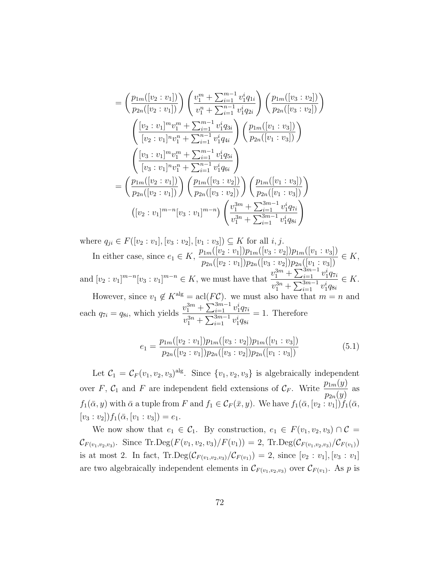$$
= \left(\frac{p_{1m}([v_2:v_1])}{p_{2n}([v_2:v_1])}\right) \left(\frac{v_1^m + \sum_{i=1}^{m-1} v_1^i q_{1i}}{v_1^n + \sum_{i=1}^{n-1} v_1^i q_{2i}}\right) \left(\frac{p_{1m}([v_3:v_2])}{p_{2n}([v_3:v_2])}\right)
$$

$$
\left(\frac{[v_2:v_1]^m v_1^m + \sum_{i=1}^{m-1} v_1^i q_{3i}}{[v_2:v_1]^n v_1^n + \sum_{i=1}^{n-1} v_1^i q_{4i}}\right) \left(\frac{p_{1m}([v_1:v_3])}{p_{2n}([v_1:v_3])}\right)
$$

$$
\left(\frac{[v_3:v_1]^m v_1^m + \sum_{i=1}^{m-1} v_1^i q_{5i}}{[v_3:v_1]^n v_1^n + \sum_{i=1}^{n-1} v_1^i q_{6i}}\right)
$$

$$
= \left(\frac{p_{1m}([v_2:v_1])}{p_{2n}([v_2:v_1])}\right) \left(\frac{p_{1m}([v_3:v_2])}{p_{2n}([v_3:v_2])}\right) \left(\frac{p_{1m}([v_1:v_3])}{p_{2n}([v_1:v_3])}\right)
$$

$$
([v_2:v_1]^{m-n}[v_3:v_1]^{m-n}) \left(\frac{v_1^{3m} + \sum_{i=1}^{3m-1} v_1^i q_{7i}}{v_1^{3n} + \sum_{i=1}^{3m-1} v_1^i q_{8i}}\right)
$$

where  $q_{ji} \in F([v_2 : v_1], [v_3 : v_2], [v_1 : v_3]) \subseteq K$  for all  $i, j$ . In either case, since  $e_1 \in K$ ,  $\frac{p_{1m}([v_2:v_1])p_{1m}([v_3:v_2])p_{1m}([v_1:v_3])}{p_{2n}([v_2:v_1])p_{2n}([v_3:v_2])p_{2n}([v_1:v_3])} \in K$ , and  $[v_2 : v_1]^{m-n} [v_3 : v_1]^{m-n} \in K$ , we must have that  $\frac{v_1^{3m} + \sum_{i=1}^{3m-1} v_1^i q_{7i}}{\sum_{i=1}^{3m-1} v_1^i q_{7i}}$ 

 $v_1^{3n} + \sum_{i=1}^{3m-1} v_1^i q_{8i}$  $\in K$ .

However, since  $v_1 \notin K^{\text{alg}} = \text{acl}(F\mathcal{C})$ . we must also have that  $m = n$  and each  $q_{7i} = q_{8i}$ , which yields  $\frac{v_1^{3m} + \sum_{i=1}^{3m-1} v_1^i q_{7i}}{3m}$  $v_1^{3n} + \sum_{i=1}^{3m-1} v_1^i q_{8i}$  $= 1.$  Therefore

$$
e_1 = \frac{p_{1m}([v_2:v_1])p_{1m}([v_3:v_2])p_{1m}([v_1:v_3])}{p_{2n}([v_2:v_1])p_{2n}([v_3:v_2])p_{2n}([v_1:v_3])}
$$
(5.1)

Let  $\mathcal{C}_1 = \mathcal{C}_F(v_1, v_2, v_3)$ <sup>alg</sup>. Since  $\{v_1, v_2, v_3\}$  is algebraically independent over F,  $C_1$  and F are independent field extensions of  $C_F$ . Write  $\frac{p_{1m}(y)}{p_{1m}(y)}$  $p_{2n}(y)$ as  $f_1(\bar{\alpha}, y)$  with  $\bar{\alpha}$  a tuple from F and  $f_1 \in C_F(\bar{x}, y)$ . We have  $f_1(\bar{\alpha}, [v_2 : v_1]) f_1(\bar{\alpha},$  $[v_3 : v_2]$  $f_1(\bar{\alpha}, [v_1 : v_3]) = e_1.$ 

We now show that  $e_1 \in \mathcal{C}_1$ . By construction,  $e_1 \in F(v_1, v_2, v_3) \cap \mathcal{C} =$  $\mathcal{C}_{F(v_1, v_2, v_3)}$ . Since Tr.Deg( $F(v_1, v_2, v_3)/F(v_1)$ ) = 2, Tr.Deg( $\mathcal{C}_{F(v_1, v_2, v_3)}/\mathcal{C}_{F(v_1)}$ ) is at most 2. In fact,  $\text{Tr.deg}(\mathcal{C}_{F(v_1,v_2,v_3)}/\mathcal{C}_{F(v_1)}) = 2$ , since  $[v_2 : v_1], [v_3 : v_1]$ are two algebraically independent elements in  $\mathcal{C}_{F(v_1,v_2,v_3)}$  over  $\mathcal{C}_{F(v_1)}$ . As p is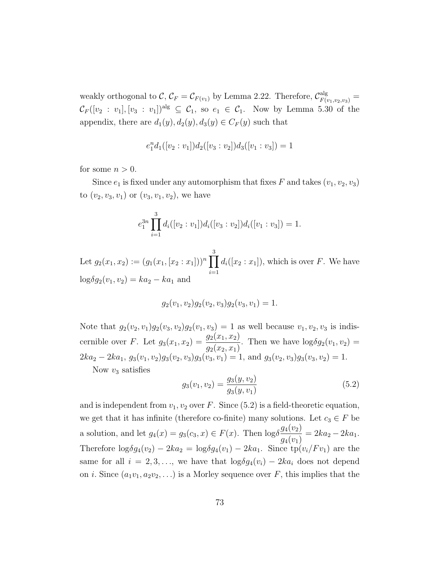weakly orthogonal to  $\mathcal{C}, \mathcal{C}_F = \mathcal{C}_{F(v_1)}$  by Lemma [2.22.](#page-26-0) Therefore,  $\mathcal{C}_{F(v_1, v_2, v_3)}^{\text{alg}}$  $\mathcal{C}_F([v_2 : v_1], [v_3 : v_1])^{\text{alg}} \subseteq \mathcal{C}_1$ , so  $e_1 \in \mathcal{C}_1$ . Now by Lemma [5.30](#page-100-0) of the appendix, there are  $d_1(y), d_2(y), d_3(y) \in C_F(y)$  such that

$$
e_1^n d_1([v_2:v_1]) d_2([v_3:v_2]) d_3([v_1:v_3]) = 1
$$

for some  $n > 0$ .

Since  $e_1$  is fixed under any automorphism that fixes F and takes  $(v_1, v_2, v_3)$ to  $(v_2, v_3, v_1)$  or  $(v_3, v_1, v_2)$ , we have

$$
e_1^{3n} \prod_{i=1}^3 d_i([v_2:v_1]) d_i([v_3:v_2]) d_i([v_1:v_3]) = 1.
$$

Let  $g_2(x_1, x_2) := (g_1(x_1, [x_2 : x_1]))^n \prod$ 3  $i=1$  $d_i([x_2:x_1]),$  which is over F. We have  $log\delta g_2(v_1, v_2) = ka_2 - ka_1$  and

$$
g_2(v_1, v_2)g_2(v_2, v_3)g_2(v_3, v_1) = 1.
$$

Note that  $g_2(v_2, v_1)g_2(v_3, v_2)g_2(v_1, v_3) = 1$  as well because  $v_1, v_2, v_3$  is indiscernible over F. Let  $g_3(x_1, x_2) = \frac{g_2(x_1, x_2)}{g_2(x_1, x_2)}$  $g_2(x_2, x_1)$ . Then we have  $\log \delta g_2(v_1, v_2)$  =  $2ka_2 - 2ka_1, g_3(v_1, v_2)g_3(v_2, v_3)g_3(v_3, v_1) = 1$ , and  $g_3(v_2, v_3)g_3(v_3, v_2) = 1$ .

Now  $v_3$  satisfies

<span id="page-80-0"></span>
$$
g_3(v_1, v_2) = \frac{g_3(y, v_2)}{g_3(y, v_1)}
$$
\n
$$
(5.2)
$$

and is independent from  $v_1, v_2$  over F. Since [\(5.2\)](#page-80-0) is a field-theoretic equation, we get that it has infinite (therefore co-finite) many solutions. Let  $c_3 \in F$  be a solution, and let  $g_4(x) = g_3(c_3, x) \in F(x)$ . Then  $\log \delta \frac{g_4(v_2)}{g_4(v_3)}$  $g_4(v_1)$  $= 2ka_2 - 2ka_1.$ Therefore  $\log \delta g_4(v_2) - 2ka_2 = \log \delta g_4(v_1) - 2ka_1$ . Since  $tp(v_i/Fv_1)$  are the same for all  $i = 2, 3, \ldots$ , we have that  $\log \delta g_4(v_i) - 2ka_i$  does not depend on *i*. Since  $(a_1v_1, a_2v_2, \ldots)$  is a Morley sequence over F, this implies that the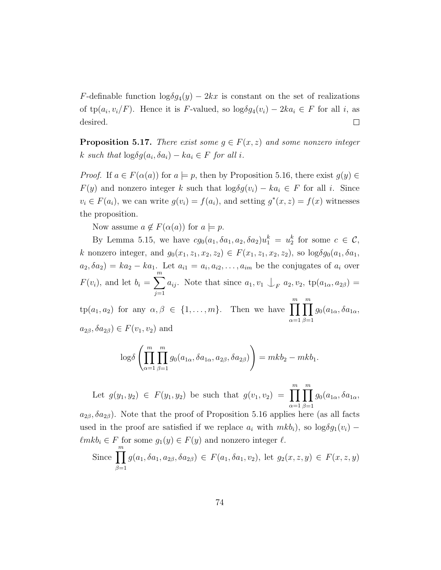F-definable function  $\log \delta g_4(y) - 2kx$  is constant on the set of realizations of  $tp(a_i, v_i/F)$ . Hence it is F-valued, so  $log \delta g_4(v_i) - 2ka_i \in F$  for all i, as desired.  $\Box$ 

<span id="page-81-0"></span>**Proposition 5.17.** There exist some  $g \in F(x, z)$  and some nonzero integer k such that  $\log \delta g(a_i, \delta a_i) - k a_i \in F$  for all i.

*Proof.* If  $a \in F(\alpha(a))$  for  $a \models p$ , then by Proposition [5.16,](#page-77-0) there exist  $g(y) \in$  $F(y)$  and nonzero integer k such that  $\log \delta g(v_i) - ka_i \in F$  for all i. Since  $v_i \in F(a_i)$ , we can write  $g(v_i) = f(a_i)$ , and setting  $g^*(x, z) = f(x)$  witnesses the proposition.

Now assume  $a \notin F(\alpha(a))$  for  $a \models p$ .

 $\beta=1$ 

By Lemma [5.15,](#page-76-1) we have  $cg_0(a_1, \delta a_1, a_2, \delta a_2)u_1^k = u_2^k$  for some  $c \in \mathcal{C}$ , k nonzero integer, and  $g_0(x_1, z_1, x_2, z_2) \in F(x_1, z_1, x_2, z_2)$ , so  $\log \delta g_0(a_1, \delta a_1,$  $a_2, \delta a_2$  =  $ka_2 - ka_1$ . Let  $a_{i1} = a_i, a_{i2}, \ldots, a_{im}$  be the conjugates of  $a_i$  over  $F(v_i)$ , and let  $b_i = \sum_{i=1}^{m}$  $j=1$  $a_{ij}$ . Note that since  $a_1, v_1 \perp_F a_2, v_2$ ,  $tp(a_{1\alpha}, a_{2\beta}) =$ 

 $\text{tp}(a_1, a_2)$  for any  $\alpha, \beta \in \{1, \ldots, m\}$ . Then we have  $\prod^m$  $\alpha=1$  $\prod^m$  $\beta=1$  $g_0(a_{1\alpha}, \delta a_{1\alpha},$  $a_{2\beta}, \delta a_{2\beta}) \in F(v_1, v_2)$  and

$$
\log \delta \left( \prod_{\alpha=1}^m \prod_{\beta=1}^m g_0(a_{1\alpha}, \delta a_{1\alpha}, a_{2\beta}, \delta a_{2\beta}) \right) = mkb_2 - mkb_1.
$$

Let  $g(y_1, y_2) \in F(y_1, y_2)$  be such that  $g(v_1, v_2) = \prod_{i=1}^{m}$  $\alpha=1$  $\prod^m$  $\beta=1$  $g_0(a_{1\alpha}, \delta a_{1\alpha},$  $a_{2\beta}, \delta a_{2\beta}$ ). Note that the proof of Proposition [5.16](#page-77-0) applies here (as all facts used in the proof are satisfied if we replace  $a_i$  with  $mkb_i$ , so  $\log \delta g_1(v_i)$  −  $\ell m k b_i \in F$  for some  $g_1(y) \in F(y)$  and nonzero integer  $\ell$ . Since  $\prod^m$  $g(a_1, \delta a_1, a_{2\beta}, \delta a_{2\beta}) \in F(a_1, \delta a_1, v_2)$ , let  $g_2(x, z, y) \in F(x, z, y)$ 

$$
74\,
$$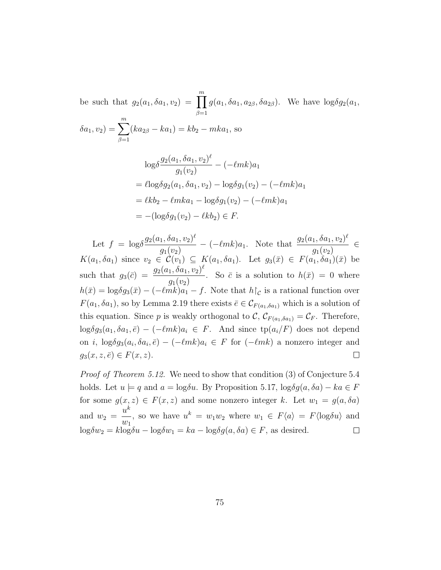be such that  $g_2(a_1, \delta a_1, v_2) = \prod^m$  $\beta=1$  $g(a_1, \delta a_1, a_{2\beta}, \delta a_{2\beta})$ . We have  $\log \delta g_2(a_1,$  $\delta a_1, v_2) = \sum_{n=1}^{m}$  $\beta=1$  $(ka_{2\beta} - ka_1) = kb_2 - mka_1$ , so

$$
\log \delta \frac{g_2(a_1, \delta a_1, v_2)^{\ell}}{g_1(v_2)} - (-\ell m k) a_1
$$
  
=  $\ell \log \delta g_2(a_1, \delta a_1, v_2) - \log \delta g_1(v_2) - (-\ell m k) a_1$   
=  $\ell k b_2 - \ell m k a_1 - \log \delta g_1(v_2) - (-\ell m k) a_1$   
=  $-(\log \delta g_1(v_2) - \ell k b_2) \in F.$ 

Let  $f = \log \delta \frac{g_2(a_1, \delta a_1, v_2)^{\ell}}{\Delta}$  $-(-\ell m k)a_1$ . Note that  $\frac{g_2(a_1, \delta a_1, v_2)^{\ell}}{a_1(a_1, a_2)}$ ∈  $g_1(v_2)$  $g_1(v_2)$  $K(a_1, \delta a_1)$  since  $v_2 \in C(v_1) \subseteq K(a_1, \delta a_1)$ . Let  $g_3(\bar{x}) \in F(a_1, \delta a_1)(\bar{x})$  be such that  $g_3(\bar{c}) = \frac{g_2(a_1, \delta a_1, v_2)^{\ell}}{g_1(\bar{c})}$ . So  $\bar{c}$  is a solution to  $h(\bar{x}) = 0$  where  $g_1(v_2)$  $h(\bar{x}) = \log \delta g_3(\bar{x}) - (-\ell m \bar{k})a_1 - f$ . Note that  $h\upharpoonright_{\mathcal{C}}$  is a rational function over  $F(a_1, \delta a_1)$ , so by Lemma [2.19](#page-24-0) there exists  $\bar{e} \in \mathcal{C}_{F(a_1, \delta a_1)}$  which is a solution of this equation. Since p is weakly orthogonal to C,  $\mathcal{C}_{F(a_1, \delta a_1)} = \mathcal{C}_F$ . Therefore,  $\log \delta g_3(a_1, \delta a_1, \bar{e}) - (-\ell m k)a_i \in F$ . And since  $\text{tp}(a_i/F)$  does not depend on *i*,  $\log \delta g_3(a_i, \delta a_i, \bar{e}) - (-\ell m k)a_i \in F$  for  $(-\ell m k)$  a nonzero integer and  $g_3(x, z, \overline{e}) \in F(x, z).$  $\Box$ 

Proof of Theorem [5.12.](#page-74-0) We need to show that condition (3) of Conjecture [5.4](#page-66-0) holds. Let  $u \models q$  and  $a = \log \delta u$ . By Proposition [5.17,](#page-81-0)  $\log \delta g(a, \delta a) - ka \in F$ for some  $g(x, z) \in F(x, z)$  and some nonzero integer k. Let  $w_1 = g(a, \delta a)$  $u^k$ , so we have  $u^k = w_1 w_2$  where  $w_1 \in F\langle a \rangle = F\langle \log \delta u \rangle$  and and  $w_2 =$  $w_1$  $\log \delta w_2 = k \log \delta u - \log \delta w_1 = ka - \log \delta g(a, \delta a) \in F$ , as desired.  $\Box$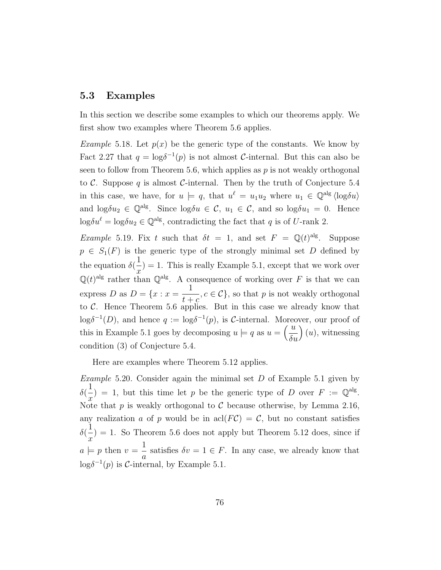#### 5.3 Examples

In this section we describe some examples to which our theorems apply. We first show two examples where Theorem [5.6](#page-67-0) applies.

*Example* 5.18. Let  $p(x)$  be the generic type of the constants. We know by Fact [2.27](#page-28-1) that  $q = \log \delta^{-1}(p)$  is not almost C-internal. But this can also be seen to follow from Theorem [5.6,](#page-67-0) which applies as  $p$  is not weakly orthogonal to C. Suppose q is almost C-internal. Then by the truth of Conjecture [5.4](#page-66-0) in this case, we have, for  $u \models q$ , that  $u^{\ell} = u_1 u_2$  where  $u_1 \in \mathbb{Q}^{\text{alg}} \langle \log \delta u \rangle$ and  $\log \delta u_2 \in \mathbb{Q}^{\text{alg}}$ . Since  $\log \delta u_1 \in \mathcal{C}$ ,  $u_1 \in \mathcal{C}$ , and so  $\log \delta u_1 = 0$ . Hence  $\log \delta u^{\ell} = \log \delta u_2 \in \mathbb{Q}^{\text{alg}}$ , contradicting the fact that q is of U-rank 2.

<span id="page-83-1"></span>*Example* 5.19. Fix t such that  $\delta t = 1$ , and set  $F = \mathbb{Q}(t)^{alg}$ . Suppose  $p \in S_1(F)$  is the generic type of the strongly minimal set D defined by the equation  $\delta$ 1  $\overline{x}$  $= 1.$  This is really Example [5.1,](#page-64-0) except that we work over  $\mathbb{Q}(t)^{alg}$  rather than  $\mathbb{Q}^{alg}$ . A consequence of working over F is that we can express D as  $D = \{x : x = \frac{1}{x} \}$  $t + c$  $,c \in \mathcal{C}$ , so that p is not weakly orthogonal to  $C$ . Hence Theorem [5.6](#page-67-0) applies. But in this case we already know that  $\log \delta^{-1}(D)$ , and hence  $q := \log \delta^{-1}(p)$ , is C-internal. Moreover, our proof of this in Example [5.1](#page-64-0) goes by decomposing  $u \models q$  as  $u = \left(\frac{u}{s}\right)$  $\delta u$  $(u)$ , witnessing condition (3) of Conjecture [5.4.](#page-66-0)

Here are examples where Theorem [5.12](#page-74-0) applies.

<span id="page-83-0"></span>Example 5.20. Consider again the minimal set  $D$  of Example [5.1](#page-64-0) given by δ( 1  $\overline{x}$  $= 1$ , but this time let p be the generic type of D over  $F := \mathbb{Q}^{alg}$ . Note that p is weakly orthogonal to C because otherwise, by Lemma [2.16,](#page-21-0) any realization a of p would be in  $\operatorname{acl}(FC) = C$ , but no constant satisfies δ( 1  $\overline{x}$  $= 1.$  So Theorem [5.6](#page-67-0) does not apply but Theorem [5.12](#page-74-0) does, since if  $a \models p$  then  $v = \frac{1}{a}$ a satisfies  $\delta v = 1 \in F$ . In any case, we already know that log $\delta^{-1}(p)$  is C-internal, by Example [5.1.](#page-64-0)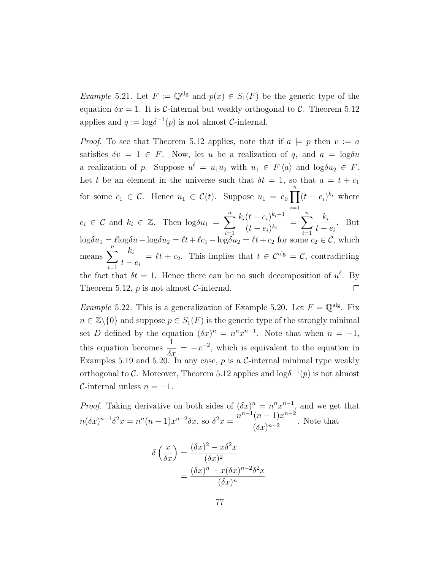*Example* 5.21. Let  $F := \mathbb{Q}^{\text{alg}}$  and  $p(x) \in S_1(F)$  be the generic type of the equation  $\delta x = 1$ . It is C-internal but weakly orthogonal to C. Theorem [5.12](#page-74-0) applies and  $q := \log \delta^{-1}(p)$  is not almost C-internal.

*Proof.* To see that Theorem [5.12](#page-74-0) applies, note that if  $a \models p$  then  $v := a$ satisfies  $\delta v = 1 \in F$ . Now, let u be a realization of q, and  $a = \log \delta u$ a realization of p. Suppose  $u^{\ell} = u_1 u_2$  with  $u_1 \in F \langle a \rangle$  and  $\log \delta u_2 \in F$ . Let t be an element in the universe such that  $\delta t = 1$ , so that  $a = t + c_1$ for some  $c_1 \in \mathcal{C}$ . Hence  $u_1 \in \mathcal{C}(t)$ . Suppose  $u_1 = e_0 \prod_{i=1}^{n} (t - e_i)^{k_i}$  where  $i=1$  $e_i \in \mathcal{C}$  and  $k_i \in \mathbb{Z}$ . Then  $\log \delta u_1 = \sum_{i=1}^n \frac{k_i(t-e_i)^{k_i-1}}{(t-e_i)^{k_i}}$  $\frac{(t-e_i)^{k_i-1}}{(t-e_i)^{k_i}} = \sum_{i=1}^n \frac{k_i}{t-i}$ . But  $t - e_i$  $\log \delta u_1 = \ell \log \delta u - \log \delta u_2 = \ell t + \ell c_1 - \log \delta u_2 = \ell t + c_2$  for some  $c_2 \in \mathcal{C}$ , which means  $\sum_{n=1}^{\infty}$  $k_i$  $= \ell t + c_2$ . This implies that  $t \in \mathcal{C}^{\text{alg}} = \mathcal{C}$ , contradicting  $t - e_i$  $i=1$ the fact that  $\delta t = 1$ . Hence there can be no such decomposition of  $u^{\ell}$ . By Theorem [5.12,](#page-74-0)  $p$  is not almost  $C$ -internal.  $\Box$ 

<span id="page-84-0"></span>*Example* 5.22. This is a generalization of Example [5.20.](#page-83-0) Let  $F = \mathbb{Q}^{\text{alg}}$ . Fix  $n \in \mathbb{Z}\backslash\{0\}$  and suppose  $p \in S_1(F)$  is the generic type of the strongly minimal set D defined by the equation  $(\delta x)^n = n^n x^{n-1}$ . Note that when  $n = -1$ , this equation becomes  $\frac{1}{\delta x} = -x^{-2}$ , which is equivalent to the equation in Examples [5.19](#page-83-1) and [5.20.](#page-83-0) In any case,  $p$  is a C-internal minimal type weakly orthogonal to C. Moreover, Theorem [5.12](#page-74-0) applies and  $\log \delta^{-1}(p)$  is not almost  $\mathcal{C}\text{-internal unless }n=-1.$ 

*Proof.* Taking derivative on both sides of  $(\delta x)^n = n^n x^{n-1}$ , and we get that  $n(\delta x)^{n-1} \delta^2 x = n^n(n-1)x^{n-2} \delta x$ , so  $\delta^2 x = \frac{n^{n-1}(n-1)x^{n-2}}{(\delta x)^{n-2}}$  $\frac{(b-1)x}{(\delta x)^{n-2}}$ . Note that

$$
\delta\left(\frac{x}{\delta x}\right) = \frac{(\delta x)^2 - x\delta^2 x}{(\delta x)^2}
$$

$$
= \frac{(\delta x)^n - x(\delta x)^{n-2}\delta^2 x}{(\delta x)^n}
$$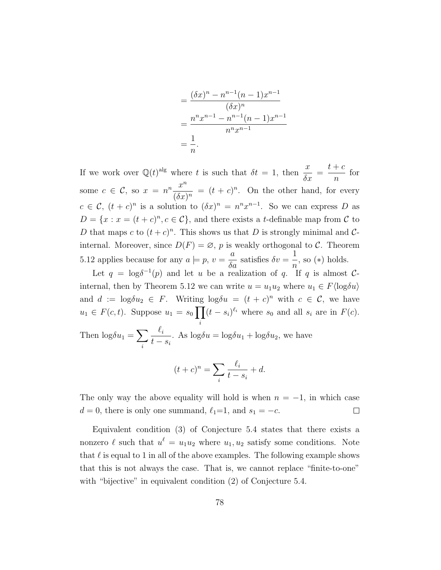$$
= \frac{(\delta x)^n - n^{n-1}(n-1)x^{n-1}}{(\delta x)^n}
$$

$$
= \frac{n^n x^{n-1} - n^{n-1}(n-1)x^{n-1}}{n^n x^{n-1}}
$$

$$
= \frac{1}{n}.
$$

If we work over  $\mathbb{Q}(t)^{alg}$  where t is such that  $\delta t = 1$ , then  $\frac{x}{s}$  $\frac{x}{\delta x}$  =  $t + c$  $\overline{n}$ for some  $c \in \mathcal{C}$ , so  $x = n^n \frac{x^n}{\sqrt{2}}$  $\frac{x}{(\delta x)^n} = (t + c)^n$ . On the other hand, for every  $c \in \mathcal{C}, (t+c)^n$  is a solution to  $(\delta x)^n = n^n x^{n-1}$ . So we can express D as  $D = \{x : x = (t + c)^n, c \in \mathcal{C}\}\$ , and there exists a *t*-definable map from  $\mathcal{C}$  to D that maps c to  $(t + c)^n$ . This shows us that D is strongly minimal and Cinternal. Moreover, since  $D(F) = \emptyset$ , p is weakly orthogonal to C. Theorem [5.12](#page-74-0) applies because for any  $a \models p, v = \frac{a}{s}$  $\frac{a}{\delta a}$  satisfies  $\delta v =$ 1 n , so (∗) holds.

Let  $q = \log \delta^{-1}(p)$  and let u be a realization of q. If q is almost C-internal, then by Theorem [5.12](#page-74-0) we can write  $u = u_1 u_2$  where  $u_1 \in F(\log \delta u)$ and  $d := \log \delta u_2 \in F$ . Writing  $\log \delta u = (t + c)^n$  with  $c \in \mathcal{C}$ , we have  $u_1 \in F(c, t)$ . Suppose  $u_1 = s_0$ i  $(t - s_i)^{\ell_i}$  where  $s_0$  and all  $s_i$  are in  $F(c)$ . Then  $log\delta u_1 = \sum$ i  $\ell_i$  $t - s_i$ . As  $\log \delta u = \log \delta u_1 + \log \delta u_2$ , we have

$$
(t+c)^n = \sum_i \frac{\ell_i}{t-s_i} + d.
$$

The only way the above equality will hold is when  $n = -1$ , in which case  $d = 0$ , there is only one summand,  $\ell_1=1$ , and  $s_1 = -c$ .  $\Box$ 

Equivalent condition (3) of Conjecture [5.4](#page-66-0) states that there exists a nonzero  $\ell$  such that  $u^{\ell} = u_1 u_2$  where  $u_1, u_2$  satisfy some conditions. Note that  $\ell$  is equal to 1 in all of the above examples. The following example shows that this is not always the case. That is, we cannot replace "finite-to-one" with "bijective" in equivalent condition (2) of Conjecture [5.4.](#page-66-0)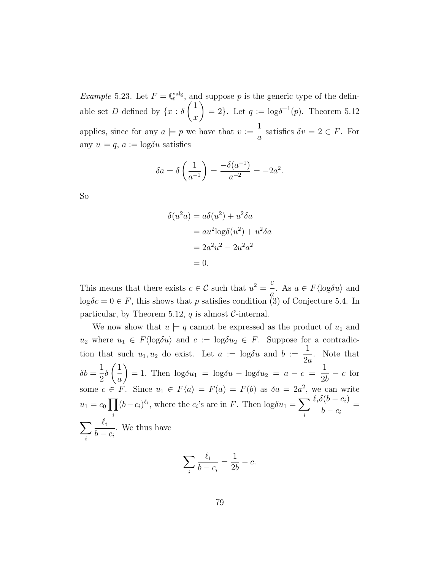<span id="page-86-0"></span>*Example* 5.23. Let  $F = \mathbb{Q}^{alg}$ , and suppose p is the generic type of the definable set D defined by  $\{x : \delta\}$  $\sqrt{1}$  $\overline{x}$  $\setminus$  $= 2$ . Let  $q := \log \delta^{-1}(p)$ . Theorem [5.12](#page-74-0) applies, since for any  $a \models p$  we have that  $v := \frac{1}{n}$ a satisfies  $\delta v = 2 \in F$ . For any  $u \models q$ ,  $a := \log \delta u$  satisfies

$$
\delta a = \delta \left( \frac{1}{a^{-1}} \right) = \frac{-\delta(a^{-1})}{a^{-2}} = -2a^2.
$$

So

$$
(u2a) = a\delta(u2) + u2\delta a
$$
  
= au<sup>2</sup>log $\delta$ (u<sup>2</sup>) + u<sup>2</sup>δa  
= 2a<sup>2</sup>u<sup>2</sup> - 2u<sup>2</sup>a<sup>2</sup>  
= 0.

 $\delta$ 

This means that there exists  $c \in \mathcal{C}$  such that  $u^2 = \frac{c}{c}$  $\overline{a}$ . As  $a \in F \langle \log \delta u \rangle$  and  $\log \delta c = 0 \in F$ , this shows that p satisfies condition (3) of Conjecture [5.4.](#page-66-0) In particular, by Theorem [5.12,](#page-74-0)  $q$  is almost  $C$ -internal.

We now show that  $u \models q$  cannot be expressed as the product of  $u_1$  and  $u_2$  where  $u_1 \in F\langle \log \delta u \rangle$  and  $c := \log \delta u_2 \in F$ . Suppose for a contradiction that such  $u_1, u_2$  do exist. Let  $a := \log \delta u$  and  $b :=$ 1  $2a$ . Note that  $\delta b =$ 1 2  $\delta$  $\sqrt{1}$ a  $\setminus$  $= 1$ . Then  $\log \delta u_1 = \log \delta u - \log \delta u_2 = a - c = \frac{1}{2l}$ 2b  $- c$  for some  $c \in F$ . Since  $u_1 \in F\langle a \rangle = F(a) = F(b)$  as  $\delta a = 2a^2$ , we can write  $u_1 = c_0 \prod$ i  $(b-c_i)^{\ell_i}$ , where the  $c_i$ 's are in F. Then  $\log \delta u_1 = \sum$ i  $\ell_i\delta(b - c_i)$  $b - c_i$ =  $\sum$ i  $\ell_i$  $b - c_i$ . We thus have

$$
\sum_{i} \frac{\ell_i}{b - c_i} = \frac{1}{2b} - c.
$$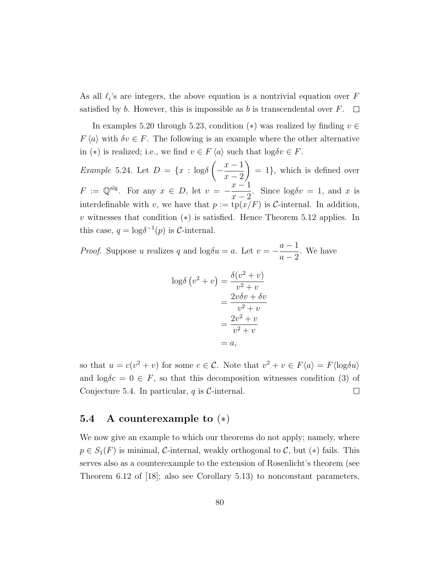As all  $\ell_i$ 's are integers, the above equation is a nontrivial equation over F satisfied by b. However, this is impossible as b is transcendental over  $F$ .  $\Box$ 

In examples [5.20](#page-83-0) through [5.23,](#page-86-0) condition (\*) was realized by finding  $v \in$  $F \langle a \rangle$  with  $\delta v \in F$ . The following is an example where the other alternative in (\*) is realized; i.e., we find  $v \in F \langle a \rangle$  such that  $\log \delta v \in F$ .

Example 5.24. Let  $D = \{x : \log \delta\}$  $\sqrt{ }$  $-\frac{x-1}{2}$  $x - 2$  $\setminus$  $= 1$ , which is defined over  $F := \mathbb{Q}^{\text{alg}}$ . For any  $x \in D$ , let  $v = -\frac{x-1}{2}$  $x-2$ . Since  $\log \delta v = 1$ , and x is interdefinable with v, we have that  $p := \text{tp}(x/F)$  is C-internal. In addition, v witnesses that condition  $(*)$  is satisfied. Hence Theorem [5.12](#page-74-0) applies. In this case,  $q = \log \delta^{-1}(p)$  is *C*-internal.

*Proof.* Suppose u realizes q and  $\log \delta u = a$ . Let  $v = -a$  $a-1$  $a-2$ . We have

$$
\log \delta (v^2 + v) = \frac{\delta (v^2 + v)}{v^2 + v}
$$
  
= 
$$
\frac{2v\delta v + \delta v}{v^2 + v}
$$
  
= 
$$
\frac{2v^2 + v}{v^2 + v}
$$
  
= a,

so that  $u = c(v^2 + v)$  for some  $c \in \mathcal{C}$ . Note that  $v^2 + v \in F\langle a \rangle = F\langle \log \delta u \rangle$ and  $\log \delta c = 0 \in F$ , so that this decomposition witnesses condition (3) of Conjecture [5.4.](#page-66-0) In particular,  $q$  is  $C$ -internal.  $\Box$ 

### <span id="page-87-0"></span>5.4 A counterexample to (∗)

We now give an example to which our theorems do not apply; namely, where  $p \in S_1(F)$  is minimal, C-internal, weakly orthogonal to C, but (\*) fails. This serves also as a counterexample to the extension of Rosenlicht's theorem (see Theorem 6.12 of [\[18\]](#page-110-0); also see Corollary [5.13\)](#page-74-1) to nonconstant parameters,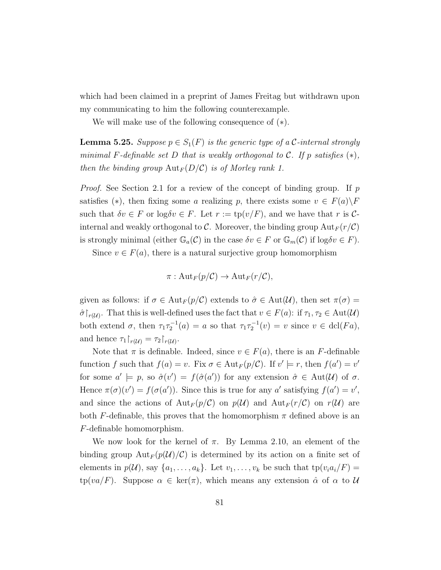which had been claimed in a preprint of James Freitag but withdrawn upon my communicating to him the following counterexample.

We will make use of the following consequence of (∗).

<span id="page-88-0"></span>**Lemma 5.25.** Suppose  $p \in S_1(F)$  is the generic type of a C-internal strongly minimal F-definable set D that is weakly orthogonal to C. If p satisfies  $(*),$ then the binding group  ${\rm Aut}_F(D/\mathcal{C})$  is of Morley rank 1.

*Proof.* See Section [2.1](#page-14-0) for a review of the concept of binding group. If  $p$ satisfies (\*), then fixing some a realizing p, there exists some  $v \in F(a) \backslash F$ such that  $\delta v \in F$  or  $\log \delta v \in F$ . Let  $r := \text{tp}(v/F)$ , and we have that r is Cinternal and weakly orthogonal to C. Moreover, the binding group  $Aut_F(r/\mathcal{C})$ is strongly minimal (either  $\mathbb{G}_a(\mathcal{C})$  in the case  $\delta v \in F$  or  $\mathbb{G}_m(\mathcal{C})$  if  $\log \delta v \in F$ ).

Since  $v \in F(a)$ , there is a natural surjective group homomorphism

$$
\pi: {\rm Aut}_F(p/{\mathcal C}) \to {\rm Aut}_F(r/{\mathcal C}),
$$

given as follows: if  $\sigma \in Aut_F(p/\mathcal{C})$  extends to  $\hat{\sigma} \in Aut(\mathcal{U})$ , then set  $\pi(\sigma) =$  $\hat{\sigma}\upharpoonright_{r(\mathcal{U})}$ . That this is well-defined uses the fact that  $v \in F(a)$ : if  $\tau_1, \tau_2 \in \text{Aut}(\mathcal{U})$ both extend  $\sigma$ , then  $\tau_1 \tau_2^{-1}(a) = a$  so that  $\tau_1 \tau_2^{-1}(v) = v$  since  $v \in \text{dcl}(Fa)$ , and hence  $\tau_1|_{r(\mathcal{U})} = \tau_2|_{r(\mathcal{U})}$ .

Note that  $\pi$  is definable. Indeed, since  $v \in F(a)$ , there is an F-definable function f such that  $f(a) = v$ . Fix  $\sigma \in Aut_F(p/\mathcal{C})$ . If  $v' \models r$ , then  $f(a') = v'$ for some  $a' \models p$ , so  $\hat{\sigma}(v') = f(\hat{\sigma}(a'))$  for any extension  $\hat{\sigma} \in Aut(\mathcal{U})$  of  $\sigma$ . Hence  $\pi(\sigma)(v') = f(\sigma(a'))$ . Since this is true for any a' satisfying  $f(a') = v'$ , and since the actions of  ${\rm Aut}_F(p/\mathcal C)$  on  $p(\mathcal U)$  and  ${\rm Aut}_F(r/\mathcal C)$  on  $r(\mathcal U)$  are both F-definable, this proves that the homomorphism  $\pi$  defined above is an F-definable homomorphism.

We now look for the kernel of  $\pi$ . By Lemma [2.10,](#page-18-0) an element of the binding group  ${\rm Aut}_F(p(\mathcal{U})/\mathcal{C})$  is determined by its action on a finite set of elements in  $p(\mathcal{U})$ , say  $\{a_1, \ldots, a_k\}$ . Let  $v_1, \ldots, v_k$  be such that  $tp(v_i a_i/F)$  $tp(va/F)$ . Suppose  $\alpha \in \text{ker}(\pi)$ , which means any extension  $\hat{\alpha}$  of  $\alpha$  to  $\mathcal{U}$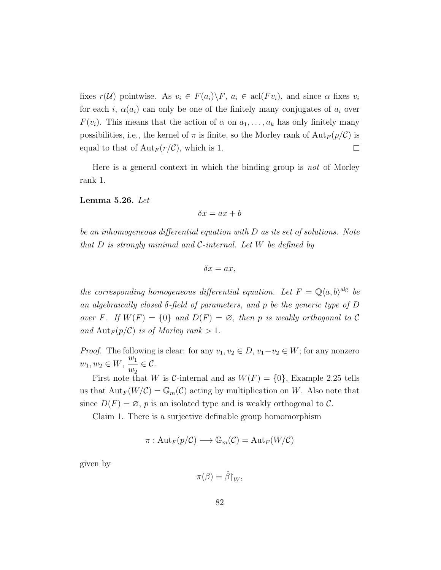fixes  $r(\mathcal{U})$  pointwise. As  $v_i \in F(a_i) \backslash F$ ,  $a_i \in \text{acl}(Fv_i)$ , and since  $\alpha$  fixes  $v_i$ for each i,  $\alpha(a_i)$  can only be one of the finitely many conjugates of  $a_i$  over  $F(v_i)$ . This means that the action of  $\alpha$  on  $a_1, \ldots, a_k$  has only finitely many possibilities, i.e., the kernel of  $\pi$  is finite, so the Morley rank of  $\text{Aut}_F(p/\mathcal{C})$  is equal to that of  ${\rm Aut}_F(r/{\mathcal C})$ , which is 1.  $\Box$ 

Here is a general context in which the binding group is not of Morley rank 1.

<span id="page-89-0"></span>Lemma 5.26. Let

$$
\delta x = ax + b
$$

be an inhomogeneous differential equation with D as its set of solutions. Note that  $D$  is strongly minimal and  $\mathcal{C}\text{-internal}$ . Let  $W$  be defined by

$$
\delta x = ax,
$$

the corresponding homogeneous differential equation. Let  $F = \mathbb{Q}\langle a,b\rangle^{\text{alg}}$  be an algebraically closed δ-field of parameters, and p be the generic type of D over F. If  $W(F) = \{0\}$  and  $D(F) = \emptyset$ , then p is weakly orthogonal to C and  ${\rm Aut}_F(p/\mathcal{C})$  is of Morley rank  $> 1$ .

*Proof.* The following is clear: for any  $v_1, v_2 \in D$ ,  $v_1-v_2 \in W$ ; for any nonzero  $w_1, w_2 \in W, \frac{w_1}{w_2}$  $w_2$  $\in \mathcal{C}.$ 

First note that W is C-internal and as  $W(F) = \{0\}$ , Example [2.25](#page-27-0) tells us that  ${\rm Aut}_F(W/\mathcal{C}) = \mathbb{G}_m(\mathcal{C})$  acting by multiplication on W. Also note that since  $D(F) = \emptyset$ , p is an isolated type and is weakly orthogonal to C.

Claim 1. There is a surjective definable group homomorphism

$$
\pi: \mathrm{Aut}_F(p/\mathcal{C}) \longrightarrow \mathbb{G}_m(\mathcal{C}) = \mathrm{Aut}_F(W/\mathcal{C})
$$

given by

$$
\pi(\beta) = \hat{\beta}\!\!\restriction_W,
$$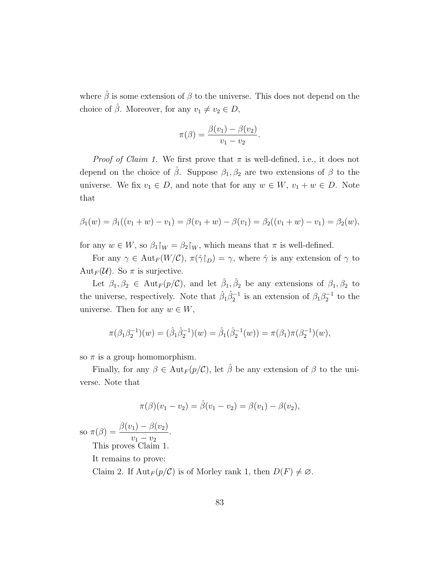where  $\hat{\beta}$  is some extension of  $\beta$  to the universe. This does not depend on the choice of  $\hat{\beta}$ . Moreover, for any  $v_1 \neq v_2 \in D$ ,

$$
\pi(\beta) = \frac{\beta(v_1) - \beta(v_2)}{v_1 - v_2}.
$$

*Proof of Claim 1.* We first prove that  $\pi$  is well-defined, i.e., it does not depend on the choice of  $\hat{\beta}$ . Suppose  $\beta_1, \beta_2$  are two extensions of  $\beta$  to the universe. We fix  $v_1 \in D$ , and note that for any  $w \in W$ ,  $v_1 + w \in D$ . Note that

$$
\beta_1(w) = \beta_1((v_1 + w) - v_1) = \beta(v_1 + w) - \beta(v_1) = \beta_2((v_1 + w) - v_1) = \beta_2(w),
$$

for any  $w \in W$ , so  $\beta_1|_W = \beta_2|_W$ , which means that  $\pi$  is well-defined.

For any  $\gamma \in \text{Aut}_F(W/\mathcal{C}), \pi(\hat{\gamma}\upharpoonright_D) = \gamma$ , where  $\hat{\gamma}$  is any extension of  $\gamma$  to Aut<sub>F</sub>( $\mathcal{U}$ ). So  $\pi$  is surjective.

Let  $\beta_1, \beta_2 \in \text{Aut}_F(p/\mathcal{C})$ , and let  $\hat{\beta}_1, \hat{\beta}_2$  be any extensions of  $\beta_1, \beta_2$  to the universe, respectively. Note that  $\hat{\beta}_1 \hat{\beta}_2^{-1}$  is an extension of  $\beta_1 \beta_2^{-1}$  to the universe. Then for any  $w \in W$ ,

$$
\pi(\beta_1\beta_2^{-1})(w) = (\hat{\beta}_1\hat{\beta}_2^{-1})(w) = \hat{\beta}_1(\hat{\beta}_2^{-1}(w)) = \pi(\beta_1)\pi(\beta_2^{-1})(w),
$$

so  $\pi$  is a group homomorphism.

Finally, for any  $\beta \in \text{Aut}_F(p/\mathcal{C})$ , let  $\hat{\beta}$  be any extension of  $\beta$  to the universe. Note that

$$
\pi(\beta)(v_1 - v_2) = \hat{\beta}(v_1 - v_2) = \beta(v_1) - \beta(v_2),
$$

so  $\pi(\beta) = \frac{\beta(v_1) - \beta(v_2)}{\beta(v_1)}$  $v_1 - v_2$ . This proves Claim 1.

It remains to prove:

Claim 2. If  $\text{Aut}_F(p/\mathcal{C})$  is of Morley rank 1, then  $D(F) \neq \emptyset$ .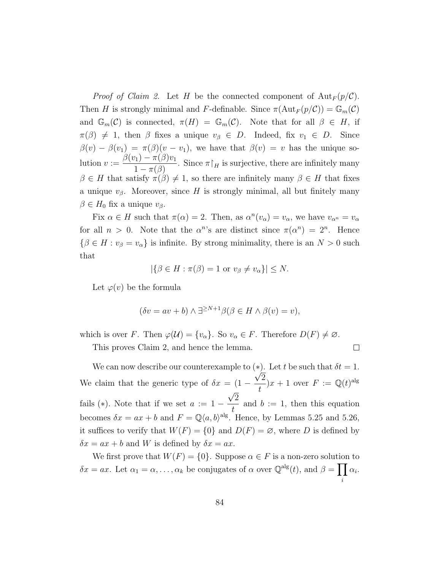*Proof of Claim 2.* Let H be the connected component of  $Aut_F (p/\mathcal{C})$ . Then H is strongly minimal and F-definable. Since  $\pi(\text{Aut}_F(p/\mathcal{C})) = \mathbb{G}_m(\mathcal{C})$ and  $\mathbb{G}_m(\mathcal{C})$  is connected,  $\pi(H) = \mathbb{G}_m(\mathcal{C})$ . Note that for all  $\beta \in H$ , if  $\pi(\beta) \neq 1$ , then  $\beta$  fixes a unique  $v_{\beta} \in D$ . Indeed, fix  $v_1 \in D$ . Since  $\beta(v) - \beta(v_1) = \pi(\beta)(v - v_1)$ , we have that  $\beta(v) = v$  has the unique solution  $v := \frac{\beta(v_1) - \pi(\beta)v_1}{\beta(v_1)}$  $\frac{\pi_1 - \pi(\beta)}{1 - \pi(\beta)}$ . Since  $\pi|_H$  is surjective, there are infinitely many  $\beta \in H$  that satisfy  $\pi(\beta) \neq 1$ , so there are infinitely many  $\beta \in H$  that fixes a unique  $v_\beta$ . Moreover, since H is strongly minimal, all but finitely many  $\beta \in H_0$  fix a unique  $v_\beta$ .

Fix  $\alpha \in H$  such that  $\pi(\alpha) = 2$ . Then, as  $\alpha^{n}(v_{\alpha}) = v_{\alpha}$ , we have  $v_{\alpha^{n}} = v_{\alpha}$ for all  $n > 0$ . Note that the  $\alpha^{n}$ 's are distinct since  $\pi(\alpha^{n}) = 2^{n}$ . Hence  $\{\beta \in H : v_{\beta} = v_{\alpha}\}\$ is infinite. By strong minimality, there is an  $N > 0$  such that

$$
|\{\beta \in H : \pi(\beta) = 1 \text{ or } v_{\beta} \neq v_{\alpha}\}| \leq N.
$$

Let  $\varphi(v)$  be the formula

$$
(\delta v = av + b) \wedge \exists^{\geq N+1} \beta(\beta \in H \wedge \beta(v) = v),
$$

which is over F. Then  $\varphi(\mathcal{U}) = \{v_{\alpha}\}\.$  So  $v_{\alpha} \in F$ . Therefore  $D(F) \neq \emptyset$ .

This proves Claim 2, and hence the lemma.

 $\Box$ 

We can now describe our counterexample to  $(*)$ . Let t be such that  $\delta t = 1$ . We claim that the generic type of  $\delta x = (1 - \frac{\sqrt{2}}{4})$ t  $(x+1)$  over  $F := \mathbb{Q}(t)^{alg}$ fails (\*). Note that if we set  $a := 1 - \frac{\sqrt{2}}{4}$ √ t and  $b := 1$ , then this equation becomes  $\delta x = ax + b$  and  $F = \mathbb{Q}\langle a, b \rangle^{alg}$ . Hence, by Lemmas [5.25](#page-88-0) and [5.26,](#page-89-0) it suffices to verify that  $W(F) = \{0\}$  and  $D(F) = \emptyset$ , where D is defined by  $\delta x = ax + b$  and W is defined by  $\delta x = ax$ .

We first prove that  $W(F) = \{0\}$ . Suppose  $\alpha \in F$  is a non-zero solution to  $\delta x = ax$ . Let  $\alpha_1 = \alpha, \ldots, \alpha_k$  be conjugates of  $\alpha$  over  $\mathbb{Q}^{\text{alg}}(t)$ , and  $\beta = \prod \alpha_i$ . i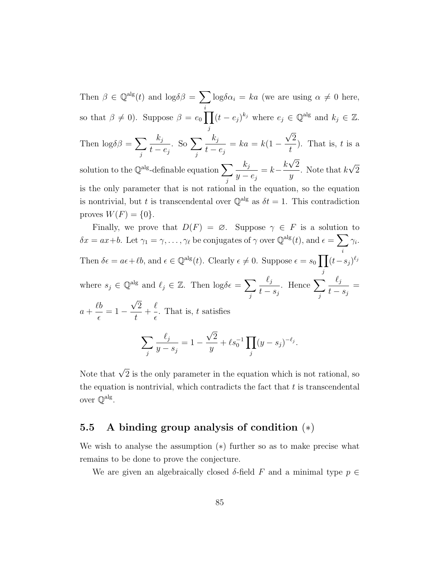Then  $\beta \in \mathbb{Q}^{\text{alg}}(t)$  and  $\log \delta \beta = \sum \log \delta \alpha_i = ka$  (we are using  $\alpha \neq 0$  here, i so that  $\beta \neq 0$ ). Suppose  $\beta = e_0 \prod$ j  $(t - e_j)^{k_j}$  where  $e_j \in \mathbb{Q}^{\text{alg}}$  and  $k_j \in \mathbb{Z}$ . √

Then  $\log \delta \beta = \sum$ j  $k_j$  $t - e_j$ . So  $\Sigma$ j  $k_j$  $t - e_j$  $= ka = k(1 -$ 2 t ). That is,  $t$  is a √

solution to the  $\mathbb{Q}^{\text{alg}}$ -definable equation  $\sum$ j  $k_j$  $y - e_j$  $= k - \frac{k\sqrt{2}}{2}$  $\hat{y}$ . Note that  $k$ √ 2 is the only parameter that is not rational in the equation, so the equation is nontrivial, but t is transcendental over  $\mathbb{Q}^{\text{alg}}$  as  $\delta t = 1$ . This contradiction proves  $W(F) = \{0\}.$ 

Finally, we prove that  $D(F) = \emptyset$ . Suppose  $\gamma \in F$  is a solution to  $\delta x = ax+b$ . Let  $\gamma_1 = \gamma, \ldots, \gamma_\ell$  be conjugates of  $\gamma$  over  $\mathbb{Q}^{\text{alg}}(t)$ , and  $\epsilon = \sum$ i  $\gamma_i$ . Then  $\delta \epsilon = a\epsilon + \ell b$ , and  $\epsilon \in \mathbb{Q}^{\text{alg}}(t)$ . Clearly  $\epsilon \neq 0$ . Suppose  $\epsilon = s_0$ j  $(t-s_j)^{\ell_j}$ where  $s_j \in \mathbb{Q}^{\text{alg}}$  and  $\ell_j \in \mathbb{Z}$ . Then  $\log \delta \epsilon = \sum$ j  $\ell_j$  $t - s_j$ . Hence  $\sum$ j  $\ell_j$  $t - s_j$ =  $a +$  $\ell b$  $\epsilon$  $= 1 -$ √ 2 t  $+$  $\ell$  $\epsilon$ . That is,  $t$  satisfies  $\sum$  $\ell_j$  $= 1 -$ √ 2  $+ \ell s_0^{-1} \prod$  $(y-s_j)^{-\ell_j}.$ 

Note that 
$$
\sqrt{2}
$$
 is the only parameter in the equation which is not rational, so the equation is nontrivial, which contradicts the fact that t is transcendental.

j

 $\hat{y}$ 

## 5.5 A binding group analysis of condition (∗)

j

over  $\mathbb{Q}^{\mathrm{alg}}$ .

 $y - s_j$ 

We wish to analyse the assumption (∗) further so as to make precise what remains to be done to prove the conjecture.

We are given an algebraically closed  $\delta$ -field F and a minimal type  $p \in$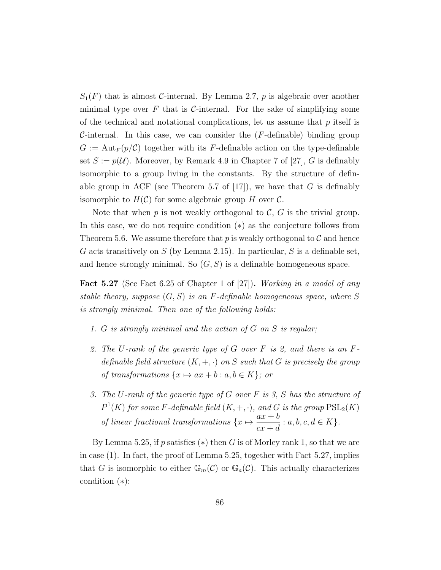$S_1(F)$  that is almost C-internal. By Lemma [2.7,](#page-17-0) p is algebraic over another minimal type over F that is C-internal. For the sake of simplifying some of the technical and notational complications, let us assume that  $p$  itself is C-internal. In this case, we can consider the  $(F$ -definable) binding group  $G := \text{Aut}_F(p/\mathcal{C})$  together with its F-definable action on the type-definable set  $S := p(\mathcal{U})$ . Moreover, by Remark 4.9 in Chapter 7 of [\[27\]](#page-111-0), G is definably isomorphic to a group living in the constants. By the structure of definable group in ACF (see Theorem 5.7 of  $[17]$ ), we have that G is definably isomorphic to  $H(\mathcal{C})$  for some algebraic group H over  $\mathcal{C}$ .

Note that when  $p$  is not weakly orthogonal to  $\mathcal{C}, G$  is the trivial group. In this case, we do not require condition (∗) as the conjecture follows from Theorem [5.6.](#page-67-0) We assume therefore that  $p$  is weakly orthogonal to  $\mathcal C$  and hence G acts transitively on  $S$  (by Lemma [2.15\)](#page-20-0). In particular,  $S$  is a definable set, and hence strongly minimal. So  $(G, S)$  is a definable homogeneous space.

<span id="page-93-0"></span>**Fact 5.27** (See Fact 6.25 of Chapter 1 of [\[27\]](#page-111-0)). *Working in a model of any* stable theory, suppose  $(G, S)$  is an F-definable homogeneous space, where S is strongly minimal. Then one of the following holds:

- 1. G is strongly minimal and the action of G on S is regular;
- 2. The U-rank of the generic type of G over  $F$  is 2, and there is an  $F$ definable field structure  $(K, +, \cdot)$  on S such that G is precisely the group of transformations  $\{x \mapsto ax + b : a, b \in K\}$ ; or
- 3. The U-rank of the generic type of G over  $F$  is 3,  $S$  has the structure of  $P^1(K)$  for some F-definable field  $(K, +, \cdot)$ , and G is the group  $\operatorname{PSL}_2(K)$ of linear fractional transformations  $\{x \mapsto \frac{ax + b}{a} \}$  $cx + d$ :  $a, b, c, d \in K$ .

By Lemma [5.25,](#page-88-0) if p satisfies  $(*)$  then G is of Morley rank 1, so that we are in case (1). In fact, the proof of Lemma [5.25,](#page-88-0) together with Fact [5.27,](#page-93-0) implies that G is isomorphic to either  $\mathbb{G}_m(\mathcal{C})$  or  $\mathbb{G}_a(\mathcal{C})$ . This actually characterizes condition (∗):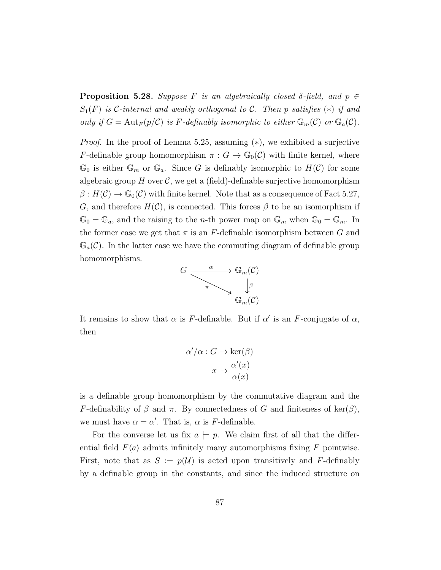**Proposition 5.28.** Suppose F is an algebraically closed  $\delta$ -field, and  $p \in$  $S_1(F)$  is C-internal and weakly orthogonal to C. Then p satisfies  $(*)$  if and only if  $G = \text{Aut}_F(p/\mathcal{C})$  is F-definably isomorphic to either  $\mathbb{G}_m(\mathcal{C})$  or  $\mathbb{G}_a(\mathcal{C})$ .

*Proof.* In the proof of Lemma [5.25,](#page-88-0) assuming  $(*),$  we exhibited a surjective F-definable group homomorphism  $\pi: G \to \mathbb{G}_0(\mathcal{C})$  with finite kernel, where  $\mathbb{G}_0$  is either  $\mathbb{G}_m$  or  $\mathbb{G}_a$ . Since G is definably isomorphic to  $H(\mathcal{C})$  for some algebraic group  $H$  over  $\mathcal{C}$ , we get a (field)-definable surjective homomorphism  $\beta: H(\mathcal{C}) \to \mathbb{G}_0(\mathcal{C})$  with finite kernel. Note that as a consequence of Fact [5.27,](#page-93-0) G, and therefore  $H(\mathcal{C})$ , is connected. This forces  $\beta$  to be an isomorphism if  $\mathbb{G}_0 = \mathbb{G}_a$ , and the raising to the *n*-th power map on  $\mathbb{G}_m$  when  $\mathbb{G}_0 = \mathbb{G}_m$ . In the former case we get that  $\pi$  is an F-definable isomorphism between G and  $\mathbb{G}_a(\mathcal{C})$ . In the latter case we have the commuting diagram of definable group homomorphisms.



It remains to show that  $\alpha$  is F-definable. But if  $\alpha'$  is an F-conjugate of  $\alpha$ , then

$$
\alpha'/\alpha : G \to \ker(\beta)
$$

$$
x \mapsto \frac{\alpha'(x)}{\alpha(x)}
$$

is a definable group homomorphism by the commutative diagram and the F-definability of  $\beta$  and  $\pi$ . By connectedness of G and finiteness of ker( $\beta$ ), we must have  $\alpha = \alpha'$ . That is,  $\alpha$  is F-definable.

For the converse let us fix  $a \models p$ . We claim first of all that the differential field  $F\langle a \rangle$  admits infinitely many automorphisms fixing F pointwise. First, note that as  $S := p(U)$  is acted upon transitively and F-definably by a definable group in the constants, and since the induced structure on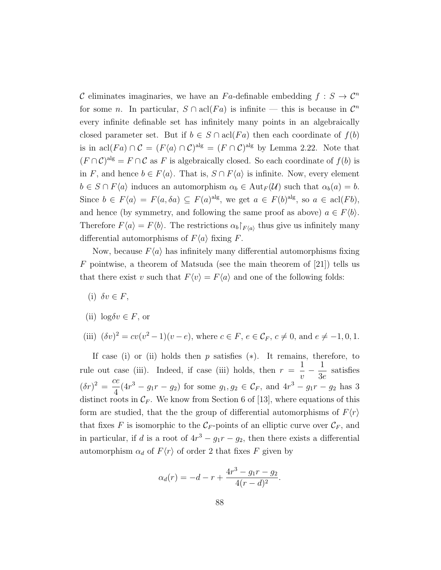C eliminates imaginaries, we have an F<sub>a</sub>-definable embedding  $f : S \to C^n$ for some *n*. In particular,  $S \cap \text{acl}(Fa)$  is infinite — this is because in  $\mathcal{C}^n$ every infinite definable set has infinitely many points in an algebraically closed parameter set. But if  $b \in S \cap \text{acl}(Fa)$  then each coordinate of  $f(b)$ is in acl(Fa)  $\cap C = (F\langle a\rangle \cap C)^{alg} = (F \cap C)^{alg}$  by Lemma [2.22.](#page-26-0) Note that  $(F \cap C)^{alg} = F \cap C$  as F is algebraically closed. So each coordinate of  $f(b)$  is in F, and hence  $b \in F\langle a \rangle$ . That is,  $S \cap F\langle a \rangle$  is infinite. Now, every element  $b \in S \cap F\langle a \rangle$  induces an automorphism  $\alpha_b \in \text{Aut}_F(\mathcal{U})$  such that  $\alpha_b(a) = b$ . Since  $b \in F\langle a \rangle = F(a, \delta a) \subseteq F(a)^{alg}$ , we get  $a \in F(b)^{alg}$ , so  $a \in \text{acl}(Fb)$ , and hence (by symmetry, and following the same proof as above)  $a \in F\langle b \rangle$ . Therefore  $F\langle a \rangle = F\langle b \rangle$ . The restrictions  $\alpha_b|_{F\langle a \rangle}$  thus give us infinitely many differential automorphisms of  $F\langle a \rangle$  fixing F.

Now, because  $F\langle a \rangle$  has infinitely many differential automorphisms fixing F pointwise, a theorem of Matsuda (see the main theorem of  $[21]$ ) tells us that there exist v such that  $F\langle v \rangle = F\langle a \rangle$  and one of the following folds:

- (i)  $\delta v \in F$ ,
- (ii)  $\log \delta v \in F$ , or

(iii) 
$$
(\delta v)^2 = cv(v^2 - 1)(v - e)
$$
, where  $c \in F$ ,  $e \in C_F$ ,  $c \neq 0$ , and  $e \neq -1, 0, 1$ .

If case (i) or (ii) holds then  $p$  satisfies  $(*)$ . It remains, therefore, to rule out case (iii). Indeed, if case (iii) holds, then  $r =$ 1  $\overline{v}$  $-\frac{1}{2}$ 3e satisfies  $(\delta r)^2 = \frac{ce}{4}$ 4  $(4r^3 - g_1r - g_2)$  for some  $g_1, g_2 \in \mathcal{C}_F$ , and  $4r^3 - g_1r - g_2$  has 3 distinct roots in  $\mathcal{C}_F$ . We know from Section 6 of [\[13\]](#page-110-2), where equations of this form are studied, that the the group of differential automorphisms of  $F(r)$ that fixes F is isomorphic to the  $\mathcal{C}_F$ -points of an elliptic curve over  $\mathcal{C}_F$ , and in particular, if d is a root of  $4r^3 - g_1r - g_2$ , then there exists a differential automorphism  $\alpha_d$  of  $F\langle r \rangle$  of order 2 that fixes F given by

$$
\alpha_d(r) = -d - r + \frac{4r^3 - g_1r - g_2}{4(r - d)^2}.
$$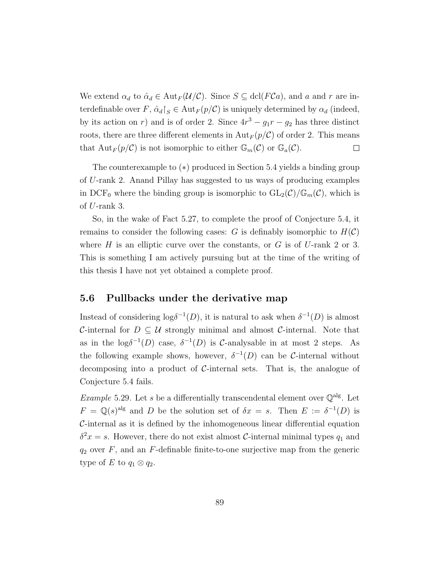We extend  $\alpha_d$  to  $\hat{\alpha}_d \in \text{Aut}_F(\mathcal{U}/\mathcal{C})$ . Since  $S \subseteq \text{dcl}(F\mathcal{C}a)$ , and a and r are interdefinable over  $F, \hat{\alpha}_d \upharpoonright_S \in \text{Aut}_F(p/\mathcal{C})$  is uniquely determined by  $\alpha_d$  (indeed, by its action on r) and is of order 2. Since  $4r^3 - g_1r - g_2$  has three distinct roots, there are three different elements in  $\text{Aut}_F (p/\mathcal{C})$  of order 2. This means that  ${\rm Aut}_F(p/\mathcal{C})$  is not isomorphic to either  $\mathbb{G}_m(\mathcal{C})$  or  $\mathbb{G}_a(\mathcal{C})$ .  $\Box$ 

The counterexample to (∗) produced in Section [5.4](#page-87-0) yields a binding group of U-rank 2. Anand Pillay has suggested to us ways of producing examples in DCF<sub>0</sub> where the binding group is isomorphic to  $GL_2(\mathcal{C})/\mathbb{G}_m(\mathcal{C})$ , which is of U-rank 3.

So, in the wake of Fact [5.27,](#page-93-0) to complete the proof of Conjecture [5.4,](#page-66-0) it remains to consider the following cases: G is definably isomorphic to  $H(\mathcal{C})$ where H is an elliptic curve over the constants, or G is of U-rank 2 or 3. This is something I am actively pursuing but at the time of the writing of this thesis I have not yet obtained a complete proof.

### 5.6 Pullbacks under the derivative map

Instead of considering  $log \delta^{-1}(D)$ , it is natural to ask when  $\delta^{-1}(D)$  is almost C-internal for  $D \subseteq U$  strongly minimal and almost C-internal. Note that as in the  $\log \delta^{-1}(D)$  case,  $\delta^{-1}(D)$  is C-analysable in at most 2 steps. As the following example shows, however,  $\delta^{-1}(D)$  can be C-internal without decomposing into a product of C-internal sets. That is, the analogue of Conjecture [5.4](#page-66-0) fails.

*Example* 5.29. Let s be a differentially transcendental element over  $\mathbb{Q}^{\text{alg}}$ . Let  $F = \mathbb{Q}(s)^{alg}$  and D be the solution set of  $\delta x = s$ . Then  $E := \delta^{-1}(D)$  is C-internal as it is defined by the inhomogeneous linear differential equation  $\delta^2 x = s$ . However, there do not exist almost C-internal minimal types  $q_1$  and  $q_2$  over  $F$ , and an  $F$ -definable finite-to-one surjective map from the generic type of E to  $q_1 \otimes q_2$ .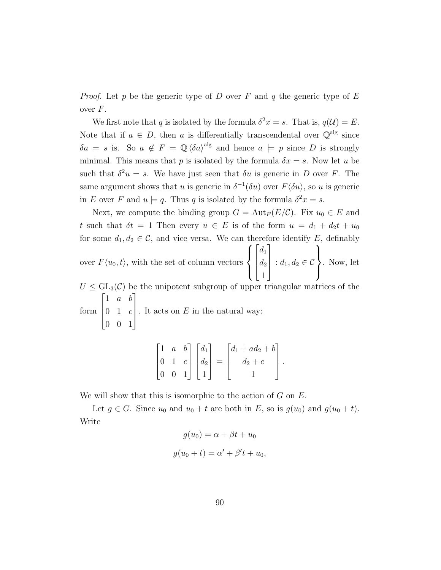*Proof.* Let p be the generic type of D over F and q the generic type of E over  $F$ .

We first note that q is isolated by the formula  $\delta^2 x = s$ . That is,  $q(\mathcal{U}) = E$ . Note that if  $a \in D$ , then a is differentially transcendental over  $\mathbb{Q}^{\text{alg}}$  since  $\delta a = s$  is. So  $a \notin F = \mathbb{Q} \langle \delta a \rangle^{\text{alg}}$  and hence  $a \models p$  since D is strongly minimal. This means that p is isolated by the formula  $\delta x = s$ . Now let u be such that  $\delta^2 u = s$ . We have just seen that  $\delta u$  is generic in D over F. The same argument shows that u is generic in  $\delta^{-1}(\delta u)$  over  $F(\delta u)$ , so u is generic in E over F and  $u \models q$ . Thus q is isolated by the formula  $\delta^2 x = s$ .

Next, we compute the binding group  $G = \text{Aut}_F(E/\mathcal{C})$ . Fix  $u_0 \in E$  and t such that  $\delta t = 1$  Then every  $u \in E$  is of the form  $u = d_1 + d_2t + u_0$ for some  $d_1, d_2 \in \mathcal{C}$ , and vice versa. We can therefore identify E, definably over  $F(u_0, t)$ , with the set of column vectors  $\sqrt{ }$  $\int$  $\mathcal{L}$  $\sqrt{ }$  $\overline{\phantom{a}}$  $d_1$  $d_2$ 1 1  $\vert$ :  $d_1, d_2 \in \mathcal{C}$  $\mathcal{L}$  $\overline{\mathcal{L}}$  $\int$ . Now, let

 $U \n\t\leq \mathrm{GL}_3(\mathcal{C})$  be the unipotent subgroup of upper triangular matrices of the form  $\sqrt{ }$  $\overline{\phantom{a}}$ 1 a b  $0 \quad 1 \quad c$ 0 0 1 1  $\overline{\phantom{a}}$ . It acts on  $E$  in the natural way:

$$
\begin{bmatrix} 1 & a & b \\ 0 & 1 & c \\ 0 & 0 & 1 \end{bmatrix} \begin{bmatrix} d_1 \\ d_2 \\ 1 \end{bmatrix} = \begin{bmatrix} d_1 + ad_2 + b \\ d_2 + c \\ 1 \end{bmatrix}.
$$

We will show that this is isomorphic to the action of  $G$  on  $E$ .

Let  $g \in G$ . Since  $u_0$  and  $u_0 + t$  are both in E, so is  $g(u_0)$  and  $g(u_0 + t)$ . Write

$$
g(u_0) = \alpha + \beta t + u_0
$$

$$
g(u_0 + t) = \alpha' + \beta' t + u_0,
$$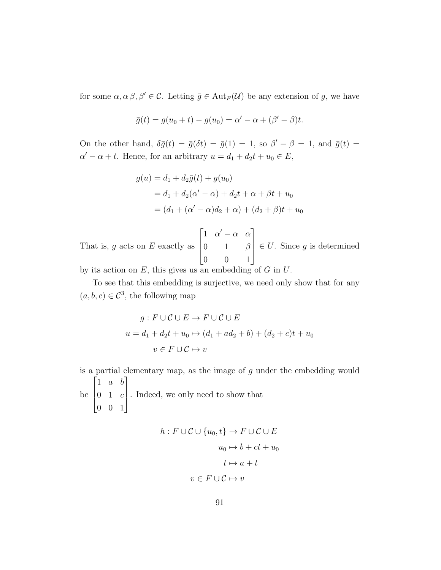for some  $\alpha, \alpha, \beta, \beta' \in \mathcal{C}$ . Letting  $\bar{g} \in Aut_F(\mathcal{U})$  be any extension of g, we have

$$
\bar{g}(t) = g(u_0 + t) - g(u_0) = \alpha' - \alpha + (\beta' - \beta)t.
$$

On the other hand,  $\delta \bar{g}(t) = \bar{g}(\delta t) = \bar{g}(1) = 1$ , so  $\beta' - \beta = 1$ , and  $\bar{g}(t) =$  $\alpha' - \alpha + t$ . Hence, for an arbitrary  $u = d_1 + d_2t + u_0 \in E$ ,

$$
g(u) = d_1 + d_2\bar{g}(t) + g(u_0)
$$
  
=  $d_1 + d_2(\alpha' - \alpha) + d_2t + \alpha + \beta t + u_0$   
=  $(d_1 + (\alpha' - \alpha)d_2 + \alpha) + (d_2 + \beta)t + u_0$ 

That is,  $g$  acts on  $E$  exactly as  $\sqrt{ }$  $\overline{\phantom{a}}$ 1  $\alpha' - \alpha$   $\alpha$  $0 \qquad 1 \qquad \beta$ 0 0 1 1  $\overline{\phantom{a}}$  $\in U$ . Since g is determined

by its action on  $E$ , this gives us an embedding of  $G$  in  $U$ .

To see that this embedding is surjective, we need only show that for any  $(a, b, c) \in \mathcal{C}^3$ , the following map

$$
g: F \cup C \cup E \to F \cup C \cup E
$$

$$
u = d_1 + d_2t + u_0 \mapsto (d_1 + ad_2 + b) + (d_2 + c)t + u_0
$$

$$
v \in F \cup C \mapsto v
$$

is a partial elementary map, as the image of  $q$  under the embedding would  $\sqrt{ }$ 1 a b 1

be  $\overline{\phantom{a}}$  $0 \quad 1 \quad c$ 0 0 1 . Indeed, we only need to show that

$$
h: F \cup C \cup \{u_0, t\} \to F \cup C \cup E
$$

$$
u_0 \mapsto b + ct + u_0
$$

$$
t \mapsto a + t
$$

$$
v \in F \cup C \mapsto v
$$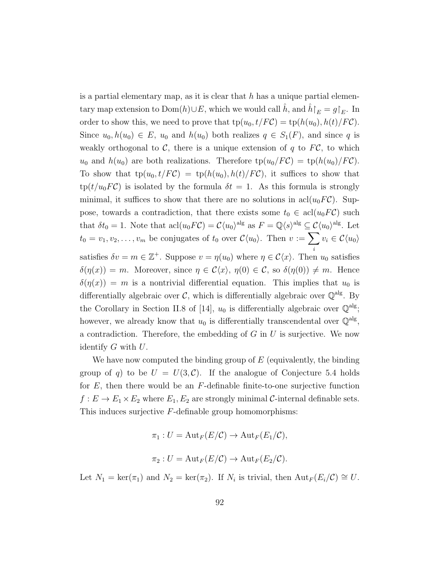is a partial elementary map, as it is clear that  $h$  has a unique partial elementary map extension to Dom $(h) \cup E$ , which we would call  $\hat{h}$ , and  $\hat{h}\upharpoonright_E = g\upharpoonright_E$ . In order to show this, we need to prove that  $tp(u_0, t/FC) = tp(h(u_0), h(t)/FC)$ . Since  $u_0, h(u_0) \in E$ ,  $u_0$  and  $h(u_0)$  both realizes  $q \in S_1(F)$ , and since q is weakly orthogonal to  $\mathcal{C}$ , there is a unique extension of q to  $F\mathcal{C}$ , to which  $u_0$  and  $h(u_0)$  are both realizations. Therefore  $tp(u_0/FC) = tp(h(u_0)/FC)$ . To show that  $tp(u_0, t/FC) = tp(h(u_0), h(t)/FC)$ , it suffices to show that  $\text{tp}(t/u_0 F \mathcal{C})$  is isolated by the formula  $\delta t = 1$ . As this formula is strongly minimal, it suffices to show that there are no solutions in  $\text{acl}(u_0FC)$ . Suppose, towards a contradiction, that there exists some  $t_0 \in \text{acl}(u_0 F\mathcal{C})$  such that  $\delta t_0 = 1$ . Note that  $\operatorname{acl}(u_0 F\mathcal{C}) = \mathcal{C}\langle u_0 \rangle^{\operatorname{alg}}$  as  $F = \mathbb{Q}\langle s \rangle^{\operatorname{alg}} \subseteq \mathcal{C}\langle u_0 \rangle^{\operatorname{alg}}$ . Let  $t_0 = v_1, v_2, \ldots, v_m$  be conjugates of  $t_0$  over  $\mathcal{C}\langle u_0 \rangle$ . Then  $v := \sum$ i  $v_i \in \mathcal{C}\langle u_0 \rangle$ satisfies  $\delta v = m \in \mathbb{Z}^+$ . Suppose  $v = \eta(u_0)$  where  $\eta \in \mathcal{C}\langle x \rangle$ . Then  $u_0$  satisfies  $\delta(\eta(x)) = m$ . Moreover, since  $\eta \in \mathcal{C}\langle x \rangle$ ,  $\eta(0) \in \mathcal{C}$ , so  $\delta(\eta(0)) \neq m$ . Hence  $\delta(\eta(x)) = m$  is a nontrivial differential equation. This implies that  $u_0$  is differentially algebraic over  $\mathcal{C}$ , which is differentially algebraic over  $\mathbb{Q}^{\text{alg}}$ . By the Corollary in Section II.8 of [\[14\]](#page-110-3),  $u_0$  is differentially algebraic over  $\mathbb{Q}^{\text{alg}}$ ; however, we already know that  $u_0$  is differentially transcendental over  $\mathbb{Q}^{\text{alg}}$ , a contradiction. Therefore, the embedding of  $G$  in  $U$  is surjective. We now identify  $G$  with  $U$ .

We have now computed the binding group of  $E$  (equivalently, the binding group of q) to be  $U = U(3, \mathcal{C})$ . If the analogue of Conjecture [5.4](#page-66-0) holds for  $E$ , then there would be an  $F$ -definable finite-to-one surjective function  $f: E \to E_1 \times E_2$  where  $E_1, E_2$  are strongly minimal C-internal definable sets. This induces surjective F-definable group homomorphisms:

$$
\pi_1: U = \text{Aut}_F(E/\mathcal{C}) \to \text{Aut}_F(E_1/\mathcal{C}),
$$
  

$$
\pi_2: U = \text{Aut}_F(E/\mathcal{C}) \to \text{Aut}_F(E_2/\mathcal{C}).
$$

Let  $N_1 = \ker(\pi_1)$  and  $N_2 = \ker(\pi_2)$ . If  $N_i$  is trivial, then  $\text{Aut}_F(E_i/\mathcal{C}) \cong U$ .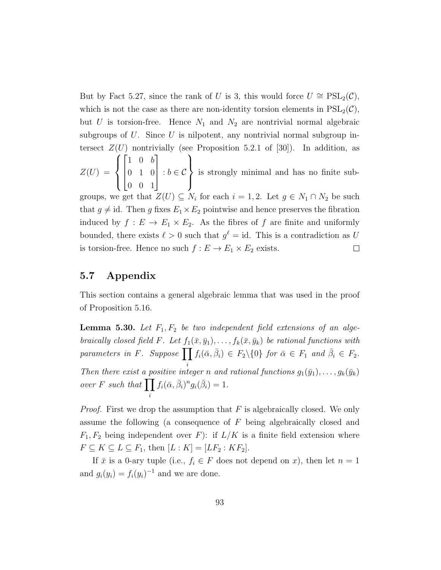But by Fact [5.27,](#page-93-0) since the rank of U is 3, this would force  $U \cong \text{PSL}_2(\mathcal{C}),$ which is not the case as there are non-identity torsion elements in  $PSL_2(\mathcal{C}),$ but U is torsion-free. Hence  $N_1$  and  $N_2$  are nontrivial normal algebraic subgroups of  $U$ . Since  $U$  is nilpotent, any nontrivial normal subgroup intersect  $Z(U)$  nontrivially (see Proposition 5.2.1 of [\[30\]](#page-111-2)). In addition, as  $\sqrt{ }$  $\sqrt{ }$ 1  $\mathcal{L}$ 

 $Z(U) =$  $\int$  $\overline{\mathcal{L}}$  $\vert$ 1 0 b 0 1 0 0 0 1  $\parallel$ :  $b \in \mathcal{C}$  $\overline{\mathcal{L}}$  $\int$ is strongly minimal and has no finite sub-

groups, we get that  $Z(U) \subseteq N_i$  for each  $i = 1, 2$ . Let  $g \in N_1 \cap N_2$  be such that  $g \neq id$ . Then g fixes  $E_1 \times E_2$  pointwise and hence preserves the fibration induced by  $f: E \to E_1 \times E_2$ . As the fibres of f are finite and uniformly bounded, there exists  $\ell > 0$  such that  $g^{\ell} = id$ . This is a contradiction as U is torsion-free. Hence no such  $f : E \to E_1 \times E_2$  exists.  $\Box$ 

## 5.7 Appendix

This section contains a general algebraic lemma that was used in the proof of Proposition [5.16.](#page-77-0)

<span id="page-100-0"></span>**Lemma 5.30.** Let  $F_1, F_2$  be two independent field extensions of an algebraically closed field F. Let  $f_1(\bar{x}, \bar{y}_1), \ldots, f_k(\bar{x}, \bar{y}_k)$  be rational functions with parameters in F. Suppose  $\prod f_i(\bar{\alpha}, \bar{\beta}_i) \in F_2 \setminus \{0\}$  for  $\bar{\alpha} \in F_1$  and  $\bar{\beta}_i \in F_2$ . i Then there exist a positive integer n and rational functions  $g_1(\bar{y}_1), \ldots, g_k(\bar{y}_k)$ over F such that  $\prod$ i  $f_i(\bar{\alpha}, \bar{\beta}_i)^n g_i(\bar{\beta}_i) = 1.$ 

*Proof.* First we drop the assumption that  $F$  is algebraically closed. We only assume the following (a consequence of F being algebraically closed and  $F_1, F_2$  being independent over F): if  $L/K$  is a finite field extension where  $F \subseteq K \subseteq L \subseteq F_1$ , then  $[L:K] = [LF_2:KF_2]$ .

If  $\bar{x}$  is a 0-ary tuple (i.e.,  $f_i \in F$  does not depend on x), then let  $n = 1$ and  $g_i(y_i) = f_i(y_i)^{-1}$  and we are done.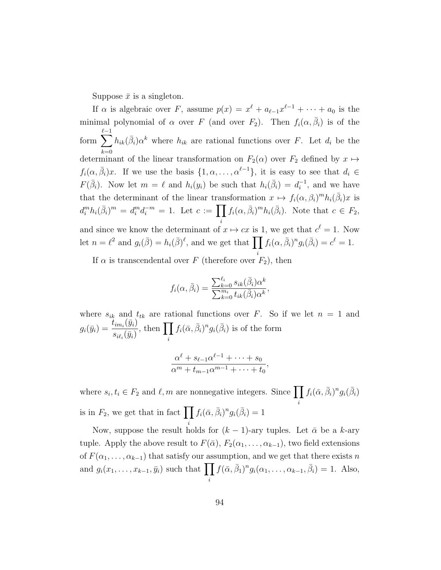Suppose  $\bar{x}$  is a singleton.

If  $\alpha$  is algebraic over F, assume  $p(x) = x^{\ell} + a_{\ell-1}x^{\ell-1} + \cdots + a_0$  is the minimal polynomial of  $\alpha$  over F (and over  $F_2$ ). Then  $f_i(\alpha, \bar{\beta}_i)$  is of the form  $\sum$  $_{\ell-1}$  $_{k=0}$  $h_{ik}(\bar{\beta}_i) \alpha^k$  where  $h_{ik}$  are rational functions over F. Let  $d_i$  be the determinant of the linear transformation on  $F_2(\alpha)$  over  $F_2$  defined by  $x \mapsto$  $f_i(\alpha, \bar{\beta}_i)x$ . If we use the basis  $\{1, \alpha, ..., \alpha^{\ell-1}\}\$ , it is easy to see that  $d_i \in$  $F(\bar{\beta}_i)$ . Now let  $m = \ell$  and  $h_i(y_i)$  be such that  $h_i(\bar{\beta}_i) = d_i^{-1}$  $i^{-1}$ , and we have that the determinant of the linear transformation  $x \mapsto f_i(\alpha, \beta_i)^m h_i(\bar{\beta}_i)x$  is  $d_i^m h_i(\bar{\beta}_i)^m = d_i^m d_i^{-m} = 1.$  Let  $c := \prod$ i  $f_i(\alpha, \bar{\beta}_i)^m h_i(\bar{\beta}_i)$ . Note that  $c \in F_2$ , and since we know the determinant of  $x \mapsto cx$  is 1, we get that  $c^{\ell} = 1$ . Now let  $n = \ell^2$  and  $g_i(\bar{\beta}) = h_i(\bar{\beta})^{\ell}$ , and we get that  $\prod f_i(\alpha, \bar{\beta}_i)^n g_i(\bar{\beta}_i) = c^{\ell} = 1$ .

If  $\alpha$  is transcendental over F (therefore over  $F_2$ ), then

$$
f_i(\alpha, \bar{\beta}_i) = \frac{\sum_{k=0}^{\ell_i} s_{ik}(\bar{\beta}_i) \alpha^k}{\sum_{k=0}^{m_i} t_{ik}(\bar{\beta}_i) \alpha^k},
$$

i

where  $s_{ik}$  and  $t_{tk}$  are rational functions over F. So if we let  $n = 1$  and  $g_i(\bar{y}_i) = \frac{t_{im_i}(\bar{y}_i)}{\bar{y}_i}$  $s_{i \ell_i}(\bar{y}_i)$ , then  $\Pi$ i  $f_i(\bar{\alpha}, \bar{\beta}_i)^n g_i(\bar{\beta}_i)$  is of the form

$$
\frac{\alpha^{\ell} + s_{\ell-1}\alpha^{\ell-1} + \dots + s_0}{\alpha^m + t_{m-1}\alpha^{m-1} + \dots + t_0},
$$

where  $s_i, t_i \in F_2$  and  $\ell, m$  are nonnegative integers. Since  $\prod$ i  $f_i(\bar{\alpha}, \bar{\beta}_i)^n g_i(\bar{\beta}_i)$ is in  $F_2$ , we get that in fact  $\prod f_i(\bar{\alpha}, \bar{\beta}_i)^n g_i(\bar{\beta}_i) = 1$ 

Now, suppose the result holds for  $(k-1)$ -ary tuples. Let  $\bar{\alpha}$  be a k-ary tuple. Apply the above result to  $F(\bar{\alpha})$ ,  $F_2(\alpha_1, \ldots, \alpha_{k-1})$ , two field extensions of  $F(\alpha_1, \ldots, \alpha_{k-1})$  that satisfy our assumption, and we get that there exists n and  $g_i(x_1,\ldots,x_{k-1},\bar{y}_i)$  such that  $\prod f(\bar{\alpha},\bar{\beta}_1)^n g_i(\alpha_1,\ldots,\alpha_{k-1},\bar{\beta}_i) = 1$ . Also, i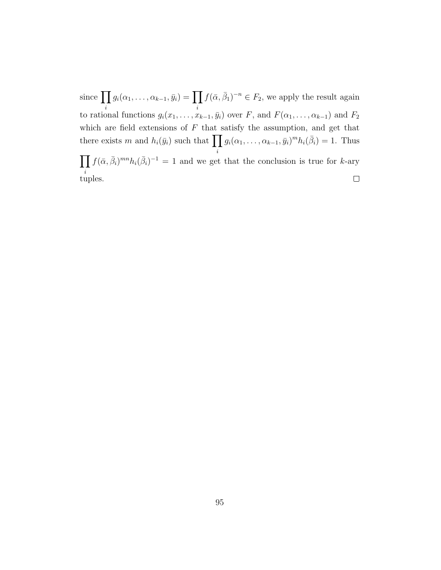since  $\prod g_i(\alpha_1,\ldots,\alpha_{k-1},\bar{y}_i)=\prod f(\bar{\alpha},\bar{\beta}_1)^{-n}\in F_2$ , we apply the result again i i to rational functions  $g_i(x_1, \ldots, x_{k-1}, \bar{y}_i)$  over F, and  $F(\alpha_1, \ldots, \alpha_{k-1})$  and  $F_2$ which are field extensions of  $F$  that satisfy the assumption, and get that  $g_i(\alpha_1,\ldots,\alpha_{k-1},\bar{y}_i)^m h_i(\bar{\beta}_i)=1$ . Thus there exists m and  $h_i(\bar{y}_i)$  such that  $\prod$ i  $\prod f(\bar{\alpha}, \bar{\beta}_i)^{mn} h_i(\bar{\beta}_i)^{-1} = 1$  and we get that the conclusion is true for k-ary i tuples.  $\Box$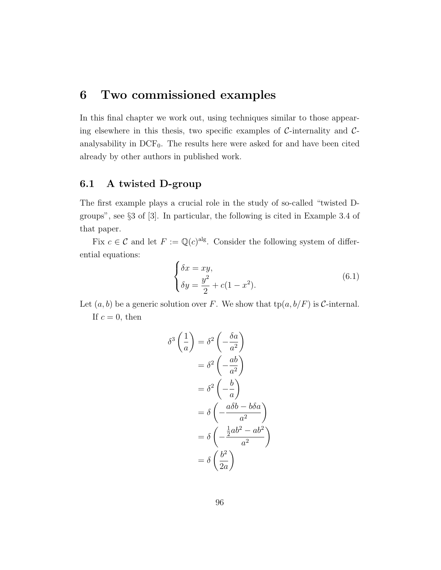# 6 Two commissioned examples

In this final chapter we work out, using techniques similar to those appearing elsewhere in this thesis, two specific examples of  $\mathcal{C}\text{-interality}$  and  $\mathcal{C}\text{-}$ analysability in  $DCF_0$ . The results here were asked for and have been cited already by other authors in published work.

## 6.1 A twisted D-group

The first example plays a crucial role in the study of so-called "twisted Dgroups", see §3 of [\[3\]](#page-109-0). In particular, the following is cited in Example 3.4 of that paper.

Fix  $c \in \mathcal{C}$  and let  $F := \mathbb{Q}(c)^{alg}$ . Consider the following system of differential equations:

$$
\begin{cases}\n\delta x = xy, \\
\delta y = \frac{y^2}{2} + c(1 - x^2).\n\end{cases} (6.1)
$$

Let  $(a, b)$  be a generic solution over F. We show that  $tp(a, b/F)$  is C-internal. If  $c = 0$ , then

$$
\delta^3 \left(\frac{1}{a}\right) = \delta^2 \left(-\frac{\delta a}{a^2}\right)
$$

$$
= \delta^2 \left(-\frac{ab}{a^2}\right)
$$

$$
= \delta^2 \left(-\frac{b}{a}\right)
$$

$$
= \delta \left(-\frac{a\delta b - b\delta a}{a^2}\right)
$$

$$
= \delta \left(-\frac{\frac{1}{2}ab^2 - ab^2}{a^2}\right)
$$

$$
= \delta \left(\frac{b^2}{2a}\right)
$$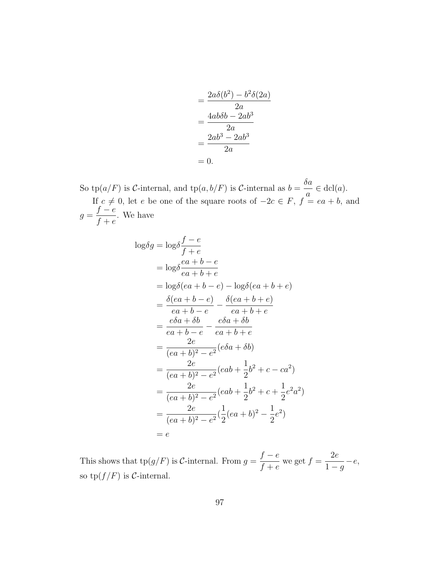$$
= \frac{2a\delta(b^2) - b^2\delta(2a)}{2a}
$$

$$
= \frac{4ab\delta b - 2ab^3}{2a}
$$

$$
= \frac{2ab^3 - 2ab^3}{2a}
$$

$$
= 0.
$$

So tp( $a/F$ ) is C-internal, and tp( $a, b/F$ ) is C-internal as  $b = \frac{\delta a}{\delta}$ a  $\in$  dcl(*a*). If  $c \neq 0$ , let e be one of the square roots of  $-2c \in F$ ,  $f = ea + b$ , and  $g =$  $f - e$  $f+e$ . We have

$$
log \delta g = log \delta \frac{f - e}{f + e}
$$
  
= log  $\delta \frac{ea + b - e}{ea + b + e}$   
= log  $\delta (ea + b - e)$  - log  $\delta (ea + b + e)$   
=  $\frac{\delta (ea + b - e)}{ea + b - e} - \frac{\delta (ea + b + e)}{ea + b + e}$   
=  $\frac{e\delta a + \delta b}{ea + b - e} - \frac{e\delta a + \delta b}{ea + b + e}$   
=  $\frac{2e}{(ea + b)^2 - e^2} (e\delta a + \delta b)$   
=  $\frac{2e}{(ea + b)^2 - e^2} (eab + \frac{1}{2}b^2 + c - ca^2)$   
=  $\frac{2e}{(ea + b)^2 - e^2} (eab + \frac{1}{2}b^2 + c + \frac{1}{2}e^2a^2)$   
=  $\frac{2e}{(ea + b)^2 - e^2} (\frac{1}{2} (ea + b)^2 - \frac{1}{2}e^2)$   
=  $e$ 

This shows that  $tp(g/F)$  is C-internal. From  $g =$  $f - e$  $f + e$ we get  $f =$ 2e  $1-g$  $-e,$ so  $\text{tp}(f/F)$  is C-internal.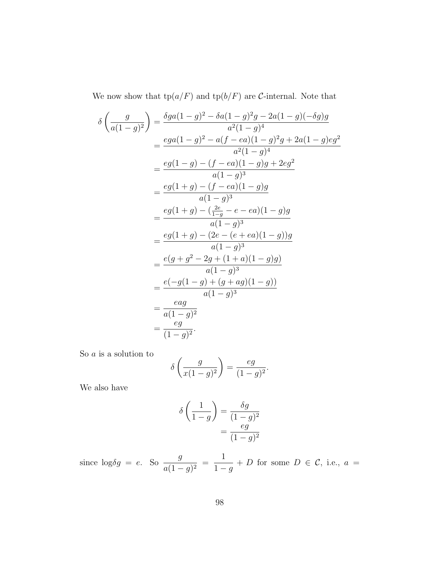We now show that  $tp(a/F)$  and  $tp(b/F)$  are C-internal. Note that

$$
\delta \left( \frac{g}{a(1-g)^2} \right) = \frac{\delta ga(1-g)^2 - \delta a(1-g)^2g - 2a(1-g)(-\delta g)g}{a^2(1-g)^4}
$$
  
= 
$$
\frac{ega(1-g)^2 - a(f - ea)(1-g)^2g + 2a(1-g)eg^2}{a^2(1-g)^4}
$$
  
= 
$$
\frac{eg(1-g) - (f - ea)(1-g)g + 2eg^2}{a(1-g)^3}
$$
  
= 
$$
\frac{eg(1+g) - (f - ea)(1-g)g}{a(1-g)^3}
$$
  
= 
$$
\frac{eg(1+g) - (\frac{2e}{1-g} - e - ea)(1-g)g}{a(1-g)^3}
$$
  
= 
$$
\frac{eg(1+g) - (2e - (e + ea)(1-g))g}{a(1-g)^3}
$$
  
= 
$$
\frac{e(g + g^2 - 2g + (1+a)(1-g)g)}{a(1-g)^3}
$$
  
= 
$$
\frac{e(-g(1-g) + (g + ag)(1-g))}{a(1-g)^3}
$$
  
= 
$$
\frac{eag}{a(1-g)^2}
$$
  
= 
$$
\frac{eg}{(1-g)^2}.
$$

So  $\boldsymbol{a}$  is a solution to

$$
\delta\left(\frac{g}{x(1-g)^2}\right) = \frac{eg}{(1-g)^2}.
$$

We also have

$$
\delta\left(\frac{1}{1-g}\right) = \frac{\delta g}{(1-g)^2}
$$

$$
= \frac{eg}{(1-g)^2}
$$

since  $\log \delta g = e$ . So  $\frac{g}{\epsilon_1}$  $rac{g}{a(1-g)^2}$  = 1  $1-g$ + D for some  $D \in \mathcal{C}$ , i.e.,  $a =$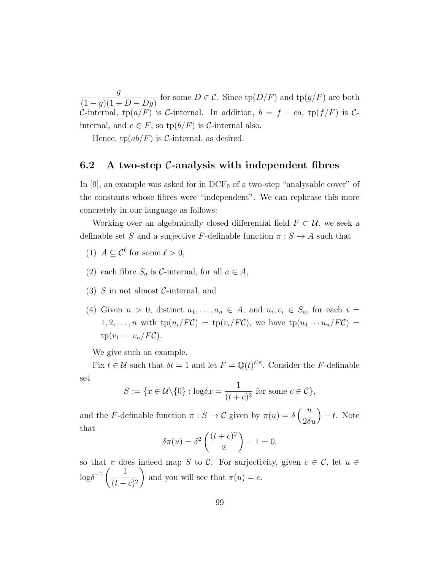g  $(1-g)(1+D-Dg)$ for some  $D \in \mathcal{C}$ . Since  $tp(D/F)$  and  $tp(g/F)$  are both C-internal, tp( $a/F$ ) is C-internal. In addition,  $b = f - ea$ , tp( $f/F$ ) is Cinternal, and  $e \in F$ , so  $\text{tp}(b/F)$  is C-internal also.

Hence,  $tp(ab/F)$  is C-internal, as desired.

### 6.2 A two-step  $\mathcal{C}$ -analysis with independent fibres

In [\[9\]](#page-109-1), an example was asked for in  $DCF_0$  of a two-step "analysable cover" of the constants whose fibres were "independent". We can rephrase this more concretely in our language as follows:

Working over an algebraically closed differential field  $F \subset \mathcal{U}$ , we seek a definable set S and a surjective F-definable function  $\pi : S \to A$  such that

- (1)  $A \subseteq \mathcal{C}^{\ell}$  for some  $\ell > 0$ ,
- (2) each fibre  $S_a$  is C-internal, for all  $a \in A$ ,
- (3) S in not almost C-internal, and
- (4) Given  $n > 0$ , distinct  $a_1, \ldots, a_n \in A$ , and  $u_i, v_i \in S_{a_i}$  for each  $i =$ 1, 2, ..., *n* with  $tp(u_i/FC) = tp(v_i/FC)$ , we have  $tp(u_1 \cdots u_n/FC)$  $tp(v_1 \cdots v_n/F\mathcal{C}).$

We give such an example.

Fix  $t \in \mathcal{U}$  such that  $\delta t = 1$  and let  $F = \mathbb{Q}(t)^{\text{alg}}$ . Consider the F-definable set

$$
S := \{ x \in \mathcal{U} \setminus \{0\} : \log \delta x = \frac{1}{(t+c)^2} \text{ for some } c \in \mathcal{C} \},
$$

and the F-definable function  $\pi : S \to C$  given by  $\pi(u) = \delta\left(\frac{u}{\delta S}\right)$  $2\delta u$  $- t$ . Note that

$$
\delta\pi(u) = \delta^2\left(\frac{(t+c)^2}{2}\right) - 1 = 0,
$$

so that  $\pi$  does indeed map S to C. For surjectivity, given  $c \in \mathcal{C}$ , let  $u \in$  $\log \delta^{-1} \left( \frac{1}{\sqrt{1-\delta}} \right)$  $(t + c)^2$  $\setminus$ and you will see that  $\pi(u) = c$ .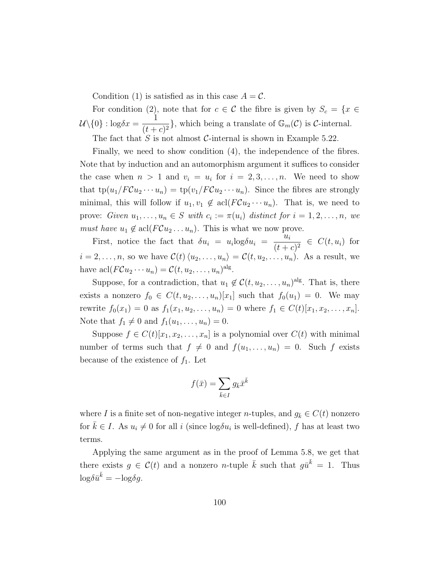Condition (1) is satisfied as in this case  $A = \mathcal{C}$ .

For condition (2), note that for  $c \in \mathcal{C}$  the fibre is given by  $S_c = \{x \in \mathcal{C} : |f(x)| \leq 1\}$  $\mathcal{U}\backslash\{0\}$ :  $\log \delta x = \frac{1}{\sqrt{1-\delta}}$  $\frac{1}{(t+c)^2}$ , which being a translate of  $\mathbb{G}_m(\mathcal{C})$  is *C*-internal.

The fact that  $S$  is not almost  $C$ -internal is shown in Example [5.22.](#page-84-0)

Finally, we need to show condition (4), the independence of the fibres. Note that by induction and an automorphism argument it suffices to consider the case when  $n > 1$  and  $v_i = u_i$  for  $i = 2, 3, ..., n$ . We need to show that  $tp(u_1/FCu_2 \cdots u_n) = tp(v_1/FCu_2 \cdots u_n)$ . Since the fibres are strongly minimal, this will follow if  $u_1, v_1 \notin \text{acl}(F\mathcal{C}u_2 \cdots u_n)$ . That is, we need to prove: Given  $u_1, \ldots, u_n \in S$  with  $c_i := \pi(u_i)$  distinct for  $i = 1, 2, \ldots, n$ , we *must have*  $u_1 \notin \text{acl}(FCu_2 \ldots u_n)$ . This is what we now prove.

First, notice the fact that  $\delta u_i = u_i \log \delta u_i$  $u_i$  $\frac{u_i}{(t+c)^2} \in C(t, u_i)$  for  $i = 2, \ldots, n$ , so we have  $C(t) \langle u_2, \ldots, u_n \rangle = C(t, u_2, \ldots, u_n)$ . As a result, we have  $\operatorname{acl}(F\mathcal{C}u_2\cdots u_n)=\mathcal{C}(t,u_2,\ldots,u_n)^{\operatorname{alg}}$ .

Suppose, for a contradiction, that  $u_1 \notin \mathcal{C}(t, u_2, \ldots, u_n)$ <sup>alg</sup>. That is, there exists a nonzero  $f_0 \in C(t, u_2, \ldots, u_n)[x_1]$  such that  $f_0(u_1) = 0$ . We may rewrite  $f_0(x_1) = 0$  as  $f_1(x_1, u_2, \ldots, u_n) = 0$  where  $f_1 \in C(t)[x_1, x_2, \ldots, x_n]$ . Note that  $f_1 \neq 0$  and  $f_1(u_1, \ldots, u_n) = 0$ .

Suppose  $f \in C(t)[x_1, x_2, \ldots, x_n]$  is a polynomial over  $C(t)$  with minimal number of terms such that  $f \neq 0$  and  $f(u_1, \ldots, u_n) = 0$ . Such f exists because of the existence of  $f_1$ . Let

$$
f(\bar{x}) = \sum_{\bar{k} \in I} g_{\bar{k}} \bar{x}^{\bar{k}}
$$

where I is a finite set of non-negative integer n-tuples, and  $g_{\bar{k}} \in C(t)$  nonzero for  $\bar{k} \in I$ . As  $u_i \neq 0$  for all i (since  $\log \delta u_i$  is well-defined), f has at least two terms.

Applying the same argument as in the proof of Lemma [5.8,](#page-69-0) we get that there exists  $g \in \mathcal{C}(t)$  and a nonzero *n*-tuple  $\bar{k}$  such that  $g\bar{u}^{\bar{k}} = 1$ . Thus  $\log \delta \bar{u}^{\bar{k}} = -\log \delta g.$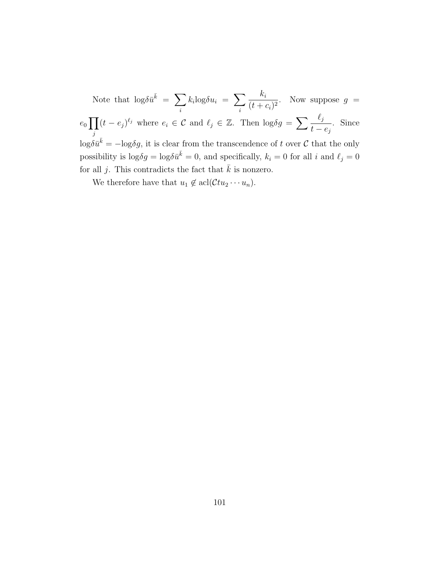Note that  $\log \delta \bar{u}^{\bar{k}} = \sum$ i  $k_i$ log $\delta u_i = \sum$ i ki  $\frac{n_i}{(t+c_i)^2}$ . Now suppose  $g =$  $e_0$   $\prod$ j  $(t - e_j)^{\ell_j}$  where  $e_i \in \mathcal{C}$  and  $\ell_j \in \mathbb{Z}$ . Then  $\log \delta g = \sum_i \frac{\ell_j}{\ell_i}$  $t - e_j$ . Since  $\log \delta \bar{u}^{\bar{k}} = -\log \delta g$ , it is clear from the transcendence of t over C that the only possibility is  $\log \delta g = \log \delta \bar{u}^{\bar{k}} = 0$ , and specifically,  $k_i = 0$  for all i and  $\ell_j = 0$ for all j. This contradicts the fact that  $\bar{k}$  is nonzero.

We therefore have that  $u_1 \notin \text{acl}(\mathcal{C}tu_2 \cdots u_n)$ .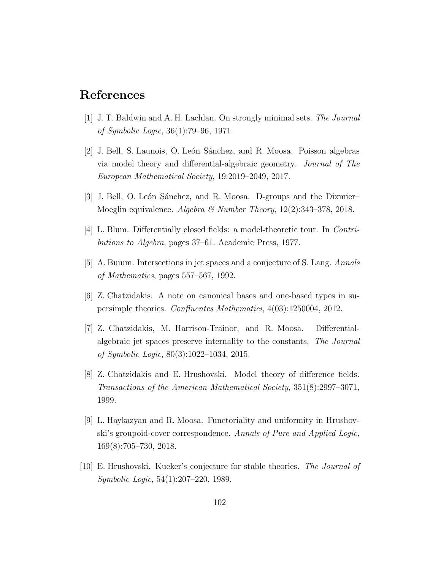## References

- [1] J. T. Baldwin and A. H. Lachlan. On strongly minimal sets. The Journal of Symbolic Logic, 36(1):79–96, 1971.
- [2] J. Bell, S. Launois, O. León Sánchez, and R. Moosa. Poisson algebras via model theory and differential-algebraic geometry. Journal of The European Mathematical Society, 19:2019–2049, 2017.
- [3] J. Bell, O. León Sánchez, and R. Moosa. D-groups and the Dixmier– Moeglin equivalence. Algebra & Number Theory, 12(2):343–378, 2018.
- [4] L. Blum. Differentially closed fields: a model-theoretic tour. In Contributions to Algebra, pages 37–61. Academic Press, 1977.
- [5] A. Buium. Intersections in jet spaces and a conjecture of S. Lang. Annals of Mathematics, pages 557–567, 1992.
- [6] Z. Chatzidakis. A note on canonical bases and one-based types in supersimple theories. Confluentes Mathematici, 4(03):1250004, 2012.
- [7] Z. Chatzidakis, M. Harrison-Trainor, and R. Moosa. Differentialalgebraic jet spaces preserve internality to the constants. The Journal of Symbolic Logic, 80(3):1022–1034, 2015.
- [8] Z. Chatzidakis and E. Hrushovski. Model theory of difference fields. Transactions of the American Mathematical Society, 351(8):2997–3071, 1999.
- [9] L. Haykazyan and R. Moosa. Functoriality and uniformity in Hrushovski's groupoid-cover correspondence. Annals of Pure and Applied Logic, 169(8):705–730, 2018.
- [10] E. Hrushovski. Kueker's conjecture for stable theories. The Journal of Symbolic Logic, 54(1):207–220, 1989.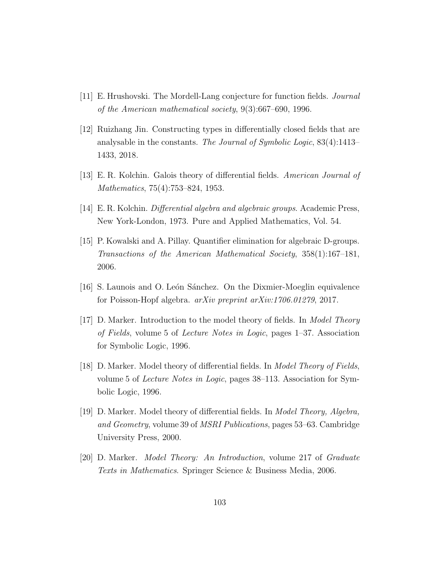- [11] E. Hrushovski. The Mordell-Lang conjecture for function fields. Journal of the American mathematical society, 9(3):667–690, 1996.
- [12] Ruizhang Jin. Constructing types in differentially closed fields that are analysable in the constants. The Journal of Symbolic Logic, 83(4):1413– 1433, 2018.
- [13] E. R. Kolchin. Galois theory of differential fields. American Journal of Mathematics, 75(4):753–824, 1953.
- [14] E. R. Kolchin. *Differential algebra and algebraic groups*. Academic Press, New York-London, 1973. Pure and Applied Mathematics, Vol. 54.
- [15] P. Kowalski and A. Pillay. Quantifier elimination for algebraic D-groups. Transactions of the American Mathematical Society, 358(1):167–181, 2006.
- [16] S. Launois and O. León Sánchez. On the Dixmier-Moeglin equivalence for Poisson-Hopf algebra. arXiv preprint arXiv:1706.01279, 2017.
- [17] D. Marker. Introduction to the model theory of fields. In *Model Theory* of Fields, volume 5 of Lecture Notes in Logic, pages 1–37. Association for Symbolic Logic, 1996.
- [18] D. Marker. Model theory of differential fields. In Model Theory of Fields, volume 5 of Lecture Notes in Logic, pages 38–113. Association for Symbolic Logic, 1996.
- [19] D. Marker. Model theory of differential fields. In Model Theory, Algebra, and Geometry, volume 39 of MSRI Publications, pages 53–63. Cambridge University Press, 2000.
- [20] D. Marker. Model Theory: An Introduction, volume 217 of Graduate Texts in Mathematics. Springer Science & Business Media, 2006.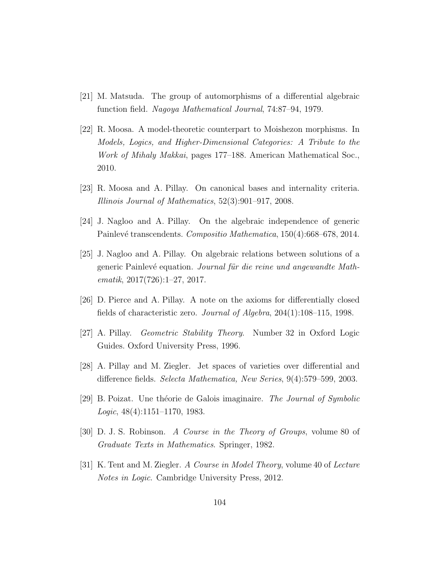- [21] M. Matsuda. The group of automorphisms of a differential algebraic function field. Nagoya Mathematical Journal, 74:87–94, 1979.
- [22] R. Moosa. A model-theoretic counterpart to Moishezon morphisms. In Models, Logics, and Higher-Dimensional Categories: A Tribute to the Work of Mihaly Makkai, pages 177–188. American Mathematical Soc., 2010.
- [23] R. Moosa and A. Pillay. On canonical bases and internality criteria. Illinois Journal of Mathematics, 52(3):901–917, 2008.
- [24] J. Nagloo and A. Pillay. On the algebraic independence of generic Painlevé transcendents. Compositio Mathematica, 150(4):668–678, 2014.
- [25] J. Nagloo and A. Pillay. On algebraic relations between solutions of a generic Painlevé equation. Journal für die reine und angewandte Mathematik, 2017(726):1–27, 2017.
- [26] D. Pierce and A. Pillay. A note on the axioms for differentially closed fields of characteristic zero. *Journal of Algebra*,  $204(1):108-115$ , 1998.
- [27] A. Pillay. Geometric Stability Theory. Number 32 in Oxford Logic Guides. Oxford University Press, 1996.
- [28] A. Pillay and M. Ziegler. Jet spaces of varieties over differential and difference fields. Selecta Mathematica, New Series, 9(4):579–599, 2003.
- [29] B. Poizat. Une théorie de Galois imaginaire. The Journal of Symbolic Logic, 48(4):1151–1170, 1983.
- [30] D. J. S. Robinson. A Course in the Theory of Groups, volume 80 of Graduate Texts in Mathematics. Springer, 1982.
- [31] K. Tent and M. Ziegler. A Course in Model Theory, volume 40 of Lecture Notes in Logic. Cambridge University Press, 2012.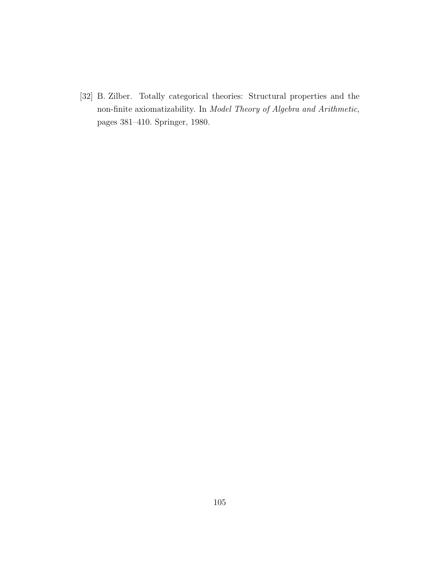[32] B. Zilber. Totally categorical theories: Structural properties and the non-finite axiomatizability. In Model Theory of Algebra and Arithmetic, pages 381–410. Springer, 1980.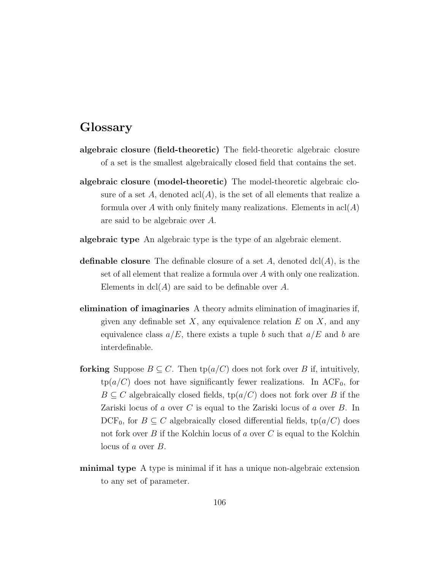## Glossary

- algebraic closure (field-theoretic) The field-theoretic algebraic closure of a set is the smallest algebraically closed field that contains the set.
- algebraic closure (model-theoretic) The model-theoretic algebraic closure of a set A, denoted  $\operatorname{acl}(A)$ , is the set of all elements that realize a formula over A with only finitely many realizations. Elements in  $\operatorname{acl}(A)$ are said to be algebraic over A.
- algebraic type An algebraic type is the type of an algebraic element.
- **definable closure** The definable closure of a set A, denoted  $dcl(A)$ , is the set of all element that realize a formula over A with only one realization. Elements in  $dcl(A)$  are said to be definable over A.
- elimination of imaginaries A theory admits elimination of imaginaries if, given any definable set  $X$ , any equivalence relation  $E$  on  $X$ , and any equivalence class  $a/E$ , there exists a tuple b such that  $a/E$  and b are interdefinable.
- forking Suppose  $B \subseteq C$ . Then  $tp(a/C)$  does not fork over B if, intuitively,  $tp(a/C)$  does not have significantly fewer realizations. In ACF<sub>0</sub>, for  $B \subseteq C$  algebraically closed fields,  $tp(a/C)$  does not fork over B if the Zariski locus of a over C is equal to the Zariski locus of a over B. In DCF<sub>0</sub>, for  $B \subseteq C$  algebraically closed differential fields, tp( $a/C$ ) does not fork over B if the Kolchin locus of a over C is equal to the Kolchin locus of a over B.
- minimal type A type is minimal if it has a unique non-algebraic extension to any set of parameter.